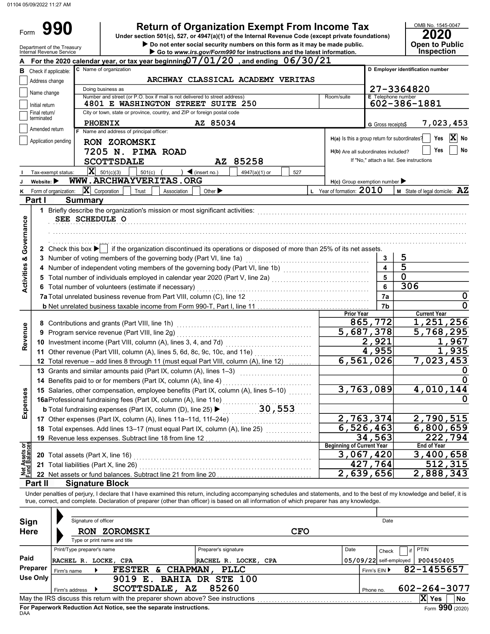| Department of the Treasury                                                                   | <b>Return of Organization Exempt From Income Tax</b><br>Under section 501(c), 527, or 4947(a)(1) of the Internal Revenue Code (except private foundations)                                                                                                                                                                                       |                                               | OMB No. 1545-0047<br>20                                                                  |
|----------------------------------------------------------------------------------------------|--------------------------------------------------------------------------------------------------------------------------------------------------------------------------------------------------------------------------------------------------------------------------------------------------------------------------------------------------|-----------------------------------------------|------------------------------------------------------------------------------------------|
| Internal Revenue Service                                                                     | Do not enter social security numbers on this form as it may be made public.<br>Go to www.irs.gov/Form990 for instructions and the latest information.                                                                                                                                                                                            |                                               | <b>Open to Public</b><br>Inspection                                                      |
|                                                                                              | For the 2020 calendar year, or tax year beginning $07/01/20$ , and ending $06/30/21$                                                                                                                                                                                                                                                             |                                               |                                                                                          |
| <b>B</b> Check if applicable:                                                                | C Name of organization                                                                                                                                                                                                                                                                                                                           |                                               | D Employer identification number                                                         |
| Address change                                                                               | ARCHWAY CLASSICAL ACADEMY VERITAS                                                                                                                                                                                                                                                                                                                |                                               |                                                                                          |
| Name change                                                                                  | Doing business as                                                                                                                                                                                                                                                                                                                                |                                               | 27-3364820                                                                               |
|                                                                                              | Number and street (or P.O. box if mail is not delivered to street address)<br>Room/suite                                                                                                                                                                                                                                                         | E Telephone number                            |                                                                                          |
| Initial return<br>Final return/                                                              | 4801 E WASHINGTON STREET SUITE 250<br>City or town, state or province, country, and ZIP or foreign postal code                                                                                                                                                                                                                                   |                                               | 602-386-1881                                                                             |
| terminated                                                                                   |                                                                                                                                                                                                                                                                                                                                                  |                                               |                                                                                          |
| Amended return                                                                               | AZ 85034<br><b>PHOENIX</b><br>F Name and address of principal officer:                                                                                                                                                                                                                                                                           | <b>G</b> Gross receipts\$                     | 7,023,453                                                                                |
| Application pending                                                                          |                                                                                                                                                                                                                                                                                                                                                  | H(a) Is this a group return for subordinates? | X<br>Yes<br>No                                                                           |
|                                                                                              | RON ZOROMSKI                                                                                                                                                                                                                                                                                                                                     | H(b) Are all subordinates included?           | Yes<br>No                                                                                |
|                                                                                              | 7205 N. PIMA ROAD                                                                                                                                                                                                                                                                                                                                |                                               | If "No," attach a list. See instructions                                                 |
|                                                                                              | AZ 85258<br><b>SCOTTSDALE</b>                                                                                                                                                                                                                                                                                                                    |                                               |                                                                                          |
| Tax-exempt status:                                                                           | $ \mathbf{X} $ 501(c)(3)<br>501(c)<br>$\blacktriangleleft$ (insert no.)<br>4947(a)(1) or<br>527                                                                                                                                                                                                                                                  |                                               |                                                                                          |
| Website: $\blacktriangleright$<br>κ                                                          | WWW.ARCHWAYVERITAS.ORG                                                                                                                                                                                                                                                                                                                           | $H(c)$ Group exemption number                 |                                                                                          |
| Form of organization:<br>Part I                                                              | $ \mathbf{X} $ Corporation<br>L Year of formation: $2010$<br>Other $\blacktriangleright$<br>Trust<br>Association<br><b>Summary</b>                                                                                                                                                                                                               |                                               | M State of legal domicile: AZ                                                            |
| Governance<br>2 Check this box $\blacktriangleright$                                         | SEE SCHEDULE O<br>if the organization discontinued its operations or disposed of more than 25% of its net assets.                                                                                                                                                                                                                                |                                               |                                                                                          |
|                                                                                              | 3 Number of voting members of the governing body (Part VI, line 1a)                                                                                                                                                                                                                                                                              | 3                                             | 5                                                                                        |
|                                                                                              | 4 Number of independent voting members of the governing body (Part VI, line 1b) [1] [1] [1] Number of independent voting members of the governing body (Part VI, line 1b)                                                                                                                                                                        | 4                                             | $\overline{5}$                                                                           |
| <b>Activities &amp;</b>                                                                      |                                                                                                                                                                                                                                                                                                                                                  | 5                                             | $\mathbf 0$                                                                              |
|                                                                                              | 6 Total number of volunteers (estimate if necessary)                                                                                                                                                                                                                                                                                             | 6                                             | 306                                                                                      |
|                                                                                              | 7a Total unrelated business revenue from Part VIII, column (C), line 12                                                                                                                                                                                                                                                                          | 7a                                            |                                                                                          |
|                                                                                              |                                                                                                                                                                                                                                                                                                                                                  | 7b                                            | 0                                                                                        |
|                                                                                              | <b>Prior Year</b>                                                                                                                                                                                                                                                                                                                                |                                               | <b>Current Year</b>                                                                      |
|                                                                                              | 8 Contributions and grants (Part VIII, line 1h)                                                                                                                                                                                                                                                                                                  | 865,772                                       | 1,251,256                                                                                |
|                                                                                              | 9 Program service revenue (Part VIII, line 2g)                                                                                                                                                                                                                                                                                                   | 5,687,378                                     | 5,768,295                                                                                |
| Revenue                                                                                      |                                                                                                                                                                                                                                                                                                                                                  | 2,921                                         | 967                                                                                      |
|                                                                                              | 11 Other revenue (Part VIII, column (A), lines 5, 6d, 8c, 9c, 10c, and 11e)                                                                                                                                                                                                                                                                      | 955<br>4.                                     | 935                                                                                      |
|                                                                                              | 6,561,<br>12 Total revenue - add lines 8 through 11 (must equal Part VIII, column (A), line 12)                                                                                                                                                                                                                                                  | 026                                           | 7,023,<br>453                                                                            |
|                                                                                              | 13 Grants and similar amounts paid (Part IX, column (A), lines 1-3)                                                                                                                                                                                                                                                                              |                                               | $\mathbf 0$                                                                              |
|                                                                                              | 14 Benefits paid to or for members (Part IX, column (A), line 4)                                                                                                                                                                                                                                                                                 |                                               | $\mathbf 0$                                                                              |
|                                                                                              | 15 Salaries, other compensation, employee benefits (Part IX, column (A), lines 5-10)                                                                                                                                                                                                                                                             | 3,763,089                                     | 4,010,144                                                                                |
|                                                                                              |                                                                                                                                                                                                                                                                                                                                                  |                                               |                                                                                          |
|                                                                                              |                                                                                                                                                                                                                                                                                                                                                  |                                               |                                                                                          |
|                                                                                              |                                                                                                                                                                                                                                                                                                                                                  |                                               |                                                                                          |
|                                                                                              |                                                                                                                                                                                                                                                                                                                                                  | 2,763,374                                     |                                                                                          |
|                                                                                              | 17 Other expenses (Part IX, column (A), lines 11a-11d, 11f-24e)                                                                                                                                                                                                                                                                                  | 6,526,463                                     |                                                                                          |
|                                                                                              | 18 Total expenses. Add lines 13-17 (must equal Part IX, column (A), line 25)                                                                                                                                                                                                                                                                     | 34,563                                        |                                                                                          |
|                                                                                              | <b>Beginning of Current Year</b>                                                                                                                                                                                                                                                                                                                 |                                               | <b>End of Year</b>                                                                       |
|                                                                                              | 20 Total assets (Part X, line 16)                                                                                                                                                                                                                                                                                                                | 3,067,420                                     |                                                                                          |
|                                                                                              | 21 Total liabilities (Part X, line 26)                                                                                                                                                                                                                                                                                                           | 427,764                                       |                                                                                          |
|                                                                                              | 22 Net assets or fund balances. Subtract line 21 from line 20                                                                                                                                                                                                                                                                                    | 2,639,656                                     |                                                                                          |
|                                                                                              | <b>Signature Block</b>                                                                                                                                                                                                                                                                                                                           |                                               |                                                                                          |
|                                                                                              | Under penalties of perjury, I declare that I have examined this return, including accompanying schedules and statements, and to the best of my knowledge and belief, it is<br>true, correct, and complete. Declaration of preparer (other than officer) is based on all information of which preparer has any knowledge.<br>Signature of officer | Date                                          |                                                                                          |
|                                                                                              | <b>CFO</b><br><b>RON ZOROMSKI</b>                                                                                                                                                                                                                                                                                                                |                                               |                                                                                          |
|                                                                                              | Type or print name and title                                                                                                                                                                                                                                                                                                                     |                                               |                                                                                          |
|                                                                                              | Print/Type preparer's name<br>Preparer's signature<br>Date                                                                                                                                                                                                                                                                                       | Check                                         | PTIN<br>if                                                                               |
| Expenses<br><b>Net Assets or<br/>Fund Balances</b><br>Part II<br>Sign<br><b>Here</b><br>Paid | RACHEL R. LOCKE, CPA<br>RACHEL R. LOCKE, CPA                                                                                                                                                                                                                                                                                                     | $05/09/22$ self-employed                      | 0<br>2,790,515<br>6,800,659<br>222,794<br>3,400,658<br>512,315<br>2,888,343<br>P00450405 |
| Preparer<br>Firm's name                                                                      | FESTER & CHAPMAN,<br><b>PLLC</b>                                                                                                                                                                                                                                                                                                                 | Firm's EIN ▶                                  | 82-1455657                                                                               |
| <b>Use Only</b><br>Firm's address                                                            | 9019 E. BAHIA DR STE 100<br>85260<br>SCOTTSDALE, AZ                                                                                                                                                                                                                                                                                              | Phone no.                                     | 602-264-3077                                                                             |

| Sign                                                                                                            | Signature of officer                                                                  |                                                    | Date                             |            |              |                          |                    |  |
|-----------------------------------------------------------------------------------------------------------------|---------------------------------------------------------------------------------------|----------------------------------------------------|----------------------------------|------------|--------------|--------------------------|--------------------|--|
| <b>Here</b>                                                                                                     | <b>RON</b>                                                                            | <b>ZOROMSKI</b><br>Type or print name and title    |                                  | <b>CFO</b> |              |                          |                    |  |
|                                                                                                                 | Print/Type preparer's name                                                            |                                                    | Preparer's signature             | Date       |              | Check                    | <b>PTIN</b>        |  |
| Paid                                                                                                            | RACHEL R. LOCKE, CPA                                                                  |                                                    | RACHEL R. LOCKE, CPA             |            |              | $05/09/22$ self-employed | P00450405          |  |
| Preparer                                                                                                        | Firm's name                                                                           | <b>CHAPMAN</b><br><b>FESTER</b><br>б.              | <b>PLLC</b>                      |            | Firm's EIN ▶ |                          | 82-1455657         |  |
| Use Only                                                                                                        | Firm's address                                                                        | 9019<br>$\mathbf{E}$ .<br><b>SCOTTSDALE,</b><br>AZ | <b>BAHIA DR STE 100</b><br>85260 |            | Phone no.    |                          | $602 - 264 - 3077$ |  |
| May the IRS discuss this return with the preparer shown above? See instructions<br>X<br><b>No</b><br><b>Yes</b> |                                                                                       |                                                    |                                  |            |              |                          |                    |  |
| <b>DAA</b>                                                                                                      | Form 990 (2020)<br>For Paperwork Reduction Act Notice, see the separate instructions. |                                                    |                                  |            |              |                          |                    |  |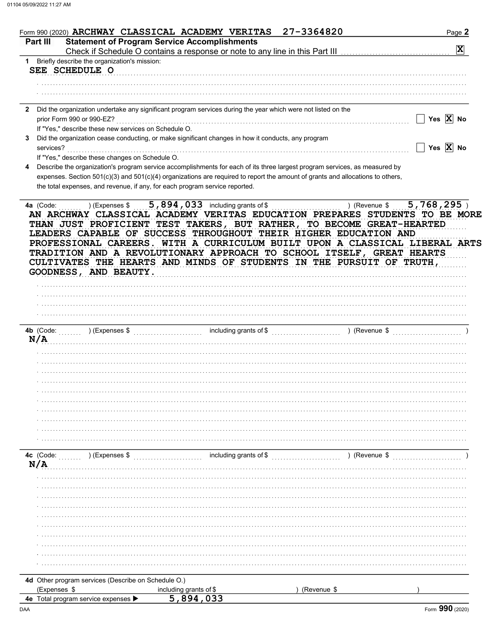| Form 990 (2020) ARCHWAY CLASSICAL ACADEMY VERITAS                           |                                                                                                              | 27-3364820                                                                                                                                                                                                                                                                                                                                                                                                                                               | Page 2                   |
|-----------------------------------------------------------------------------|--------------------------------------------------------------------------------------------------------------|----------------------------------------------------------------------------------------------------------------------------------------------------------------------------------------------------------------------------------------------------------------------------------------------------------------------------------------------------------------------------------------------------------------------------------------------------------|--------------------------|
| Part III                                                                    | <b>Statement of Program Service Accomplishments</b>                                                          |                                                                                                                                                                                                                                                                                                                                                                                                                                                          |                          |
|                                                                             |                                                                                                              | Check if Schedule O contains a response or note to any line in this Part III                                                                                                                                                                                                                                                                                                                                                                             | $\vert \mathbf{X} \vert$ |
| 1 Briefly describe the organization's mission:                              |                                                                                                              |                                                                                                                                                                                                                                                                                                                                                                                                                                                          |                          |
| SEE SCHEDULE O                                                              |                                                                                                              |                                                                                                                                                                                                                                                                                                                                                                                                                                                          |                          |
|                                                                             |                                                                                                              |                                                                                                                                                                                                                                                                                                                                                                                                                                                          |                          |
|                                                                             |                                                                                                              |                                                                                                                                                                                                                                                                                                                                                                                                                                                          |                          |
|                                                                             |                                                                                                              |                                                                                                                                                                                                                                                                                                                                                                                                                                                          |                          |
|                                                                             |                                                                                                              |                                                                                                                                                                                                                                                                                                                                                                                                                                                          |                          |
| $\mathbf{2}$                                                                | Did the organization undertake any significant program services during the year which were not listed on the |                                                                                                                                                                                                                                                                                                                                                                                                                                                          |                          |
| prior Form 990 or 990-EZ?                                                   |                                                                                                              |                                                                                                                                                                                                                                                                                                                                                                                                                                                          | Yes $\overline{X}$ No    |
| If "Yes," describe these new services on Schedule O.                        |                                                                                                              |                                                                                                                                                                                                                                                                                                                                                                                                                                                          |                          |
|                                                                             | Did the organization cease conducting, or make significant changes in how it conducts, any program           |                                                                                                                                                                                                                                                                                                                                                                                                                                                          |                          |
| services?                                                                   |                                                                                                              |                                                                                                                                                                                                                                                                                                                                                                                                                                                          | Yes $\overline{X}$ No    |
| If "Yes," describe these changes on Schedule O.                             |                                                                                                              |                                                                                                                                                                                                                                                                                                                                                                                                                                                          |                          |
|                                                                             |                                                                                                              | Describe the organization's program service accomplishments for each of its three largest program services, as measured by                                                                                                                                                                                                                                                                                                                               |                          |
|                                                                             |                                                                                                              | expenses. Section 501(c)(3) and 501(c)(4) organizations are required to report the amount of grants and allocations to others,                                                                                                                                                                                                                                                                                                                           |                          |
| the total expenses, and revenue, if any, for each program service reported. |                                                                                                              |                                                                                                                                                                                                                                                                                                                                                                                                                                                          |                          |
|                                                                             |                                                                                                              |                                                                                                                                                                                                                                                                                                                                                                                                                                                          |                          |
| GOODNESS, AND BEAUTY.                                                       |                                                                                                              | AN ARCHWAY CLASSICAL ACADEMY VERITAS EDUCATION PREPARES STUDENTS TO BE MORE<br>THAN JUST PROFICIENT TEST TAKERS, BUT RATHER, TO BECOME GREAT-HEARTED<br>LEADERS CAPABLE OF SUCCESS THROUGHOUT THEIR HIGHER EDUCATION AND<br>PROFESSIONAL CAREERS. WITH A CURRICULUM BUILT UPON A CLASSICAL LIBERAL ARTS<br>TRADITION AND A REVOLUTIONARY APPROACH TO SCHOOL ITSELF, GREAT HEARTS<br>CULTIVATES THE HEARTS AND MINDS OF STUDENTS IN THE PURSUIT OF TRUTH, |                          |
|                                                                             |                                                                                                              |                                                                                                                                                                                                                                                                                                                                                                                                                                                          |                          |
|                                                                             |                                                                                                              |                                                                                                                                                                                                                                                                                                                                                                                                                                                          |                          |
|                                                                             |                                                                                                              |                                                                                                                                                                                                                                                                                                                                                                                                                                                          |                          |
| 4b (Code:                                                                   |                                                                                                              |                                                                                                                                                                                                                                                                                                                                                                                                                                                          |                          |
| N/A                                                                         |                                                                                                              |                                                                                                                                                                                                                                                                                                                                                                                                                                                          |                          |
|                                                                             |                                                                                                              |                                                                                                                                                                                                                                                                                                                                                                                                                                                          |                          |
|                                                                             |                                                                                                              |                                                                                                                                                                                                                                                                                                                                                                                                                                                          |                          |
|                                                                             |                                                                                                              |                                                                                                                                                                                                                                                                                                                                                                                                                                                          |                          |
|                                                                             |                                                                                                              |                                                                                                                                                                                                                                                                                                                                                                                                                                                          |                          |
|                                                                             |                                                                                                              |                                                                                                                                                                                                                                                                                                                                                                                                                                                          |                          |
|                                                                             |                                                                                                              |                                                                                                                                                                                                                                                                                                                                                                                                                                                          |                          |
|                                                                             |                                                                                                              |                                                                                                                                                                                                                                                                                                                                                                                                                                                          |                          |
|                                                                             |                                                                                                              |                                                                                                                                                                                                                                                                                                                                                                                                                                                          |                          |
|                                                                             |                                                                                                              |                                                                                                                                                                                                                                                                                                                                                                                                                                                          |                          |
|                                                                             |                                                                                                              |                                                                                                                                                                                                                                                                                                                                                                                                                                                          |                          |
|                                                                             |                                                                                                              |                                                                                                                                                                                                                                                                                                                                                                                                                                                          |                          |
|                                                                             |                                                                                                              |                                                                                                                                                                                                                                                                                                                                                                                                                                                          |                          |
| ) (Expenses \$<br>4c (Code:                                                 | including grants of \$                                                                                       | ) (Revenue \$                                                                                                                                                                                                                                                                                                                                                                                                                                            |                          |
| N/A                                                                         |                                                                                                              |                                                                                                                                                                                                                                                                                                                                                                                                                                                          |                          |
|                                                                             |                                                                                                              |                                                                                                                                                                                                                                                                                                                                                                                                                                                          |                          |
|                                                                             |                                                                                                              |                                                                                                                                                                                                                                                                                                                                                                                                                                                          |                          |
|                                                                             |                                                                                                              |                                                                                                                                                                                                                                                                                                                                                                                                                                                          |                          |
|                                                                             |                                                                                                              |                                                                                                                                                                                                                                                                                                                                                                                                                                                          |                          |
|                                                                             |                                                                                                              |                                                                                                                                                                                                                                                                                                                                                                                                                                                          |                          |
|                                                                             |                                                                                                              |                                                                                                                                                                                                                                                                                                                                                                                                                                                          |                          |
|                                                                             |                                                                                                              |                                                                                                                                                                                                                                                                                                                                                                                                                                                          |                          |
|                                                                             |                                                                                                              |                                                                                                                                                                                                                                                                                                                                                                                                                                                          |                          |
|                                                                             |                                                                                                              |                                                                                                                                                                                                                                                                                                                                                                                                                                                          |                          |
|                                                                             |                                                                                                              |                                                                                                                                                                                                                                                                                                                                                                                                                                                          |                          |
|                                                                             |                                                                                                              |                                                                                                                                                                                                                                                                                                                                                                                                                                                          |                          |
|                                                                             |                                                                                                              |                                                                                                                                                                                                                                                                                                                                                                                                                                                          |                          |
| 4d Other program services (Describe on Schedule O.)                         |                                                                                                              |                                                                                                                                                                                                                                                                                                                                                                                                                                                          |                          |
| (Expenses \$                                                                | including grants of \$                                                                                       | (Revenue \$                                                                                                                                                                                                                                                                                                                                                                                                                                              |                          |
| 4e Total program service expenses                                           | 5,894,033                                                                                                    |                                                                                                                                                                                                                                                                                                                                                                                                                                                          |                          |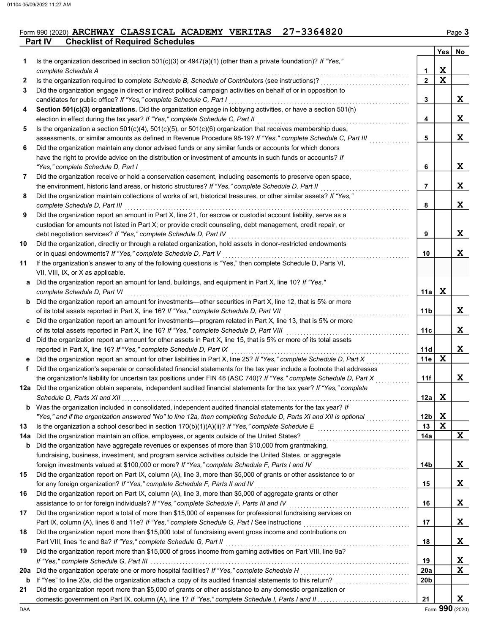### **Part IV** Checklist of Required Schedules Form 990 (2020) ARCHWAY CLASSICAL ACADEMY VERITAS 27-3364820

|     |                                                                                                                                                                                                           |                 | Yes         | No |
|-----|-----------------------------------------------------------------------------------------------------------------------------------------------------------------------------------------------------------|-----------------|-------------|----|
| 1.  | Is the organization described in section $501(c)(3)$ or $4947(a)(1)$ (other than a private foundation)? If "Yes,"                                                                                         |                 |             |    |
|     | complete Schedule A                                                                                                                                                                                       | 1               | X           |    |
| 2   | Is the organization required to complete Schedule B, Schedule of Contributors (see instructions)?                                                                                                         | $\overline{2}$  | $\mathbf x$ |    |
| 3   | Did the organization engage in direct or indirect political campaign activities on behalf of or in opposition to                                                                                          |                 |             |    |
|     | candidates for public office? If "Yes," complete Schedule C, Part I                                                                                                                                       | 3               |             | X  |
| 4   | Section 501(c)(3) organizations. Did the organization engage in lobbying activities, or have a section 501(h)                                                                                             |                 |             |    |
|     | election in effect during the tax year? If "Yes," complete Schedule C, Part II                                                                                                                            | 4               |             | X  |
| 5   | Is the organization a section $501(c)(4)$ , $501(c)(5)$ , or $501(c)(6)$ organization that receives membership dues,                                                                                      |                 |             |    |
|     | assessments, or similar amounts as defined in Revenue Procedure 98-19? If "Yes," complete Schedule C, Part III                                                                                            | 5               |             | X  |
| 6   | Did the organization maintain any donor advised funds or any similar funds or accounts for which donors                                                                                                   |                 |             |    |
|     | have the right to provide advice on the distribution or investment of amounts in such funds or accounts? If                                                                                               |                 |             |    |
|     | "Yes," complete Schedule D, Part I                                                                                                                                                                        | 6               |             | X  |
| 7   | Did the organization receive or hold a conservation easement, including easements to preserve open space,                                                                                                 |                 |             |    |
|     | the environment, historic land areas, or historic structures? If "Yes," complete Schedule D, Part II                                                                                                      | 7               |             | X  |
| 8   | Did the organization maintain collections of works of art, historical treasures, or other similar assets? If "Yes,"                                                                                       |                 |             |    |
|     | complete Schedule D, Part III                                                                                                                                                                             | 8               |             | X  |
| 9   | Did the organization report an amount in Part X, line 21, for escrow or custodial account liability, serve as a                                                                                           |                 |             |    |
|     | custodian for amounts not listed in Part X; or provide credit counseling, debt management, credit repair, or                                                                                              |                 |             |    |
|     | debt negotiation services? If "Yes," complete Schedule D, Part IV                                                                                                                                         | 9               |             | X  |
| 10  | Did the organization, directly or through a related organization, hold assets in donor-restricted endowments                                                                                              |                 |             |    |
|     | or in quasi endowments? If "Yes," complete Schedule D, Part V                                                                                                                                             | 10              |             | X  |
| 11  | If the organization's answer to any of the following questions is "Yes," then complete Schedule D, Parts VI,                                                                                              |                 |             |    |
|     | VII, VIII, IX, or X as applicable.                                                                                                                                                                        |                 |             |    |
| a   | Did the organization report an amount for land, buildings, and equipment in Part X, line 10? If "Yes,"                                                                                                    |                 |             |    |
|     | complete Schedule D, Part VI                                                                                                                                                                              | 11a             | X           |    |
| b   | Did the organization report an amount for investments—other securities in Part X, line 12, that is 5% or more                                                                                             |                 |             |    |
|     | of its total assets reported in Part X, line 16? If "Yes," complete Schedule D, Part VII                                                                                                                  | 11 <sub>b</sub> |             | X  |
| c   | Did the organization report an amount for investments—program related in Part X, line 13, that is 5% or more<br>of its total assets reported in Part X, line 16? If "Yes," complete Schedule D, Part VIII | 11c             |             | X  |
| d   | .<br>Did the organization report an amount for other assets in Part X, line 15, that is 5% or more of its total assets                                                                                    |                 |             |    |
|     | reported in Part X, line 16? If "Yes," complete Schedule D, Part IX                                                                                                                                       | 11d             |             | X  |
| е   | Did the organization report an amount for other liabilities in Part X, line 25? If "Yes," complete Schedule D, Part X                                                                                     | 11e             | X           |    |
| f   | Did the organization's separate or consolidated financial statements for the tax year include a footnote that addresses                                                                                   |                 |             |    |
|     | the organization's liability for uncertain tax positions under FIN 48 (ASC 740)? If "Yes," complete Schedule D, Part X                                                                                    | 11f             |             | X  |
|     | 12a Did the organization obtain separate, independent audited financial statements for the tax year? If "Yes," complete                                                                                   |                 |             |    |
|     |                                                                                                                                                                                                           | 12a             | X           |    |
| b   | Was the organization included in consolidated, independent audited financial statements for the tax year? If                                                                                              |                 |             |    |
|     | "Yes," and if the organization answered "No" to line 12a, then completing Schedule D, Parts XI and XII is optional                                                                                        | 12 <sub>b</sub> | X           |    |
| 13  | Is the organization a school described in section $170(b)(1)(A)(ii)?$ If "Yes," complete Schedule E                                                                                                       | 13              | $\mathbf x$ |    |
| 14a | Did the organization maintain an office, employees, or agents outside of the United States?                                                                                                               | 14a             |             | X  |
| b   | Did the organization have aggregate revenues or expenses of more than \$10,000 from grantmaking,                                                                                                          |                 |             |    |
|     | fundraising, business, investment, and program service activities outside the United States, or aggregate                                                                                                 |                 |             |    |
|     | foreign investments valued at \$100,000 or more? If "Yes," complete Schedule F, Parts I and IV                                                                                                            | 14b             |             | X  |
| 15  | Did the organization report on Part IX, column (A), line 3, more than \$5,000 of grants or other assistance to or                                                                                         |                 |             |    |
|     | for any foreign organization? If "Yes," complete Schedule F, Parts II and IV                                                                                                                              | 15              |             | X  |
| 16  | Did the organization report on Part IX, column (A), line 3, more than \$5,000 of aggregate grants or other                                                                                                |                 |             |    |
|     | assistance to or for foreign individuals? If "Yes," complete Schedule F, Parts III and IV                                                                                                                 | 16              |             | X  |
| 17  | Did the organization report a total of more than \$15,000 of expenses for professional fundraising services on                                                                                            |                 |             |    |
|     | Part IX, column (A), lines 6 and 11e? If "Yes," complete Schedule G, Part I See instructions [[[[[[[[[[[[[[[[                                                                                             | 17              |             | X  |
| 18  | Did the organization report more than \$15,000 total of fundraising event gross income and contributions on                                                                                               |                 |             |    |
|     | Part VIII, lines 1c and 8a? If "Yes," complete Schedule G, Part II                                                                                                                                        | 18              |             | X  |
| 19  | Did the organization report more than \$15,000 of gross income from gaming activities on Part VIII, line 9a?                                                                                              |                 |             |    |
|     |                                                                                                                                                                                                           | 19              |             | X  |
| 20a |                                                                                                                                                                                                           | 20a             |             | X  |
| b   |                                                                                                                                                                                                           | 20 <sub>b</sub> |             |    |
| 21  | Did the organization report more than \$5,000 of grants or other assistance to any domestic organization or                                                                                               |                 |             |    |
|     |                                                                                                                                                                                                           | 21              |             | X  |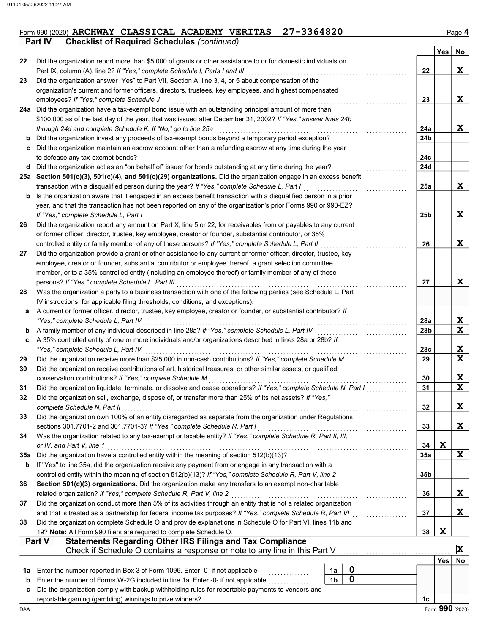### Form 990 (2020) ARCHWAY CLASSICAL ACADEMY VERITAS 27-3364820 **Part IV** Checklist of Required Schedules (continued)

|     | $10011101$ or reduced corrolled $1001111$                                                                                                                                                                         |                |                |                 | Yes        | No                           |
|-----|-------------------------------------------------------------------------------------------------------------------------------------------------------------------------------------------------------------------|----------------|----------------|-----------------|------------|------------------------------|
| 22  | Did the organization report more than \$5,000 of grants or other assistance to or for domestic individuals on                                                                                                     |                |                |                 |            |                              |
|     | Part IX, column (A), line 2? If "Yes," complete Schedule I, Parts I and III                                                                                                                                       |                |                | 22              |            | X                            |
| 23  | Did the organization answer "Yes" to Part VII, Section A, line 3, 4, or 5 about compensation of the                                                                                                               |                |                |                 |            |                              |
|     | organization's current and former officers, directors, trustees, key employees, and highest compensated                                                                                                           |                |                |                 |            |                              |
|     | employees? If "Yes," complete Schedule J                                                                                                                                                                          |                |                | 23              |            | X                            |
|     | 24a Did the organization have a tax-exempt bond issue with an outstanding principal amount of more than                                                                                                           |                |                |                 |            |                              |
|     | \$100,000 as of the last day of the year, that was issued after December 31, 2002? If "Yes," answer lines 24b                                                                                                     |                |                |                 |            |                              |
|     | through 24d and complete Schedule K. If "No," go to line 25a                                                                                                                                                      |                |                | 24a             |            | X                            |
| b   | Did the organization invest any proceeds of tax-exempt bonds beyond a temporary period exception?                                                                                                                 |                |                | 24 <sub>b</sub> |            |                              |
| c   | Did the organization maintain an escrow account other than a refunding escrow at any time during the year                                                                                                         |                |                |                 |            |                              |
|     | to defease any tax-exempt bonds?                                                                                                                                                                                  |                |                | 24c             |            |                              |
| d   | Did the organization act as an "on behalf of" issuer for bonds outstanding at any time during the year?                                                                                                           |                |                | 24d             |            |                              |
|     | 25a Section 501(c)(3), 501(c)(4), and 501(c)(29) organizations. Did the organization engage in an excess benefit                                                                                                  |                |                |                 |            | X                            |
| b   | transaction with a disqualified person during the year? If "Yes," complete Schedule L, Part I<br>Is the organization aware that it engaged in an excess benefit transaction with a disqualified person in a prior |                |                | 25a             |            |                              |
|     | year, and that the transaction has not been reported on any of the organization's prior Forms 990 or 990-EZ?                                                                                                      |                |                |                 |            |                              |
|     | If "Yes," complete Schedule L, Part I                                                                                                                                                                             |                |                | 25b             |            | X                            |
| 26  | Did the organization report any amount on Part X, line 5 or 22, for receivables from or payables to any current                                                                                                   |                |                |                 |            |                              |
|     | or former officer, director, trustee, key employee, creator or founder, substantial contributor, or 35%                                                                                                           |                |                |                 |            |                              |
|     | controlled entity or family member of any of these persons? If "Yes," complete Schedule L, Part II                                                                                                                |                |                | 26              |            | X                            |
| 27  | Did the organization provide a grant or other assistance to any current or former officer, director, trustee, key                                                                                                 |                |                |                 |            |                              |
|     | employee, creator or founder, substantial contributor or employee thereof, a grant selection committee                                                                                                            |                |                |                 |            |                              |
|     | member, or to a 35% controlled entity (including an employee thereof) or family member of any of these                                                                                                            |                |                |                 |            |                              |
|     | persons? If "Yes," complete Schedule L, Part III                                                                                                                                                                  |                |                | 27              |            | X                            |
| 28  | Was the organization a party to a business transaction with one of the following parties (see Schedule L, Part                                                                                                    |                |                |                 |            |                              |
|     | IV instructions, for applicable filing thresholds, conditions, and exceptions):                                                                                                                                   |                |                |                 |            |                              |
| a   | A current or former officer, director, trustee, key employee, creator or founder, or substantial contributor? If                                                                                                  |                |                |                 |            |                              |
|     | "Yes," complete Schedule L, Part IV                                                                                                                                                                               |                |                | 28a             |            | <u>x</u>                     |
| b   | A family member of any individual described in line 28a? If "Yes," complete Schedule L, Part IV                                                                                                                   |                |                | 28b             |            | $\overline{\mathbf{x}}$      |
| c   | A 35% controlled entity of one or more individuals and/or organizations described in lines 28a or 28b? If                                                                                                         |                |                |                 |            |                              |
|     | "Yes," complete Schedule L, Part IV                                                                                                                                                                               |                |                | 28c             |            | X<br>$\overline{\mathbf{x}}$ |
| 29  | Did the organization receive more than \$25,000 in non-cash contributions? If "Yes," complete Schedule M                                                                                                          |                |                | 29              |            |                              |
| 30  | Did the organization receive contributions of art, historical treasures, or other similar assets, or qualified<br>conservation contributions? If "Yes," complete Schedule M                                       |                |                | 30              |            | X                            |
| 31  | Did the organization liquidate, terminate, or dissolve and cease operations? If "Yes," complete Schedule N, Part I                                                                                                |                |                | 31              |            | $\overline{\mathbf{x}}$      |
| 32  | Did the organization sell, exchange, dispose of, or transfer more than 25% of its net assets? If "Yes,"                                                                                                           |                |                |                 |            |                              |
|     | complete Schedule N, Part II                                                                                                                                                                                      |                |                | 32              |            | X                            |
| 33  | Did the organization own 100% of an entity disregarded as separate from the organization under Regulations                                                                                                        |                |                |                 |            |                              |
|     | sections 301.7701-2 and 301.7701-3? If "Yes," complete Schedule R, Part I                                                                                                                                         |                |                | 33              |            | X                            |
| 34  | Was the organization related to any tax-exempt or taxable entity? If "Yes," complete Schedule R, Part II, III,                                                                                                    |                |                |                 |            |                              |
|     | or IV, and Part V, line 1                                                                                                                                                                                         |                |                | 34              | X          |                              |
| 35a | Did the organization have a controlled entity within the meaning of section 512(b)(13)?                                                                                                                           |                |                | <b>35a</b>      |            | X                            |
| b   | If "Yes" to line 35a, did the organization receive any payment from or engage in any transaction with a                                                                                                           |                |                |                 |            |                              |
|     | controlled entity within the meaning of section 512(b)(13)? If "Yes," complete Schedule R, Part V, line 2                                                                                                         |                |                | 35 <sub>b</sub> |            |                              |
| 36  | Section 501(c)(3) organizations. Did the organization make any transfers to an exempt non-charitable                                                                                                              |                |                |                 |            |                              |
|     | related organization? If "Yes," complete Schedule R, Part V, line 2                                                                                                                                               |                |                | 36              |            | X                            |
| 37  | Did the organization conduct more than 5% of its activities through an entity that is not a related organization                                                                                                  |                |                |                 |            |                              |
|     | and that is treated as a partnership for federal income tax purposes? If "Yes," complete Schedule R, Part VI                                                                                                      |                |                | 37              |            | X                            |
| 38  | Did the organization complete Schedule O and provide explanations in Schedule O for Part VI, lines 11b and<br>19? Note: All Form 990 filers are required to complete Schedule O.                                  |                |                | 38              | X          |                              |
|     | <b>Statements Regarding Other IRS Filings and Tax Compliance</b><br>Part V                                                                                                                                        |                |                |                 |            |                              |
|     | Check if Schedule O contains a response or note to any line in this Part V                                                                                                                                        |                |                |                 |            | X                            |
|     |                                                                                                                                                                                                                   |                |                |                 | <b>Yes</b> | No                           |
| 1a  | Enter the number reported in Box 3 of Form 1096. Enter -0- if not applicable                                                                                                                                      | 1a             | 0              |                 |            |                              |
| b   | Enter the number of Forms W-2G included in line 1a. Enter -0- if not applicable                                                                                                                                   | 1 <sub>b</sub> | $\overline{0}$ |                 |            |                              |
| c   | Did the organization comply with backup withholding rules for reportable payments to vendors and                                                                                                                  |                |                |                 |            |                              |
|     |                                                                                                                                                                                                                   |                |                | 1c              |            |                              |
| DAA |                                                                                                                                                                                                                   |                |                |                 |            | Form 990 (2020)              |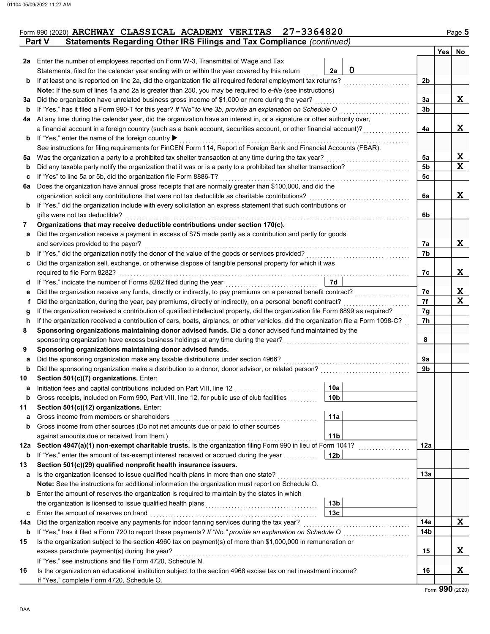|               |  |  | Form 990 (2020) ARCHWAY CLASSICAL ACADEMY VERITAS 27-3364820          | Page 5 |
|---------------|--|--|-----------------------------------------------------------------------|--------|
| <b>Part V</b> |  |  | Statements Regarding Other IRS Filings and Tax Compliance (continued) |        |

|          |                                                                                                                                    |                                    |                                                                                                                        |                | <b>Yes</b> | No          |
|----------|------------------------------------------------------------------------------------------------------------------------------------|------------------------------------|------------------------------------------------------------------------------------------------------------------------|----------------|------------|-------------|
|          | <b>2a</b> Enter the number of employees reported on Form W-3, Transmittal of Wage and Tax                                          |                                    |                                                                                                                        |                |            |             |
|          | Statements, filed for the calendar year ending with or within the year covered by this return                                      | 2a                                 | 0                                                                                                                      |                |            |             |
| b        | If at least one is reported on line 2a, did the organization file all required federal employment tax returns?                     |                                    |                                                                                                                        | 2 <sub>b</sub> |            |             |
|          | Note: If the sum of lines 1a and 2a is greater than 250, you may be required to e-file (see instructions)                          |                                    |                                                                                                                        |                |            |             |
| За       | Did the organization have unrelated business gross income of \$1,000 or more during the year?                                      |                                    |                                                                                                                        | За             |            | X           |
| b        | If "Yes," has it filed a Form 990-T for this year? If "No" to line 3b, provide an explanation on Schedule O                        |                                    |                                                                                                                        | 3 <sub>b</sub> |            |             |
| 4a       | At any time during the calendar year, did the organization have an interest in, or a signature or other authority over,            |                                    |                                                                                                                        |                |            |             |
|          | a financial account in a foreign country (such as a bank account, securities account, or other financial account)?                 |                                    |                                                                                                                        | 4a             |            | X           |
| b        | If "Yes," enter the name of the foreign country ▶                                                                                  |                                    |                                                                                                                        |                |            |             |
|          | See instructions for filing requirements for FinCEN Form 114, Report of Foreign Bank and Financial Accounts (FBAR).                |                                    |                                                                                                                        |                |            |             |
| 5a       | Was the organization a party to a prohibited tax shelter transaction at any time during the tax year?                              |                                    |                                                                                                                        | 5a             |            | X           |
| b        | Did any taxable party notify the organization that it was or is a party to a prohibited tax shelter transaction?                   |                                    |                                                                                                                        | 5 <sub>b</sub> |            | $\mathbf x$ |
| c        | If "Yes" to line 5a or 5b, did the organization file Form 8886-T?                                                                  |                                    |                                                                                                                        | 5c             |            |             |
| 6a       | Does the organization have annual gross receipts that are normally greater than \$100,000, and did the                             |                                    |                                                                                                                        |                |            |             |
|          | organization solicit any contributions that were not tax deductible as charitable contributions?                                   |                                    |                                                                                                                        | 6a             |            | X           |
| b        | If "Yes," did the organization include with every solicitation an express statement that such contributions or                     |                                    |                                                                                                                        |                |            |             |
|          | gifts were not tax deductible?                                                                                                     |                                    |                                                                                                                        | 6b             |            |             |
| 7        | Organizations that may receive deductible contributions under section 170(c).                                                      |                                    |                                                                                                                        |                |            |             |
| a        | Did the organization receive a payment in excess of \$75 made partly as a contribution and partly for goods                        |                                    |                                                                                                                        |                |            |             |
|          | and services provided to the payor?                                                                                                |                                    |                                                                                                                        | 7а             |            | X           |
| b        | If "Yes," did the organization notify the donor of the value of the goods or services provided?                                    |                                    |                                                                                                                        | 7b             |            |             |
| c        | Did the organization sell, exchange, or otherwise dispose of tangible personal property for which it was                           |                                    |                                                                                                                        |                |            |             |
|          | required to file Form 8282?<br>If "Yes," indicate the number of Forms 8282 filed during the year                                   | 7d                                 |                                                                                                                        | 7с             |            | X           |
| d        | Did the organization receive any funds, directly or indirectly, to pay premiums on a personal benefit contract?                    |                                    |                                                                                                                        | 7e             |            | X           |
| е<br>f   | Did the organization, during the year, pay premiums, directly or indirectly, on a personal benefit contract?                       |                                    |                                                                                                                        | 7f             |            | $\mathbf x$ |
| g        | If the organization received a contribution of qualified intellectual property, did the organization file Form 8899 as required?   |                                    |                                                                                                                        | 7g             |            |             |
| h        | If the organization received a contribution of cars, boats, airplanes, or other vehicles, did the organization file a Form 1098-C? |                                    |                                                                                                                        | 7h             |            |             |
| 8        | Sponsoring organizations maintaining donor advised funds. Did a donor advised fund maintained by the                               |                                    |                                                                                                                        |                |            |             |
|          | sponsoring organization have excess business holdings at any time during the year?                                                 |                                    |                                                                                                                        | 8              |            |             |
| 9        | Sponsoring organizations maintaining donor advised funds.                                                                          |                                    |                                                                                                                        |                |            |             |
| a        | Did the sponsoring organization make any taxable distributions under section 4966?                                                 |                                    |                                                                                                                        | 9a             |            |             |
| b        | Did the sponsoring organization make a distribution to a donor, donor advisor, or related person?                                  |                                    |                                                                                                                        | 9b             |            |             |
| 10       | Section 501(c)(7) organizations. Enter:                                                                                            |                                    |                                                                                                                        |                |            |             |
| а        | Initiation fees and capital contributions included on Part VIII, line 12                                                           | 10a                                |                                                                                                                        |                |            |             |
| b        | Gross receipts, included on Form 990, Part VIII, line 12, for public use of club facilities                                        | 10 <sub>b</sub>                    |                                                                                                                        |                |            |             |
| 11       | Section 501(c)(12) organizations. Enter:                                                                                           |                                    |                                                                                                                        |                |            |             |
| а        | Gross income from members or shareholders                                                                                          | 11a                                |                                                                                                                        |                |            |             |
| b        | Gross income from other sources (Do not net amounts due or paid to other sources                                                   |                                    |                                                                                                                        |                |            |             |
|          | against amounts due or received from them.)                                                                                        | 11 <sub>b</sub>                    |                                                                                                                        |                |            |             |
| 12a      | Section 4947(a)(1) non-exempt charitable trusts. Is the organization filing Form 990 in lieu of Form 1041?                         |                                    | <u> 1999 - Johann Stoff, amerikansk fotografisk fotografisk fotografisk fotografisk fotografisk fotografisk fotogr</u> | 12a            |            |             |
| b        | If "Yes," enter the amount of tax-exempt interest received or accrued during the year                                              | 12 <sub>b</sub>                    |                                                                                                                        |                |            |             |
| 13       | Section 501(c)(29) qualified nonprofit health insurance issuers.                                                                   |                                    |                                                                                                                        |                |            |             |
| а        | Is the organization licensed to issue qualified health plans in more than one state?                                               |                                    |                                                                                                                        | 13a            |            |             |
|          | Note: See the instructions for additional information the organization must report on Schedule O.                                  |                                    |                                                                                                                        |                |            |             |
| b        | Enter the amount of reserves the organization is required to maintain by the states in which                                       |                                    |                                                                                                                        |                |            |             |
|          |                                                                                                                                    | 13 <sub>b</sub><br>13 <sub>c</sub> |                                                                                                                        |                |            |             |
| c        | Enter the amount of reserves on hand<br>Did the organization receive any payments for indoor tanning services during the tax year? |                                    |                                                                                                                        | 14a            |            | X           |
| 14a<br>b |                                                                                                                                    |                                    |                                                                                                                        | 14b            |            |             |
| 15       | Is the organization subject to the section 4960 tax on payment(s) of more than \$1,000,000 in remuneration or                      |                                    |                                                                                                                        |                |            |             |
|          | excess parachute payment(s) during the year?                                                                                       |                                    |                                                                                                                        | 15             |            | X           |
|          | If "Yes," see instructions and file Form 4720, Schedule N.                                                                         |                                    |                                                                                                                        |                |            |             |
| 16       | Is the organization an educational institution subject to the section 4968 excise tax on net investment income?                    |                                    |                                                                                                                        | 16             |            | X           |
|          | If "Yes," complete Form 4720, Schedule O.                                                                                          |                                    |                                                                                                                        |                |            |             |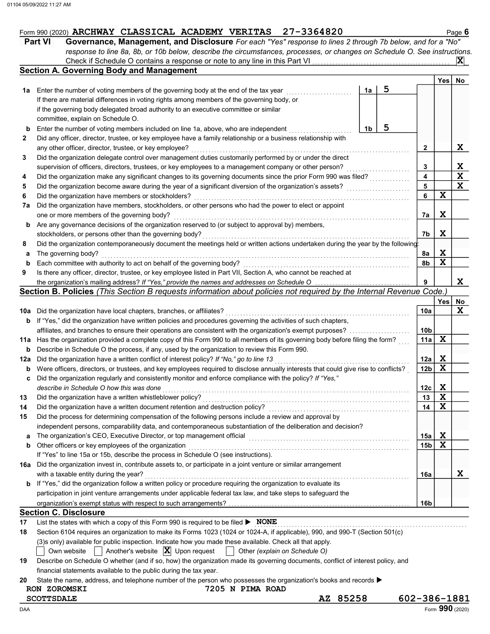|  | Form 990 (2020) ARCHWAY CLASSICAL ACADEMY VERITAS |  | 27-3364820 | Page <b>b</b> |  |
|--|---------------------------------------------------|--|------------|---------------|--|
|  |                                                   |  |            |               |  |

|              | <b>Part VI</b><br>Governance, Management, and Disclosure For each "Yes" response to lines 2 through 7b below, and for a "No"      |    |      |              |  |  |
|--------------|-----------------------------------------------------------------------------------------------------------------------------------|----|------|--------------|--|--|
|              | response to line 8a, 8b, or 10b below, describe the circumstances, processes, or changes on Schedule O. See instructions.         |    |      |              |  |  |
|              |                                                                                                                                   |    |      | $ {\bf X} $  |  |  |
|              | <b>Section A. Governing Body and Management</b>                                                                                   |    |      |              |  |  |
|              |                                                                                                                                   |    | Yesl | No           |  |  |
| 1a l         | 5<br>Enter the number of voting members of the governing body at the end of the tax year<br>1a                                    |    |      |              |  |  |
|              | If there are material differences in voting rights among members of the governing body, or                                        |    |      |              |  |  |
|              | if the governing body delegated broad authority to an executive committee or similar                                              |    |      |              |  |  |
|              | committee, explain on Schedule O.                                                                                                 |    |      |              |  |  |
| b            | 5<br>Enter the number of voting members included on line 1a, above, who are independent<br>1b                                     |    |      |              |  |  |
| $\mathbf{2}$ | Did any officer, director, trustee, or key employee have a family relationship or a business relationship with                    |    |      |              |  |  |
|              | any other officer, director, trustee, or key employee?                                                                            | 2  |      | X            |  |  |
| 3            | Did the organization delegate control over management duties customarily performed by or under the direct                         |    |      |              |  |  |
|              | supervision of officers, directors, trustees, or key employees to a management company or other person?                           |    |      |              |  |  |
| 4            | Did the organization make any significant changes to its governing documents since the prior Form 990 was filed?                  |    |      |              |  |  |
| 5            | Did the organization become aware during the year of a significant diversion of the organization's assets?                        | 5  |      | $\mathbf{x}$ |  |  |
| 6            | Did the organization have members or stockholders?                                                                                | 6  | X    |              |  |  |
| 7a           | Did the organization have members, stockholders, or other persons who had the power to elect or appoint                           |    |      |              |  |  |
|              | one or more members of the governing body?                                                                                        | 7a | X    |              |  |  |
| b            | Are any governance decisions of the organization reserved to (or subject to approval by) members,                                 |    |      |              |  |  |
|              | stockholders, or persons other than the governing body?                                                                           | 7b | X    |              |  |  |
| 8            | Did the organization contemporaneously document the meetings held or written actions undertaken during the year by the following: |    |      |              |  |  |
| a            | The governing body?                                                                                                               | 8a | X    |              |  |  |
| b            | Each committee with authority to act on behalf of the governing body?                                                             | 8b | X    |              |  |  |
| 9            | Is there any officer, director, trustee, or key employee listed in Part VII, Section A, who cannot be reached at                  |    |      |              |  |  |
|              | the organization's mailing address? If "Yes," provide the names and addresses on Schedule O                                       | 9  |      | x            |  |  |

### Section B. Policies (This Section B requests information about policies not required by the Internal Revenue Code.)

|     |                                                                                                                                     |                 | Yes | No |
|-----|-------------------------------------------------------------------------------------------------------------------------------------|-----------------|-----|----|
| 10a | Did the organization have local chapters, branches, or affiliates?                                                                  | 10a             |     | X  |
| b   | If "Yes," did the organization have written policies and procedures governing the activities of such chapters,                      |                 |     |    |
|     | affiliates, and branches to ensure their operations are consistent with the organization's exempt purposes?                         | 10 <sub>b</sub> |     |    |
| 11a | Has the organization provided a complete copy of this Form 990 to all members of its governing body before filing the form?         | 11a             | X   |    |
| b   | Describe in Schedule O the process, if any, used by the organization to review this Form 990.                                       |                 |     |    |
| 12a | Did the organization have a written conflict of interest policy? If "No," go to line 13                                             | 12a             | X   |    |
| b   | Were officers, directors, or trustees, and key employees required to disclose annually interests that could give rise to conflicts? | 12 <sub>b</sub> | X   |    |
| c   | Did the organization regularly and consistently monitor and enforce compliance with the policy? If "Yes,"                           |                 |     |    |
|     | describe in Schedule O how this was done                                                                                            | 12c             | x   |    |
| 13  | Did the organization have a written whistleblower policy?                                                                           | 13              | X   |    |
| 14  | Did the organization have a written document retention and destruction policy?                                                      | 14              | X   |    |
| 15  | Did the process for determining compensation of the following persons include a review and approval by                              |                 |     |    |
|     | independent persons, comparability data, and contemporaneous substantiation of the deliberation and decision?                       |                 |     |    |
| a   | The organization's CEO, Executive Director, or top management official                                                              | 15a             | x   |    |
| b   | Other officers or key employees of the organization                                                                                 | 15 <sub>b</sub> | X   |    |
|     | If "Yes" to line 15a or 15b, describe the process in Schedule O (see instructions).                                                 |                 |     |    |
| 16а | Did the organization invest in, contribute assets to, or participate in a joint venture or similar arrangement                      |                 |     |    |
|     | with a taxable entity during the year?                                                                                              | 16a             |     | x  |
| b   | If "Yes," did the organization follow a written policy or procedure requiring the organization to evaluate its                      |                 |     |    |
|     | participation in joint venture arrangements under applicable federal tax law, and take steps to safeguard the                       |                 |     |    |
|     |                                                                                                                                     | 16b             |     |    |
|     | <b>Section C. Disclosure</b>                                                                                                        |                 |     |    |

#### 17 List the states with which a copy of this Form 990 is required to be filed . . . . . . . . . . . . . . . . . . . . . . . . . . . . . . . . . . . . . . . . . . . . . . . . . . . . . . . . . . . . . . . . . . . . . . . . . . NONE

|    | $602 -$<br><b>SCOTTSDALE</b><br>AZ 85258                                                                                             |  |  |  |  |  |
|----|--------------------------------------------------------------------------------------------------------------------------------------|--|--|--|--|--|
|    | 7205 N PIMA ROAD<br><b>RON ZOROMSKI</b>                                                                                              |  |  |  |  |  |
| 20 | State the name, address, and telephone number of the person who possesses the organization's books and records $\blacktriangleright$ |  |  |  |  |  |
|    | financial statements available to the public during the tax year.                                                                    |  |  |  |  |  |
| 19 | Describe on Schedule O whether (and if so, how) the organization made its governing documents, conflict of interest policy, and      |  |  |  |  |  |
|    | Own website $\Box$ Another's website $\Box$ Upon request $\Box$ Other (explain on Schedule O)                                        |  |  |  |  |  |
|    | (3)s only) available for public inspection. Indicate how you made these available. Check all that apply.                             |  |  |  |  |  |
| 18 | Section 6104 requires an organization to make its Forms 1023 (1024 or 1024-A, if applicable), 990, and 990-T (Section 501(c)         |  |  |  |  |  |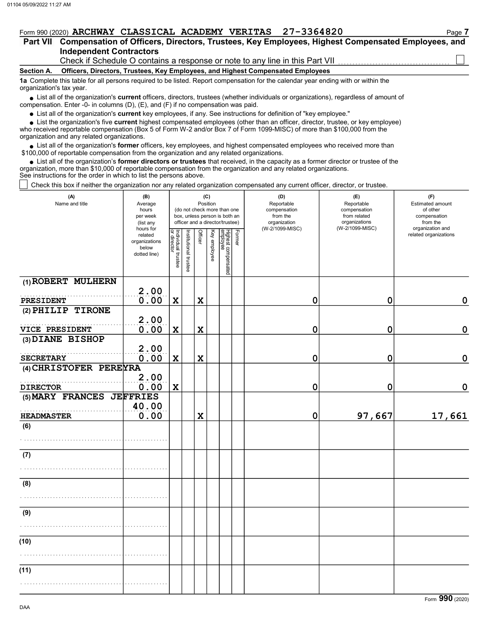|                          | Form 990 (2020) ARCHWAY CLASSICAL ACADEMY VERITAS 27-3364820                                                                           | Page 7 |
|--------------------------|----------------------------------------------------------------------------------------------------------------------------------------|--------|
|                          | Part VII Compensation of Officers, Directors, Trustees, Key Employees, Highest Compensated Employees, and                              |        |
|                          | <b>Independent Contractors</b>                                                                                                         |        |
|                          | Check if Schedule O contains a response or note to any line in this Part VII                                                           |        |
| <b>Section A.</b>        | Officers, Directors, Trustees, Key Employees, and Highest Compensated Employees                                                        |        |
| organization's tax year. | 1a Complete this table for all persons required to be listed. Report compensation for the calendar year ending with or within the      |        |
|                          | • List all of the organization's current officers, directors, trustees (whether individuals or organizations), regardless of amount of |        |

• List all of the organization's current officers, directors, trustees (whether ind compensation. Enter -0- in columns (D), (E), and (F) if no compensation was paid.

• List all of the organization's **current** key employees, if any. See instructions for definition of "key employee."

• List the organization's five **current** highest compensated employees (other than an officer, director, trustee, or key employee)<br>• received reportable compensation (Box 5 of Form W 2 and/or Box 7 of Form 1000 MISC) of m

who received reportable compensation (Box 5 of Form W-2 and/or Box 7 of Form 1099-MISC) of more than \$100,000 from the organization and any related organizations.

 $\bullet$  List all of the organization's **former** officers, key employees, and highest compensated employees who received more than  $\Omega$  0.00 of reportable compensation from the erganization and any related erganizations. \$100,000 of reportable compensation from the organization and any related organizations.

 $\bullet$  List all of the organization's **former directors or trustees** that received, in the capacity as a former director or trustee of the entrance in the organization and any related organizations organization, more than \$10,000 of reportable compensation from the organization and any related organizations. See instructions for the order in which to list the persons above.

Check this box if neither the organization nor any related organization compensated any current officer, director, or trustee.

| (A)<br>Name and title     | (B)<br>Average<br>hours<br>per week<br>(list any<br>hours for |                                          |                       |                | (C)<br>Position | (do not check more than one<br>box, unless person is both an<br>officer and a director/trustee) |        | (D)<br>Reportable<br>compensation<br>from the<br>organization<br>(W-2/1099-MISC) | (E)<br>Reportable<br>compensation<br>from related<br>organizations<br>(W-2/1099-MISC) | (F)<br><b>Estimated amount</b><br>of other<br>compensation<br>from the<br>organization and |
|---------------------------|---------------------------------------------------------------|------------------------------------------|-----------------------|----------------|-----------------|-------------------------------------------------------------------------------------------------|--------|----------------------------------------------------------------------------------|---------------------------------------------------------------------------------------|--------------------------------------------------------------------------------------------|
|                           | related<br>organizations<br>below<br>dotted line)             | Individual trustee<br><u>or director</u> | Institutional trustee | <b>Officer</b> | Key employee    | Highest compensated<br>employee                                                                 | Former |                                                                                  |                                                                                       | related organizations                                                                      |
| (1) ROBERT MULHERN        | 2.00                                                          |                                          |                       |                |                 |                                                                                                 |        |                                                                                  |                                                                                       |                                                                                            |
| PRESIDENT                 | 0.00                                                          | $\mathbf x$                              |                       | $\mathbf x$    |                 |                                                                                                 |        | $\mathbf 0$                                                                      | 0                                                                                     | $\mathbf 0$                                                                                |
| (2) PHILIP TIRONE         | 2.00                                                          |                                          |                       |                |                 |                                                                                                 |        |                                                                                  |                                                                                       |                                                                                            |
| VICE PRESIDENT            | 0.00                                                          | $\mathbf x$                              |                       | $\mathbf x$    |                 |                                                                                                 |        | $\mathbf 0$                                                                      | $\mathbf 0$                                                                           | 0                                                                                          |
| (3) DIANE BISHOP          |                                                               |                                          |                       |                |                 |                                                                                                 |        |                                                                                  |                                                                                       |                                                                                            |
|                           | 2.00                                                          |                                          |                       |                |                 |                                                                                                 |        |                                                                                  |                                                                                       |                                                                                            |
| <b>SECRETARY</b>          | 0.00                                                          | $\mathbf x$                              |                       | $\mathbf x$    |                 |                                                                                                 |        | 0                                                                                | 0                                                                                     | 0                                                                                          |
| (4) CHRISTOFER PEREYRA    |                                                               |                                          |                       |                |                 |                                                                                                 |        |                                                                                  |                                                                                       |                                                                                            |
|                           | 2.00                                                          |                                          |                       |                |                 |                                                                                                 |        |                                                                                  |                                                                                       |                                                                                            |
| <b>DIRECTOR</b>           | 0.00                                                          | $\mathbf x$                              |                       |                |                 |                                                                                                 |        | $\mathbf 0$                                                                      | 0                                                                                     | $\mathbf 0$                                                                                |
| (5) MARY FRANCES JEFFRIES | 40.00                                                         |                                          |                       |                |                 |                                                                                                 |        |                                                                                  |                                                                                       |                                                                                            |
| <b>HEADMASTER</b>         | 0.00                                                          |                                          |                       | $\mathbf x$    |                 |                                                                                                 |        | $\mathbf 0$                                                                      | 97,667                                                                                | 17,661                                                                                     |
| (6)                       |                                                               |                                          |                       |                |                 |                                                                                                 |        |                                                                                  |                                                                                       |                                                                                            |
|                           |                                                               |                                          |                       |                |                 |                                                                                                 |        |                                                                                  |                                                                                       |                                                                                            |
| (7)                       |                                                               |                                          |                       |                |                 |                                                                                                 |        |                                                                                  |                                                                                       |                                                                                            |
|                           |                                                               |                                          |                       |                |                 |                                                                                                 |        |                                                                                  |                                                                                       |                                                                                            |
| (8)                       |                                                               |                                          |                       |                |                 |                                                                                                 |        |                                                                                  |                                                                                       |                                                                                            |
|                           |                                                               |                                          |                       |                |                 |                                                                                                 |        |                                                                                  |                                                                                       |                                                                                            |
| (9)                       |                                                               |                                          |                       |                |                 |                                                                                                 |        |                                                                                  |                                                                                       |                                                                                            |
|                           |                                                               |                                          |                       |                |                 |                                                                                                 |        |                                                                                  |                                                                                       |                                                                                            |
| (10)                      |                                                               |                                          |                       |                |                 |                                                                                                 |        |                                                                                  |                                                                                       |                                                                                            |
|                           |                                                               |                                          |                       |                |                 |                                                                                                 |        |                                                                                  |                                                                                       |                                                                                            |
| (11)                      |                                                               |                                          |                       |                |                 |                                                                                                 |        |                                                                                  |                                                                                       |                                                                                            |
|                           |                                                               |                                          |                       |                |                 |                                                                                                 |        |                                                                                  |                                                                                       |                                                                                            |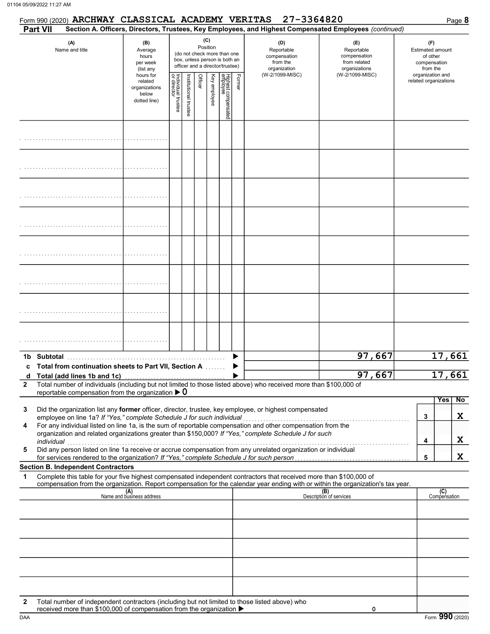|                   |                       |                                           | Form 990 (2020) ARCHWAY CLASSICAL ACADEMY VERITAS                      |                                                                                                                                   |  |                 |                                                                                                 | 27-3364820                                                                                                                                                                                                           |                                                                                                                                                                    |                                                                                            | Page 8           |
|-------------------|-----------------------|-------------------------------------------|------------------------------------------------------------------------|-----------------------------------------------------------------------------------------------------------------------------------|--|-----------------|-------------------------------------------------------------------------------------------------|----------------------------------------------------------------------------------------------------------------------------------------------------------------------------------------------------------------------|--------------------------------------------------------------------------------------------------------------------------------------------------------------------|--------------------------------------------------------------------------------------------|------------------|
|                   | <b>Part VII</b>       |                                           |                                                                        |                                                                                                                                   |  |                 |                                                                                                 |                                                                                                                                                                                                                      | Section A. Officers, Directors, Trustees, Key Employees, and Highest Compensated Employees (continued)                                                             |                                                                                            |                  |
|                   | (A)<br>Name and title |                                           | (B)<br>Average<br>hours<br>per week<br>(list any                       |                                                                                                                                   |  | (C)<br>Position | (do not check more than one<br>box, unless person is both an<br>officer and a director/trustee) | (D)<br>Reportable<br>compensation<br>from the<br>organization<br>(W-2/1099-MISC)                                                                                                                                     | (E)<br>Reportable<br>compensation<br>from related<br>organizations                                                                                                 | (F)<br><b>Estimated amount</b><br>of other<br>compensation<br>from the<br>organization and |                  |
|                   |                       |                                           | hours for<br>related<br>organizations<br>below<br>dotted line)         | Highest compensated<br>employee<br>Former<br>Key employee<br>Individual trustee<br>or director<br>Officer<br>Institutional truste |  | (W-2/1099-MISC) | related organizations                                                                           |                                                                                                                                                                                                                      |                                                                                                                                                                    |                                                                                            |                  |
|                   |                       |                                           |                                                                        |                                                                                                                                   |  |                 |                                                                                                 |                                                                                                                                                                                                                      |                                                                                                                                                                    |                                                                                            |                  |
|                   |                       |                                           |                                                                        |                                                                                                                                   |  |                 |                                                                                                 |                                                                                                                                                                                                                      |                                                                                                                                                                    |                                                                                            |                  |
|                   |                       |                                           |                                                                        |                                                                                                                                   |  |                 |                                                                                                 |                                                                                                                                                                                                                      |                                                                                                                                                                    |                                                                                            |                  |
|                   |                       |                                           |                                                                        |                                                                                                                                   |  |                 |                                                                                                 |                                                                                                                                                                                                                      |                                                                                                                                                                    |                                                                                            |                  |
|                   |                       |                                           |                                                                        |                                                                                                                                   |  |                 |                                                                                                 |                                                                                                                                                                                                                      |                                                                                                                                                                    |                                                                                            |                  |
|                   |                       |                                           |                                                                        |                                                                                                                                   |  |                 |                                                                                                 |                                                                                                                                                                                                                      |                                                                                                                                                                    |                                                                                            |                  |
|                   |                       |                                           |                                                                        |                                                                                                                                   |  |                 |                                                                                                 |                                                                                                                                                                                                                      |                                                                                                                                                                    |                                                                                            |                  |
|                   |                       |                                           |                                                                        |                                                                                                                                   |  |                 |                                                                                                 |                                                                                                                                                                                                                      |                                                                                                                                                                    |                                                                                            |                  |
|                   |                       |                                           | c Total from continuation sheets to Part VII, Section A                |                                                                                                                                   |  |                 |                                                                                                 |                                                                                                                                                                                                                      | 97,667<br>97,667                                                                                                                                                   |                                                                                            | 17,661<br>17,661 |
| d<br>$\mathbf{2}$ |                       |                                           |                                                                        |                                                                                                                                   |  |                 |                                                                                                 | Total number of individuals (including but not limited to those listed above) who received more than \$100,000 of                                                                                                    |                                                                                                                                                                    |                                                                                            |                  |
|                   |                       |                                           | reportable compensation from the organization $\triangleright$ 0       |                                                                                                                                   |  |                 |                                                                                                 |                                                                                                                                                                                                                      |                                                                                                                                                                    | Yes                                                                                        | No               |
| 3                 |                       |                                           | employee on line 1a? If "Yes," complete Schedule J for such individual |                                                                                                                                   |  |                 |                                                                                                 | Did the organization list any former officer, director, trustee, key employee, or highest compensated                                                                                                                |                                                                                                                                                                    | 3                                                                                          | X                |
| 4                 |                       |                                           |                                                                        |                                                                                                                                   |  |                 |                                                                                                 | For any individual listed on line 1a, is the sum of reportable compensation and other compensation from the<br>organization and related organizations greater than \$150,000? If "Yes," complete Schedule J for such |                                                                                                                                                                    |                                                                                            |                  |
| 5                 | individual            |                                           |                                                                        |                                                                                                                                   |  |                 |                                                                                                 | Did any person listed on line 1a receive or accrue compensation from any unrelated organization or individual                                                                                                        |                                                                                                                                                                    | 4                                                                                          | X                |
|                   |                       | <b>Section B. Independent Contractors</b> |                                                                        |                                                                                                                                   |  |                 |                                                                                                 |                                                                                                                                                                                                                      |                                                                                                                                                                    | 5                                                                                          | X                |
| 1                 |                       |                                           |                                                                        |                                                                                                                                   |  |                 |                                                                                                 | Complete this table for your five highest compensated independent contractors that received more than \$100,000 of                                                                                                   |                                                                                                                                                                    |                                                                                            |                  |
|                   |                       |                                           | (A)<br>Name and business address                                       |                                                                                                                                   |  |                 |                                                                                                 |                                                                                                                                                                                                                      | compensation from the organization. Report compensation for the calendar year ending with or within the organization's tax year.<br>(B)<br>Description of services | (C)<br>Compensation                                                                        |                  |
|                   |                       |                                           |                                                                        |                                                                                                                                   |  |                 |                                                                                                 |                                                                                                                                                                                                                      |                                                                                                                                                                    |                                                                                            |                  |
|                   |                       |                                           |                                                                        |                                                                                                                                   |  |                 |                                                                                                 |                                                                                                                                                                                                                      |                                                                                                                                                                    |                                                                                            |                  |
|                   |                       |                                           |                                                                        |                                                                                                                                   |  |                 |                                                                                                 |                                                                                                                                                                                                                      |                                                                                                                                                                    |                                                                                            |                  |
|                   |                       |                                           |                                                                        |                                                                                                                                   |  |                 |                                                                                                 |                                                                                                                                                                                                                      |                                                                                                                                                                    |                                                                                            |                  |
| $\mathbf{2}$      |                       |                                           | received more than \$100,000 of compensation from the organization ▶   |                                                                                                                                   |  |                 |                                                                                                 | Total number of independent contractors (including but not limited to those listed above) who                                                                                                                        | 0                                                                                                                                                                  |                                                                                            |                  |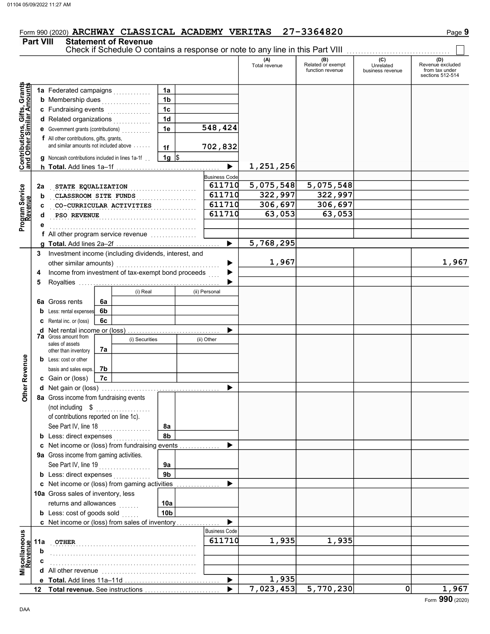## Form 990 (2020) ARCHWAY CLASSICAL ACADEMY VERITAS 27-3364820

## Part VIII Statement of Revenue

Check if Schedule O contains a response or note to any line in this Part VIII ................................

|                                                                  |                  |                                                        |    |                        |                 |                      | (A)<br>Total revenue | (B)<br>Related or exempt<br>function revenue | (C)<br>Unrelated<br>business revenue | (D)<br>Revenue excluded<br>from tax under<br>sections 512-514 |
|------------------------------------------------------------------|------------------|--------------------------------------------------------|----|------------------------|-----------------|----------------------|----------------------|----------------------------------------------|--------------------------------------|---------------------------------------------------------------|
| <b>Contributions, Gifts, Grants</b><br>and Other Similar Amounts |                  | 1a Federated campaigns                                 |    | in de la provincia     | 1a              |                      |                      |                                              |                                      |                                                               |
|                                                                  |                  | <b>b</b> Membership dues                               |    | .                      | 1 <sub>b</sub>  |                      |                      |                                              |                                      |                                                               |
|                                                                  |                  | c Fundraising events                                   |    | in a bha an an an an a | 1 <sub>c</sub>  |                      |                      |                                              |                                      |                                                               |
|                                                                  |                  | d Related organizations                                |    |                        | 1 <sub>d</sub>  |                      |                      |                                              |                                      |                                                               |
|                                                                  |                  | <b>e</b> Government grants (contributions)             |    |                        | 1e              | 548,424              |                      |                                              |                                      |                                                               |
|                                                                  |                  | <b>f</b> All other contributions, gifts, grants,       |    |                        |                 |                      |                      |                                              |                                      |                                                               |
|                                                                  |                  | and similar amounts not included above                 |    |                        | 1f              | 702,832              |                      |                                              |                                      |                                                               |
|                                                                  |                  | <b>q</b> Noncash contributions included in lines 1a-1f |    |                        | $1g$ \$         |                      |                      |                                              |                                      |                                                               |
|                                                                  |                  |                                                        |    |                        |                 | ▶                    | 1,251,256            |                                              |                                      |                                                               |
|                                                                  |                  |                                                        |    |                        |                 | <b>Business Code</b> |                      |                                              |                                      |                                                               |
|                                                                  | 2a               | STATE EQUALIZATION                                     |    |                        |                 | 611710               | 5,075,548            | 5,075,548                                    |                                      |                                                               |
|                                                                  | b                | CLASSROOM SITE FUNDS                                   |    |                        |                 | 611710               | 322,997              | 322,997                                      |                                      |                                                               |
|                                                                  | с                | CO-CURRICULAR ACTIVITIES                               |    |                        |                 | 611710               | 306,697              | 306,697                                      |                                      |                                                               |
|                                                                  | d                | PSO REVENUE                                            |    |                        |                 | 611710               | 63,053               | 63,053                                       |                                      |                                                               |
| Program Service                                                  |                  |                                                        |    |                        |                 |                      |                      |                                              |                                      |                                                               |
|                                                                  |                  | <b>f</b> All other program service revenue $\ldots$    |    |                        |                 |                      |                      |                                              |                                      |                                                               |
|                                                                  |                  |                                                        |    |                        |                 | ▶                    | 5,768,295            |                                              |                                      |                                                               |
|                                                                  | 3                | Investment income (including dividends, interest, and  |    |                        |                 |                      |                      |                                              |                                      |                                                               |
|                                                                  |                  | other similar amounts)                                 |    |                        |                 |                      | 1,967                |                                              |                                      | 1,967                                                         |
|                                                                  | 4                | Income from investment of tax-exempt bond proceeds     |    |                        |                 |                      |                      |                                              |                                      |                                                               |
|                                                                  | 5                |                                                        |    |                        |                 |                      |                      |                                              |                                      |                                                               |
|                                                                  |                  |                                                        |    | (i) Real               |                 | (ii) Personal        |                      |                                              |                                      |                                                               |
|                                                                  | 6a               | Gross rents                                            | 6a |                        |                 |                      |                      |                                              |                                      |                                                               |
|                                                                  | b                | Less: rental expenses                                  | 6b |                        |                 |                      |                      |                                              |                                      |                                                               |
|                                                                  |                  | Rental inc. or (loss)                                  | 6c |                        |                 |                      |                      |                                              |                                      |                                                               |
|                                                                  | d                | Net rental income or (loss)                            |    |                        |                 |                      |                      |                                              |                                      |                                                               |
|                                                                  |                  | <b>7a</b> Gross amount from<br>sales of assets         |    | (i) Securities         |                 | (ii) Other           |                      |                                              |                                      |                                                               |
|                                                                  |                  | other than inventory                                   | 7a |                        |                 |                      |                      |                                              |                                      |                                                               |
|                                                                  | b                | Less: cost or other                                    |    |                        |                 |                      |                      |                                              |                                      |                                                               |
|                                                                  |                  | basis and sales exps.                                  | 7b |                        |                 |                      |                      |                                              |                                      |                                                               |
|                                                                  |                  | c Gain or (loss)                                       | 7c |                        |                 |                      |                      |                                              |                                      |                                                               |
| Other Revenue                                                    |                  |                                                        |    |                        |                 |                      |                      |                                              |                                      |                                                               |
|                                                                  |                  | 8a Gross income from fundraising events                |    |                        |                 |                      |                      |                                              |                                      |                                                               |
|                                                                  |                  | (not including \$                                      |    | .                      |                 |                      |                      |                                              |                                      |                                                               |
|                                                                  |                  | of contributions reported on line 1c).                 |    |                        |                 |                      |                      |                                              |                                      |                                                               |
|                                                                  |                  | See Part IV, line 18                                   |    |                        | 8а              |                      |                      |                                              |                                      |                                                               |
|                                                                  |                  | <b>b</b> Less: direct expenses                         |    |                        | 8b              |                      |                      |                                              |                                      |                                                               |
|                                                                  |                  | c Net income or (loss) from fundraising events         |    |                        |                 |                      |                      |                                              |                                      |                                                               |
|                                                                  |                  | 9a Gross income from gaming activities.                |    |                        |                 |                      |                      |                                              |                                      |                                                               |
|                                                                  |                  | See Part IV, line 19                                   |    |                        | 9a              |                      |                      |                                              |                                      |                                                               |
|                                                                  |                  | <b>b</b> Less: direct expenses                         |    |                        | 9 <sub>b</sub>  |                      |                      |                                              |                                      |                                                               |
|                                                                  |                  | c Net income or (loss) from gaming activities          |    |                        |                 |                      |                      |                                              |                                      |                                                               |
|                                                                  |                  | 10a Gross sales of inventory, less                     |    |                        |                 |                      |                      |                                              |                                      |                                                               |
|                                                                  |                  | returns and allowances                                 |    |                        | 10a             |                      |                      |                                              |                                      |                                                               |
|                                                                  |                  | <b>b</b> Less: cost of goods sold                      |    |                        | 10 <sub>b</sub> |                      |                      |                                              |                                      |                                                               |
|                                                                  |                  | c Net income or (loss) from sales of inventory         |    |                        |                 | <b>Business Code</b> |                      |                                              |                                      |                                                               |
| Miscellaneous<br>Revenue                                         |                  |                                                        |    |                        |                 | 611710               |                      |                                              |                                      |                                                               |
|                                                                  | 11a              | <b>OTHER</b>                                           |    |                        |                 |                      | 1,935                | 1,935                                        |                                      |                                                               |
|                                                                  | b                |                                                        |    |                        |                 |                      |                      |                                              |                                      |                                                               |
|                                                                  |                  |                                                        |    |                        |                 |                      |                      |                                              |                                      |                                                               |
|                                                                  |                  |                                                        |    |                        |                 | ▶                    | 1,935                |                                              |                                      |                                                               |
|                                                                  | 12 <sup>12</sup> | Total revenue. See instructions                        |    |                        |                 |                      | 7,023,453            | 5,770,230                                    | 0                                    | 1,967                                                         |
|                                                                  |                  |                                                        |    |                        |                 |                      |                      |                                              |                                      |                                                               |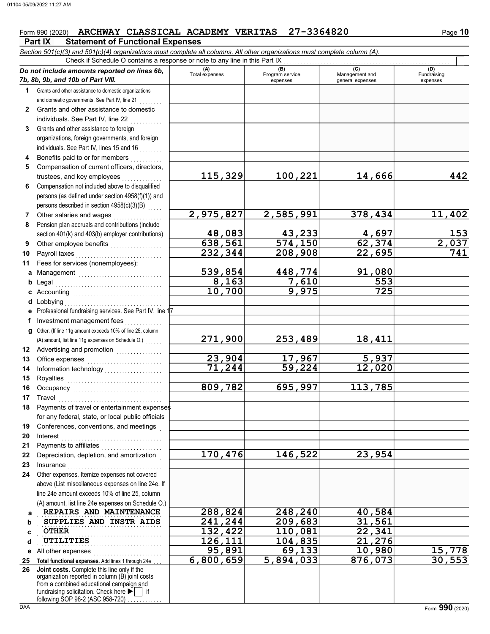### **Part IX Statement of Functional Expenses** Form 990 (2020) ARCHWAY CLASSICAL ACADEMY VERITAS 27-3364820 Page 10

|              | Section 501(c)(3) and 501(c)(4) organizations must complete all columns. All other organizations must complete column (A).<br>Check if Schedule O contains a response or note to any line in this Part IX                      |                   |                                       |                                    |                            |
|--------------|--------------------------------------------------------------------------------------------------------------------------------------------------------------------------------------------------------------------------------|-------------------|---------------------------------------|------------------------------------|----------------------------|
|              | Do not include amounts reported on lines 6b,                                                                                                                                                                                   | (A)               | (B)                                   | (C)                                | (D)                        |
|              | 7b, 8b, 9b, and 10b of Part VIII.                                                                                                                                                                                              | Total expenses    | Program service<br>expenses           | Management and<br>general expenses | Fundraising<br>expenses    |
| 1.           | Grants and other assistance to domestic organizations                                                                                                                                                                          |                   |                                       |                                    |                            |
|              | and domestic governments. See Part IV, line 21                                                                                                                                                                                 |                   |                                       |                                    |                            |
| $\mathbf{2}$ | Grants and other assistance to domestic                                                                                                                                                                                        |                   |                                       |                                    |                            |
|              | individuals. See Part IV, line 22                                                                                                                                                                                              |                   |                                       |                                    |                            |
| 3            | Grants and other assistance to foreign                                                                                                                                                                                         |                   |                                       |                                    |                            |
|              | organizations, foreign governments, and foreign                                                                                                                                                                                |                   |                                       |                                    |                            |
|              | individuals. See Part IV, lines 15 and 16                                                                                                                                                                                      |                   |                                       |                                    |                            |
| 4            | Benefits paid to or for members                                                                                                                                                                                                |                   |                                       |                                    |                            |
| 5            | Compensation of current officers, directors,                                                                                                                                                                                   |                   |                                       |                                    |                            |
|              | trustees, and key employees                                                                                                                                                                                                    | 115,329           | 100,221                               | 14,666                             | 442                        |
| 6            | Compensation not included above to disqualified                                                                                                                                                                                |                   |                                       |                                    |                            |
|              | persons (as defined under section 4958(f)(1)) and                                                                                                                                                                              |                   |                                       |                                    |                            |
|              | persons described in section 4958(c)(3)(B)                                                                                                                                                                                     |                   |                                       |                                    |                            |
| 7            | Other salaries and wages                                                                                                                                                                                                       | 2,975,827         | 2,585,991                             | 378,434                            | 11,402                     |
| 8            | Pension plan accruals and contributions (include                                                                                                                                                                               |                   |                                       |                                    |                            |
|              | section 401(k) and 403(b) employer contributions)                                                                                                                                                                              | 48,083<br>638,561 | <u>43,233</u><br>$\overline{574,150}$ | <u>4,697</u><br>62,374             |                            |
| 9            | Other employee benefits                                                                                                                                                                                                        | 232,344           | 208,908                               | 22,695                             | $\frac{153}{2,037}$<br>741 |
| 10<br>11     | Payroll taxes<br>Fees for services (nonemployees):                                                                                                                                                                             |                   |                                       |                                    |                            |
|              |                                                                                                                                                                                                                                | 539,854           | 448,774                               | 91,080                             |                            |
| а            | Management                                                                                                                                                                                                                     | 8,163             | 7,610                                 | 553                                |                            |
| b            | Legal                                                                                                                                                                                                                          | 10,700            | 9,975                                 | 725                                |                            |
| d            | Lobbying                                                                                                                                                                                                                       |                   |                                       |                                    |                            |
| е            | Professional fundraising services. See Part IV, line 1                                                                                                                                                                         |                   |                                       |                                    |                            |
| f            | Investment management fees                                                                                                                                                                                                     |                   |                                       |                                    |                            |
| g            | Other. (If line 11g amount exceeds 10% of line 25, column                                                                                                                                                                      |                   |                                       |                                    |                            |
|              | (A) amount, list line 11g expenses on Schedule O.)                                                                                                                                                                             | 271,900           | 253,489                               | 18,411                             |                            |
| 12           |                                                                                                                                                                                                                                |                   |                                       |                                    |                            |
| 13           |                                                                                                                                                                                                                                | 23,904            | 17,967                                | 5,937                              |                            |
| 14           | Information technology<br>                                                                                                                                                                                                     | 71,244            | 59,224                                | 12,020                             |                            |
| 15           |                                                                                                                                                                                                                                |                   |                                       |                                    |                            |
| 16           | Occupancy                                                                                                                                                                                                                      | 809,782           | 695,997                               | 113,785                            |                            |
| 17           | Travel                                                                                                                                                                                                                         |                   |                                       |                                    |                            |
|              | Payments of travel or entertainment expenses                                                                                                                                                                                   |                   |                                       |                                    |                            |
|              | for any federal, state, or local public officials                                                                                                                                                                              |                   |                                       |                                    |                            |
| 19           | Conferences, conventions, and meetings                                                                                                                                                                                         |                   |                                       |                                    |                            |
| 20           | Interest                                                                                                                                                                                                                       |                   |                                       |                                    |                            |
| 21           |                                                                                                                                                                                                                                |                   |                                       |                                    |                            |
| 22           | Depreciation, depletion, and amortization                                                                                                                                                                                      | 170,476           | 146,522                               | $\overline{2}3,954$                |                            |
| 23           | Insurance with a construction of the state of the state of the state of the state of the state of the state of the state of the state of the state of the state of the state of the state of the state of the state of the sta |                   |                                       |                                    |                            |
| 24           | Other expenses. Itemize expenses not covered                                                                                                                                                                                   |                   |                                       |                                    |                            |
|              | above (List miscellaneous expenses on line 24e. If                                                                                                                                                                             |                   |                                       |                                    |                            |
|              | line 24e amount exceeds 10% of line 25, column<br>(A) amount, list line 24e expenses on Schedule O.)                                                                                                                           |                   |                                       |                                    |                            |
|              | REPAIRS AND MAINTENANCE                                                                                                                                                                                                        | 288,824           | 248,240                               | 40,584                             |                            |
| а<br>b       | SUPPLIES AND INSTR AIDS                                                                                                                                                                                                        | 241,244           | 209,683                               | 31,561                             |                            |
| c            | <b>OTHER</b>                                                                                                                                                                                                                   | 132,422           | 110,081                               | 22,341                             |                            |
| d            | UTILITIES                                                                                                                                                                                                                      | 126,111           | 104,835                               | 21,276                             |                            |
| е            | All other expenses                                                                                                                                                                                                             | 95,891            | 69,133                                | 10,980                             |                            |
| 25           | Total functional expenses. Add lines 1 through 24e                                                                                                                                                                             | 6,800,659         | 5,894,033                             | 876,073                            | $\frac{15,778}{30,553}$    |
| 26           | Joint costs. Complete this line only if the                                                                                                                                                                                    |                   |                                       |                                    |                            |
|              | organization reported in column (B) joint costs                                                                                                                                                                                |                   |                                       |                                    |                            |
|              | from a combined educational campaign and<br>fundraising solicitation. Check here                                                                                                                                               |                   |                                       |                                    |                            |
|              | following SOP 98-2 (ASC 958-720)                                                                                                                                                                                               |                   |                                       |                                    |                            |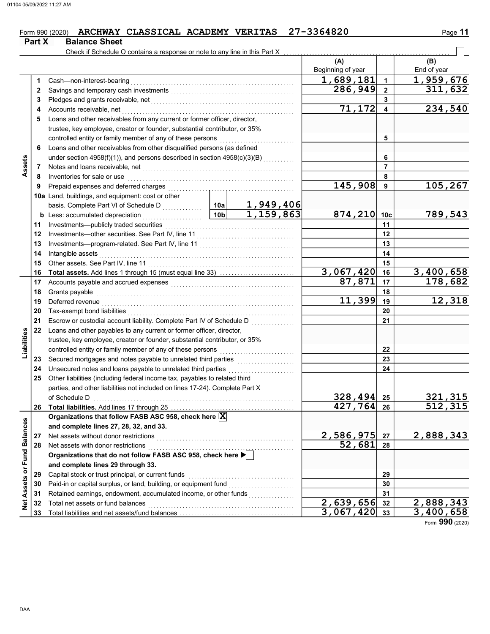## Form 990 (2020) ARCHWAY CLASSICAL ACADEMY VERITAS 27-3364820 Page 11

| Check if Schedule O contains a response or note to any line in this Part X<br>(A)<br>(B)<br>Beginning of year<br>End of year<br>1,689,181<br>1<br>Cash-non-interest-bearing<br>1<br>286,949<br>$\mathbf{2}$<br>2<br>3<br>3<br>71,172<br>4<br>Accounts receivable, net<br>4<br>Loans and other receivables from any current or former officer, director,<br>5<br>trustee, key employee, creator or founder, substantial contributor, or 35%<br>5<br>Loans and other receivables from other disqualified persons (as defined<br>6<br>under section 4958(f)(1)), and persons described in section 4958(c)(3)(B)<br>6<br>Assets<br>7<br>Notes and loans receivable, net <b>consider the constant of the constant of the constant of the constant of the constant of the constant of the constant of the constant of the constant of the constant of the constant of the </b><br>7<br>Inventories for sale or use<br>8<br>8<br>145,908<br>9<br>9<br>10a Land, buildings, and equipment: cost or other<br>1,949,406<br>basis. Complete Part VI of Schedule D<br>2011 - 2021 - 2021 - 2021 - 2021 - 2021 - 2021 - 2021 - 2022 - 2022 - 2022 - 2022 - 2022 - 2022 - 2022 - 2022 - 2022 - 2022 - 2022 - 2023 - 2022 - 2023 - 2022 - 2023 - 2023 - 2023 - 20<br>$\overline{1,159,863}$<br> 10b <br>874, 210 10c<br>789,543<br><b>b</b> Less: accumulated depreciation<br>.<br>11<br>11<br>12<br>12<br>13<br>13<br>14<br>Intangible assets<br>14<br>15<br>15<br>3,067,420<br>3,400,658<br>16<br>16<br>87,871<br>178,682<br>17<br>17<br>18<br>Grants payable<br>18<br>11, 399<br>12,318<br>19<br>Deferred revenue <b>construction and the construction of the construction of the construction</b><br>19<br>20<br>20<br>21<br>21<br>22<br>Loans and other payables to any current or former officer, director,<br>Liabilities<br>trustee, key employee, creator or founder, substantial contributor, or 35%<br>controlled entity or family member of any of these persons<br>22<br>23<br>23<br>Unsecured notes and loans payable to unrelated third parties<br>24<br>24<br>Other liabilities (including federal income tax, payables to related third<br>25<br>parties, and other liabilities not included on lines 17-24). Complete Part X<br>of Schedule D<br>328,494<br>25<br><u>321,315</u><br>512,315<br>427,764<br>26<br>26<br>Organizations that follow FASB ASC 958, check here X<br>Net Assets or Fund Balances<br>and complete lines 27, 28, 32, and 33.<br>2,586,975<br>2,888,343<br>Net assets without donor restrictions<br>27<br>27<br>52,681<br>Net assets with donor restrictions<br>28<br>28<br>Net assets with donor restrictions<br>Organizations that do not follow FASB ASC 958, check here ▶<br>and complete lines 29 through 33.<br>Capital stock or trust principal, or current funds<br>29<br>29<br>Paid-in or capital surplus, or land, building, or equipment fund [[[[[[[[[[[[[[[[[[[[[[[[[[[[[[[[[[[<br>30<br>30 | Part X | <b>Balance Sheet</b> |  |  |  |  |           |  |
|-----------------------------------------------------------------------------------------------------------------------------------------------------------------------------------------------------------------------------------------------------------------------------------------------------------------------------------------------------------------------------------------------------------------------------------------------------------------------------------------------------------------------------------------------------------------------------------------------------------------------------------------------------------------------------------------------------------------------------------------------------------------------------------------------------------------------------------------------------------------------------------------------------------------------------------------------------------------------------------------------------------------------------------------------------------------------------------------------------------------------------------------------------------------------------------------------------------------------------------------------------------------------------------------------------------------------------------------------------------------------------------------------------------------------------------------------------------------------------------------------------------------------------------------------------------------------------------------------------------------------------------------------------------------------------------------------------------------------------------------------------------------------------------------------------------------------------------------------------------------------------------------------------------------------------------------------------------------------------------------------------------------------------------------------------------------------------------------------------------------------------------------------------------------------------------------------------------------------------------------------------------------------------------------------------------------------------------------------------------------------------------------------------------------------------------------------------------------------------------------------------------------------------------------------------------------------------------------------------------------------------------------------------------------------------------------------------------------------------------------------------------------------------------------------------------------------------------------------------------------------------------------------------------------------------------|--------|----------------------|--|--|--|--|-----------|--|
|                                                                                                                                                                                                                                                                                                                                                                                                                                                                                                                                                                                                                                                                                                                                                                                                                                                                                                                                                                                                                                                                                                                                                                                                                                                                                                                                                                                                                                                                                                                                                                                                                                                                                                                                                                                                                                                                                                                                                                                                                                                                                                                                                                                                                                                                                                                                                                                                                                                                                                                                                                                                                                                                                                                                                                                                                                                                                                                                   |        |                      |  |  |  |  |           |  |
|                                                                                                                                                                                                                                                                                                                                                                                                                                                                                                                                                                                                                                                                                                                                                                                                                                                                                                                                                                                                                                                                                                                                                                                                                                                                                                                                                                                                                                                                                                                                                                                                                                                                                                                                                                                                                                                                                                                                                                                                                                                                                                                                                                                                                                                                                                                                                                                                                                                                                                                                                                                                                                                                                                                                                                                                                                                                                                                                   |        |                      |  |  |  |  |           |  |
|                                                                                                                                                                                                                                                                                                                                                                                                                                                                                                                                                                                                                                                                                                                                                                                                                                                                                                                                                                                                                                                                                                                                                                                                                                                                                                                                                                                                                                                                                                                                                                                                                                                                                                                                                                                                                                                                                                                                                                                                                                                                                                                                                                                                                                                                                                                                                                                                                                                                                                                                                                                                                                                                                                                                                                                                                                                                                                                                   |        |                      |  |  |  |  |           |  |
|                                                                                                                                                                                                                                                                                                                                                                                                                                                                                                                                                                                                                                                                                                                                                                                                                                                                                                                                                                                                                                                                                                                                                                                                                                                                                                                                                                                                                                                                                                                                                                                                                                                                                                                                                                                                                                                                                                                                                                                                                                                                                                                                                                                                                                                                                                                                                                                                                                                                                                                                                                                                                                                                                                                                                                                                                                                                                                                                   |        |                      |  |  |  |  | 1,959,676 |  |
|                                                                                                                                                                                                                                                                                                                                                                                                                                                                                                                                                                                                                                                                                                                                                                                                                                                                                                                                                                                                                                                                                                                                                                                                                                                                                                                                                                                                                                                                                                                                                                                                                                                                                                                                                                                                                                                                                                                                                                                                                                                                                                                                                                                                                                                                                                                                                                                                                                                                                                                                                                                                                                                                                                                                                                                                                                                                                                                                   |        |                      |  |  |  |  | 311,632   |  |
|                                                                                                                                                                                                                                                                                                                                                                                                                                                                                                                                                                                                                                                                                                                                                                                                                                                                                                                                                                                                                                                                                                                                                                                                                                                                                                                                                                                                                                                                                                                                                                                                                                                                                                                                                                                                                                                                                                                                                                                                                                                                                                                                                                                                                                                                                                                                                                                                                                                                                                                                                                                                                                                                                                                                                                                                                                                                                                                                   |        |                      |  |  |  |  |           |  |
|                                                                                                                                                                                                                                                                                                                                                                                                                                                                                                                                                                                                                                                                                                                                                                                                                                                                                                                                                                                                                                                                                                                                                                                                                                                                                                                                                                                                                                                                                                                                                                                                                                                                                                                                                                                                                                                                                                                                                                                                                                                                                                                                                                                                                                                                                                                                                                                                                                                                                                                                                                                                                                                                                                                                                                                                                                                                                                                                   |        |                      |  |  |  |  | 234,540   |  |
|                                                                                                                                                                                                                                                                                                                                                                                                                                                                                                                                                                                                                                                                                                                                                                                                                                                                                                                                                                                                                                                                                                                                                                                                                                                                                                                                                                                                                                                                                                                                                                                                                                                                                                                                                                                                                                                                                                                                                                                                                                                                                                                                                                                                                                                                                                                                                                                                                                                                                                                                                                                                                                                                                                                                                                                                                                                                                                                                   |        |                      |  |  |  |  |           |  |
|                                                                                                                                                                                                                                                                                                                                                                                                                                                                                                                                                                                                                                                                                                                                                                                                                                                                                                                                                                                                                                                                                                                                                                                                                                                                                                                                                                                                                                                                                                                                                                                                                                                                                                                                                                                                                                                                                                                                                                                                                                                                                                                                                                                                                                                                                                                                                                                                                                                                                                                                                                                                                                                                                                                                                                                                                                                                                                                                   |        |                      |  |  |  |  |           |  |
|                                                                                                                                                                                                                                                                                                                                                                                                                                                                                                                                                                                                                                                                                                                                                                                                                                                                                                                                                                                                                                                                                                                                                                                                                                                                                                                                                                                                                                                                                                                                                                                                                                                                                                                                                                                                                                                                                                                                                                                                                                                                                                                                                                                                                                                                                                                                                                                                                                                                                                                                                                                                                                                                                                                                                                                                                                                                                                                                   |        |                      |  |  |  |  |           |  |
|                                                                                                                                                                                                                                                                                                                                                                                                                                                                                                                                                                                                                                                                                                                                                                                                                                                                                                                                                                                                                                                                                                                                                                                                                                                                                                                                                                                                                                                                                                                                                                                                                                                                                                                                                                                                                                                                                                                                                                                                                                                                                                                                                                                                                                                                                                                                                                                                                                                                                                                                                                                                                                                                                                                                                                                                                                                                                                                                   |        |                      |  |  |  |  |           |  |
|                                                                                                                                                                                                                                                                                                                                                                                                                                                                                                                                                                                                                                                                                                                                                                                                                                                                                                                                                                                                                                                                                                                                                                                                                                                                                                                                                                                                                                                                                                                                                                                                                                                                                                                                                                                                                                                                                                                                                                                                                                                                                                                                                                                                                                                                                                                                                                                                                                                                                                                                                                                                                                                                                                                                                                                                                                                                                                                                   |        |                      |  |  |  |  |           |  |
|                                                                                                                                                                                                                                                                                                                                                                                                                                                                                                                                                                                                                                                                                                                                                                                                                                                                                                                                                                                                                                                                                                                                                                                                                                                                                                                                                                                                                                                                                                                                                                                                                                                                                                                                                                                                                                                                                                                                                                                                                                                                                                                                                                                                                                                                                                                                                                                                                                                                                                                                                                                                                                                                                                                                                                                                                                                                                                                                   |        |                      |  |  |  |  |           |  |
|                                                                                                                                                                                                                                                                                                                                                                                                                                                                                                                                                                                                                                                                                                                                                                                                                                                                                                                                                                                                                                                                                                                                                                                                                                                                                                                                                                                                                                                                                                                                                                                                                                                                                                                                                                                                                                                                                                                                                                                                                                                                                                                                                                                                                                                                                                                                                                                                                                                                                                                                                                                                                                                                                                                                                                                                                                                                                                                                   |        |                      |  |  |  |  |           |  |
|                                                                                                                                                                                                                                                                                                                                                                                                                                                                                                                                                                                                                                                                                                                                                                                                                                                                                                                                                                                                                                                                                                                                                                                                                                                                                                                                                                                                                                                                                                                                                                                                                                                                                                                                                                                                                                                                                                                                                                                                                                                                                                                                                                                                                                                                                                                                                                                                                                                                                                                                                                                                                                                                                                                                                                                                                                                                                                                                   |        |                      |  |  |  |  | 105,267   |  |
|                                                                                                                                                                                                                                                                                                                                                                                                                                                                                                                                                                                                                                                                                                                                                                                                                                                                                                                                                                                                                                                                                                                                                                                                                                                                                                                                                                                                                                                                                                                                                                                                                                                                                                                                                                                                                                                                                                                                                                                                                                                                                                                                                                                                                                                                                                                                                                                                                                                                                                                                                                                                                                                                                                                                                                                                                                                                                                                                   |        |                      |  |  |  |  |           |  |
|                                                                                                                                                                                                                                                                                                                                                                                                                                                                                                                                                                                                                                                                                                                                                                                                                                                                                                                                                                                                                                                                                                                                                                                                                                                                                                                                                                                                                                                                                                                                                                                                                                                                                                                                                                                                                                                                                                                                                                                                                                                                                                                                                                                                                                                                                                                                                                                                                                                                                                                                                                                                                                                                                                                                                                                                                                                                                                                                   |        |                      |  |  |  |  |           |  |
|                                                                                                                                                                                                                                                                                                                                                                                                                                                                                                                                                                                                                                                                                                                                                                                                                                                                                                                                                                                                                                                                                                                                                                                                                                                                                                                                                                                                                                                                                                                                                                                                                                                                                                                                                                                                                                                                                                                                                                                                                                                                                                                                                                                                                                                                                                                                                                                                                                                                                                                                                                                                                                                                                                                                                                                                                                                                                                                                   |        |                      |  |  |  |  |           |  |
|                                                                                                                                                                                                                                                                                                                                                                                                                                                                                                                                                                                                                                                                                                                                                                                                                                                                                                                                                                                                                                                                                                                                                                                                                                                                                                                                                                                                                                                                                                                                                                                                                                                                                                                                                                                                                                                                                                                                                                                                                                                                                                                                                                                                                                                                                                                                                                                                                                                                                                                                                                                                                                                                                                                                                                                                                                                                                                                                   |        |                      |  |  |  |  |           |  |
|                                                                                                                                                                                                                                                                                                                                                                                                                                                                                                                                                                                                                                                                                                                                                                                                                                                                                                                                                                                                                                                                                                                                                                                                                                                                                                                                                                                                                                                                                                                                                                                                                                                                                                                                                                                                                                                                                                                                                                                                                                                                                                                                                                                                                                                                                                                                                                                                                                                                                                                                                                                                                                                                                                                                                                                                                                                                                                                                   |        |                      |  |  |  |  |           |  |
|                                                                                                                                                                                                                                                                                                                                                                                                                                                                                                                                                                                                                                                                                                                                                                                                                                                                                                                                                                                                                                                                                                                                                                                                                                                                                                                                                                                                                                                                                                                                                                                                                                                                                                                                                                                                                                                                                                                                                                                                                                                                                                                                                                                                                                                                                                                                                                                                                                                                                                                                                                                                                                                                                                                                                                                                                                                                                                                                   |        |                      |  |  |  |  |           |  |
|                                                                                                                                                                                                                                                                                                                                                                                                                                                                                                                                                                                                                                                                                                                                                                                                                                                                                                                                                                                                                                                                                                                                                                                                                                                                                                                                                                                                                                                                                                                                                                                                                                                                                                                                                                                                                                                                                                                                                                                                                                                                                                                                                                                                                                                                                                                                                                                                                                                                                                                                                                                                                                                                                                                                                                                                                                                                                                                                   |        |                      |  |  |  |  |           |  |
|                                                                                                                                                                                                                                                                                                                                                                                                                                                                                                                                                                                                                                                                                                                                                                                                                                                                                                                                                                                                                                                                                                                                                                                                                                                                                                                                                                                                                                                                                                                                                                                                                                                                                                                                                                                                                                                                                                                                                                                                                                                                                                                                                                                                                                                                                                                                                                                                                                                                                                                                                                                                                                                                                                                                                                                                                                                                                                                                   |        |                      |  |  |  |  |           |  |
|                                                                                                                                                                                                                                                                                                                                                                                                                                                                                                                                                                                                                                                                                                                                                                                                                                                                                                                                                                                                                                                                                                                                                                                                                                                                                                                                                                                                                                                                                                                                                                                                                                                                                                                                                                                                                                                                                                                                                                                                                                                                                                                                                                                                                                                                                                                                                                                                                                                                                                                                                                                                                                                                                                                                                                                                                                                                                                                                   |        |                      |  |  |  |  |           |  |
|                                                                                                                                                                                                                                                                                                                                                                                                                                                                                                                                                                                                                                                                                                                                                                                                                                                                                                                                                                                                                                                                                                                                                                                                                                                                                                                                                                                                                                                                                                                                                                                                                                                                                                                                                                                                                                                                                                                                                                                                                                                                                                                                                                                                                                                                                                                                                                                                                                                                                                                                                                                                                                                                                                                                                                                                                                                                                                                                   |        |                      |  |  |  |  |           |  |
|                                                                                                                                                                                                                                                                                                                                                                                                                                                                                                                                                                                                                                                                                                                                                                                                                                                                                                                                                                                                                                                                                                                                                                                                                                                                                                                                                                                                                                                                                                                                                                                                                                                                                                                                                                                                                                                                                                                                                                                                                                                                                                                                                                                                                                                                                                                                                                                                                                                                                                                                                                                                                                                                                                                                                                                                                                                                                                                                   |        |                      |  |  |  |  |           |  |
|                                                                                                                                                                                                                                                                                                                                                                                                                                                                                                                                                                                                                                                                                                                                                                                                                                                                                                                                                                                                                                                                                                                                                                                                                                                                                                                                                                                                                                                                                                                                                                                                                                                                                                                                                                                                                                                                                                                                                                                                                                                                                                                                                                                                                                                                                                                                                                                                                                                                                                                                                                                                                                                                                                                                                                                                                                                                                                                                   |        |                      |  |  |  |  |           |  |
|                                                                                                                                                                                                                                                                                                                                                                                                                                                                                                                                                                                                                                                                                                                                                                                                                                                                                                                                                                                                                                                                                                                                                                                                                                                                                                                                                                                                                                                                                                                                                                                                                                                                                                                                                                                                                                                                                                                                                                                                                                                                                                                                                                                                                                                                                                                                                                                                                                                                                                                                                                                                                                                                                                                                                                                                                                                                                                                                   |        |                      |  |  |  |  |           |  |
|                                                                                                                                                                                                                                                                                                                                                                                                                                                                                                                                                                                                                                                                                                                                                                                                                                                                                                                                                                                                                                                                                                                                                                                                                                                                                                                                                                                                                                                                                                                                                                                                                                                                                                                                                                                                                                                                                                                                                                                                                                                                                                                                                                                                                                                                                                                                                                                                                                                                                                                                                                                                                                                                                                                                                                                                                                                                                                                                   |        |                      |  |  |  |  |           |  |
|                                                                                                                                                                                                                                                                                                                                                                                                                                                                                                                                                                                                                                                                                                                                                                                                                                                                                                                                                                                                                                                                                                                                                                                                                                                                                                                                                                                                                                                                                                                                                                                                                                                                                                                                                                                                                                                                                                                                                                                                                                                                                                                                                                                                                                                                                                                                                                                                                                                                                                                                                                                                                                                                                                                                                                                                                                                                                                                                   |        |                      |  |  |  |  |           |  |
|                                                                                                                                                                                                                                                                                                                                                                                                                                                                                                                                                                                                                                                                                                                                                                                                                                                                                                                                                                                                                                                                                                                                                                                                                                                                                                                                                                                                                                                                                                                                                                                                                                                                                                                                                                                                                                                                                                                                                                                                                                                                                                                                                                                                                                                                                                                                                                                                                                                                                                                                                                                                                                                                                                                                                                                                                                                                                                                                   |        |                      |  |  |  |  |           |  |
|                                                                                                                                                                                                                                                                                                                                                                                                                                                                                                                                                                                                                                                                                                                                                                                                                                                                                                                                                                                                                                                                                                                                                                                                                                                                                                                                                                                                                                                                                                                                                                                                                                                                                                                                                                                                                                                                                                                                                                                                                                                                                                                                                                                                                                                                                                                                                                                                                                                                                                                                                                                                                                                                                                                                                                                                                                                                                                                                   |        |                      |  |  |  |  |           |  |
|                                                                                                                                                                                                                                                                                                                                                                                                                                                                                                                                                                                                                                                                                                                                                                                                                                                                                                                                                                                                                                                                                                                                                                                                                                                                                                                                                                                                                                                                                                                                                                                                                                                                                                                                                                                                                                                                                                                                                                                                                                                                                                                                                                                                                                                                                                                                                                                                                                                                                                                                                                                                                                                                                                                                                                                                                                                                                                                                   |        |                      |  |  |  |  |           |  |
|                                                                                                                                                                                                                                                                                                                                                                                                                                                                                                                                                                                                                                                                                                                                                                                                                                                                                                                                                                                                                                                                                                                                                                                                                                                                                                                                                                                                                                                                                                                                                                                                                                                                                                                                                                                                                                                                                                                                                                                                                                                                                                                                                                                                                                                                                                                                                                                                                                                                                                                                                                                                                                                                                                                                                                                                                                                                                                                                   |        |                      |  |  |  |  |           |  |
|                                                                                                                                                                                                                                                                                                                                                                                                                                                                                                                                                                                                                                                                                                                                                                                                                                                                                                                                                                                                                                                                                                                                                                                                                                                                                                                                                                                                                                                                                                                                                                                                                                                                                                                                                                                                                                                                                                                                                                                                                                                                                                                                                                                                                                                                                                                                                                                                                                                                                                                                                                                                                                                                                                                                                                                                                                                                                                                                   |        |                      |  |  |  |  |           |  |
|                                                                                                                                                                                                                                                                                                                                                                                                                                                                                                                                                                                                                                                                                                                                                                                                                                                                                                                                                                                                                                                                                                                                                                                                                                                                                                                                                                                                                                                                                                                                                                                                                                                                                                                                                                                                                                                                                                                                                                                                                                                                                                                                                                                                                                                                                                                                                                                                                                                                                                                                                                                                                                                                                                                                                                                                                                                                                                                                   |        |                      |  |  |  |  |           |  |
|                                                                                                                                                                                                                                                                                                                                                                                                                                                                                                                                                                                                                                                                                                                                                                                                                                                                                                                                                                                                                                                                                                                                                                                                                                                                                                                                                                                                                                                                                                                                                                                                                                                                                                                                                                                                                                                                                                                                                                                                                                                                                                                                                                                                                                                                                                                                                                                                                                                                                                                                                                                                                                                                                                                                                                                                                                                                                                                                   |        |                      |  |  |  |  |           |  |
|                                                                                                                                                                                                                                                                                                                                                                                                                                                                                                                                                                                                                                                                                                                                                                                                                                                                                                                                                                                                                                                                                                                                                                                                                                                                                                                                                                                                                                                                                                                                                                                                                                                                                                                                                                                                                                                                                                                                                                                                                                                                                                                                                                                                                                                                                                                                                                                                                                                                                                                                                                                                                                                                                                                                                                                                                                                                                                                                   |        |                      |  |  |  |  |           |  |
|                                                                                                                                                                                                                                                                                                                                                                                                                                                                                                                                                                                                                                                                                                                                                                                                                                                                                                                                                                                                                                                                                                                                                                                                                                                                                                                                                                                                                                                                                                                                                                                                                                                                                                                                                                                                                                                                                                                                                                                                                                                                                                                                                                                                                                                                                                                                                                                                                                                                                                                                                                                                                                                                                                                                                                                                                                                                                                                                   |        |                      |  |  |  |  |           |  |
|                                                                                                                                                                                                                                                                                                                                                                                                                                                                                                                                                                                                                                                                                                                                                                                                                                                                                                                                                                                                                                                                                                                                                                                                                                                                                                                                                                                                                                                                                                                                                                                                                                                                                                                                                                                                                                                                                                                                                                                                                                                                                                                                                                                                                                                                                                                                                                                                                                                                                                                                                                                                                                                                                                                                                                                                                                                                                                                                   |        |                      |  |  |  |  |           |  |
|                                                                                                                                                                                                                                                                                                                                                                                                                                                                                                                                                                                                                                                                                                                                                                                                                                                                                                                                                                                                                                                                                                                                                                                                                                                                                                                                                                                                                                                                                                                                                                                                                                                                                                                                                                                                                                                                                                                                                                                                                                                                                                                                                                                                                                                                                                                                                                                                                                                                                                                                                                                                                                                                                                                                                                                                                                                                                                                                   |        |                      |  |  |  |  |           |  |
|                                                                                                                                                                                                                                                                                                                                                                                                                                                                                                                                                                                                                                                                                                                                                                                                                                                                                                                                                                                                                                                                                                                                                                                                                                                                                                                                                                                                                                                                                                                                                                                                                                                                                                                                                                                                                                                                                                                                                                                                                                                                                                                                                                                                                                                                                                                                                                                                                                                                                                                                                                                                                                                                                                                                                                                                                                                                                                                                   |        |                      |  |  |  |  |           |  |
|                                                                                                                                                                                                                                                                                                                                                                                                                                                                                                                                                                                                                                                                                                                                                                                                                                                                                                                                                                                                                                                                                                                                                                                                                                                                                                                                                                                                                                                                                                                                                                                                                                                                                                                                                                                                                                                                                                                                                                                                                                                                                                                                                                                                                                                                                                                                                                                                                                                                                                                                                                                                                                                                                                                                                                                                                                                                                                                                   |        |                      |  |  |  |  |           |  |
|                                                                                                                                                                                                                                                                                                                                                                                                                                                                                                                                                                                                                                                                                                                                                                                                                                                                                                                                                                                                                                                                                                                                                                                                                                                                                                                                                                                                                                                                                                                                                                                                                                                                                                                                                                                                                                                                                                                                                                                                                                                                                                                                                                                                                                                                                                                                                                                                                                                                                                                                                                                                                                                                                                                                                                                                                                                                                                                                   |        |                      |  |  |  |  |           |  |
|                                                                                                                                                                                                                                                                                                                                                                                                                                                                                                                                                                                                                                                                                                                                                                                                                                                                                                                                                                                                                                                                                                                                                                                                                                                                                                                                                                                                                                                                                                                                                                                                                                                                                                                                                                                                                                                                                                                                                                                                                                                                                                                                                                                                                                                                                                                                                                                                                                                                                                                                                                                                                                                                                                                                                                                                                                                                                                                                   |        |                      |  |  |  |  |           |  |
| Retained earnings, endowment, accumulated income, or other funds<br>31<br>31                                                                                                                                                                                                                                                                                                                                                                                                                                                                                                                                                                                                                                                                                                                                                                                                                                                                                                                                                                                                                                                                                                                                                                                                                                                                                                                                                                                                                                                                                                                                                                                                                                                                                                                                                                                                                                                                                                                                                                                                                                                                                                                                                                                                                                                                                                                                                                                                                                                                                                                                                                                                                                                                                                                                                                                                                                                      |        |                      |  |  |  |  |           |  |
| $\overline{2}$ , 639, 656<br>Total net assets or fund balances<br>32<br>32                                                                                                                                                                                                                                                                                                                                                                                                                                                                                                                                                                                                                                                                                                                                                                                                                                                                                                                                                                                                                                                                                                                                                                                                                                                                                                                                                                                                                                                                                                                                                                                                                                                                                                                                                                                                                                                                                                                                                                                                                                                                                                                                                                                                                                                                                                                                                                                                                                                                                                                                                                                                                                                                                                                                                                                                                                                        |        |                      |  |  |  |  | 2,888,343 |  |
| $\overline{3}$ , 067, 420 33<br>33                                                                                                                                                                                                                                                                                                                                                                                                                                                                                                                                                                                                                                                                                                                                                                                                                                                                                                                                                                                                                                                                                                                                                                                                                                                                                                                                                                                                                                                                                                                                                                                                                                                                                                                                                                                                                                                                                                                                                                                                                                                                                                                                                                                                                                                                                                                                                                                                                                                                                                                                                                                                                                                                                                                                                                                                                                                                                                |        |                      |  |  |  |  | 3,400,658 |  |

Form 990 (2020)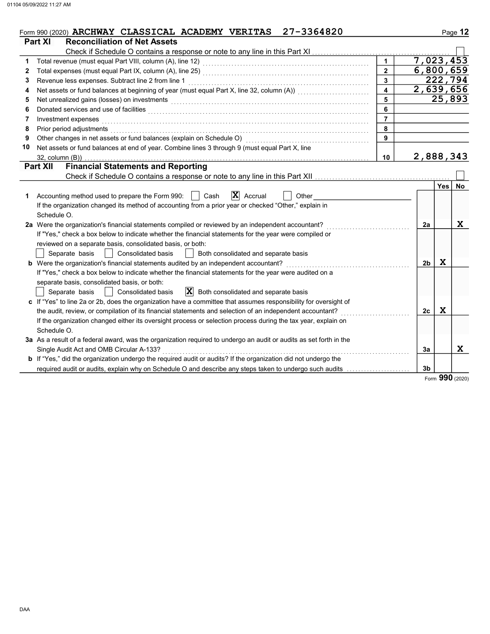|    | 27-3364820<br>Form 990 (2020) ARCHWAY CLASSICAL ACADEMY VERITAS<br>Part XI<br><b>Reconciliation of Net Assets</b>                                                                                                              |                         |                |         | Page 12   |
|----|--------------------------------------------------------------------------------------------------------------------------------------------------------------------------------------------------------------------------------|-------------------------|----------------|---------|-----------|
|    | Check if Schedule O contains a response or note to any line in this Part XI                                                                                                                                                    |                         |                |         |           |
| 1  |                                                                                                                                                                                                                                | $\mathbf{1}$            | 7,023,453      |         |           |
| 2  | Total expenses (must equal Part IX, column (A), line 25) [1] [20] [20] [20] [20] [20] [20] [30] [20] [20] [20] [                                                                                                               | $\overline{2}$          | 6,800,659      |         |           |
| 3  | Revenue less expenses. Subtract line 2 from line 1                                                                                                                                                                             | 3                       |                | 222,794 |           |
| 4  |                                                                                                                                                                                                                                | $\overline{\mathbf{4}}$ | 2,639,656      |         |           |
| 5  | Net unrealized gains (losses) on investments [11] with the content of the content of the content of the content of the content of the content of the content of the content of the content of the content of the content of th | 5                       |                | 25,893  |           |
| 6  | Donated services and use of facilities with an array and the service of the service of the services and use of facilities                                                                                                      | 6                       |                |         |           |
| 7  | Investment expenses                                                                                                                                                                                                            |                         |                |         |           |
| 8  | Prior period adjustments                                                                                                                                                                                                       | 8                       |                |         |           |
| 9  | Other changes in net assets or fund balances (explain on Schedule O)                                                                                                                                                           | 9                       |                |         |           |
| 10 | Net assets or fund balances at end of year. Combine lines 3 through 9 (must equal Part X, line                                                                                                                                 |                         |                |         |           |
|    | $32$ , column $(B)$ )                                                                                                                                                                                                          | 10                      | 2,888,343      |         |           |
|    | <b>Financial Statements and Reporting</b><br><b>Part XII</b>                                                                                                                                                                   |                         |                |         |           |
|    |                                                                                                                                                                                                                                |                         |                |         |           |
|    |                                                                                                                                                                                                                                |                         |                | Yes     | <b>No</b> |
| 1  | $\mathbf{X}$ Accrual<br>Accounting method used to prepare the Form 990:<br>Cash<br>Other                                                                                                                                       |                         |                |         |           |
|    | If the organization changed its method of accounting from a prior year or checked "Other," explain in                                                                                                                          |                         |                |         |           |
|    | Schedule O.                                                                                                                                                                                                                    |                         |                |         |           |
|    | 2a Were the organization's financial statements compiled or reviewed by an independent accountant?                                                                                                                             |                         | 2a             |         | X         |
|    | If "Yes," check a box below to indicate whether the financial statements for the year were compiled or                                                                                                                         |                         |                |         |           |
|    | reviewed on a separate basis, consolidated basis, or both:                                                                                                                                                                     |                         |                |         |           |
|    | Separate basis<br><b>Consolidated basis</b><br>Both consolidated and separate basis                                                                                                                                            |                         |                |         |           |
|    | <b>b</b> Were the organization's financial statements audited by an independent accountant?                                                                                                                                    |                         | 2 <sub>b</sub> | X       |           |
|    | If "Yes," check a box below to indicate whether the financial statements for the year were audited on a                                                                                                                        |                         |                |         |           |
|    | separate basis, consolidated basis, or both:                                                                                                                                                                                   |                         |                |         |           |
|    | $ \mathbf{X} $ Both consolidated and separate basis<br>Consolidated basis<br>Separate basis                                                                                                                                    |                         |                |         |           |
|    | c If "Yes" to line 2a or 2b, does the organization have a committee that assumes responsibility for oversight of                                                                                                               |                         |                |         |           |
|    | the audit, review, or compilation of its financial statements and selection of an independent accountant?                                                                                                                      |                         | 2c             | X       |           |
|    | If the organization changed either its oversight process or selection process during the tax year, explain on                                                                                                                  |                         |                |         |           |
|    | Schedule O.                                                                                                                                                                                                                    |                         |                |         |           |
|    | 3a As a result of a federal award, was the organization required to undergo an audit or audits as set forth in the                                                                                                             |                         |                |         |           |

If "Yes," did the organization undergo the required audit or audits? If the organization did not undergo the

required audit or audits, explain why on Schedule O and describe any steps taken to undergo such audits

Single Audit Act and OMB Circular A-133? . . . . . . . . . . . . . . . . . . . . . . . . . . . . . . . . . . . . . . . . . . . . . . . . . . . . . . . . . . . . . . . . . . . . . . . . . . . . . . . . . . . . . .

Form 990 (2020)

X

3b

3a

b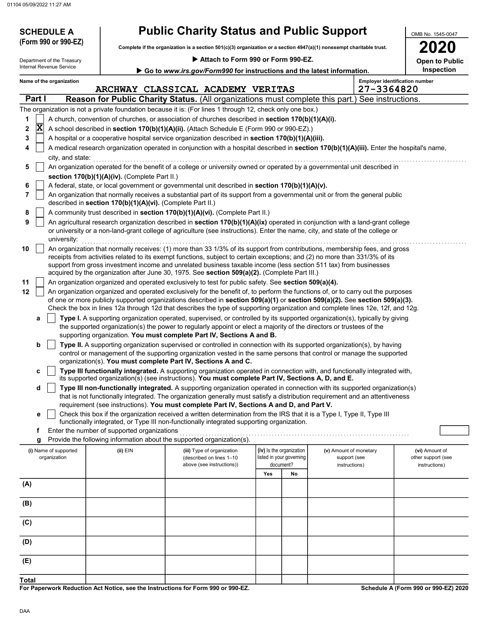01104 05/09/2022 11:27 AM

| <b>SCHEDULE A</b><br>(Form 990 or 990-EZ)              |                                                            | <b>Public Charity Status and Public Support</b>                                                                                                                                                                                                                                                                                                       |                                                      |                                        | OMB No. 1545-0047                     |
|--------------------------------------------------------|------------------------------------------------------------|-------------------------------------------------------------------------------------------------------------------------------------------------------------------------------------------------------------------------------------------------------------------------------------------------------------------------------------------------------|------------------------------------------------------|----------------------------------------|---------------------------------------|
|                                                        |                                                            | Complete if the organization is a section 501(c)(3) organization or a section 4947(a)(1) nonexempt charitable trust.                                                                                                                                                                                                                                  |                                                      |                                        | <b>2020</b>                           |
| Department of the Treasury<br>Internal Revenue Service |                                                            | Attach to Form 990 or Form 990-EZ.                                                                                                                                                                                                                                                                                                                    |                                                      |                                        | <b>Open to Public</b>                 |
|                                                        |                                                            | Go to www.irs.gov/Form990 for instructions and the latest information.                                                                                                                                                                                                                                                                                |                                                      |                                        | Inspection                            |
| Name of the organization                               |                                                            | ARCHWAY CLASSICAL ACADEMY VERITAS                                                                                                                                                                                                                                                                                                                     |                                                      | 27-3364820                             | <b>Employer identification number</b> |
| Part I                                                 |                                                            | Reason for Public Charity Status. (All organizations must complete this part.) See instructions.                                                                                                                                                                                                                                                      |                                                      |                                        |                                       |
|                                                        |                                                            | The organization is not a private foundation because it is: (For lines 1 through 12, check only one box.)                                                                                                                                                                                                                                             |                                                      |                                        |                                       |
| 1                                                      |                                                            | A church, convention of churches, or association of churches described in section 170(b)(1)(A)(i).                                                                                                                                                                                                                                                    |                                                      |                                        |                                       |
| $ {\bf X} $<br>2                                       |                                                            | A school described in section 170(b)(1)(A)(ii). (Attach Schedule E (Form 990 or 990-EZ).)                                                                                                                                                                                                                                                             |                                                      |                                        |                                       |
| 3                                                      |                                                            | A hospital or a cooperative hospital service organization described in section 170(b)(1)(A)(iii).                                                                                                                                                                                                                                                     |                                                      |                                        |                                       |
| 4<br>city, and state:                                  |                                                            | A medical research organization operated in conjunction with a hospital described in section 170(b)(1)(A)(iii). Enter the hospital's name,                                                                                                                                                                                                            |                                                      |                                        |                                       |
| 5                                                      |                                                            | An organization operated for the benefit of a college or university owned or operated by a governmental unit described in                                                                                                                                                                                                                             |                                                      |                                        |                                       |
| 6                                                      | section 170(b)(1)(A)(iv). (Complete Part II.)              | A federal, state, or local government or governmental unit described in section 170(b)(1)(A)(v).                                                                                                                                                                                                                                                      |                                                      |                                        |                                       |
| 7                                                      |                                                            | An organization that normally receives a substantial part of its support from a governmental unit or from the general public                                                                                                                                                                                                                          |                                                      |                                        |                                       |
|                                                        | described in section 170(b)(1)(A)(vi). (Complete Part II.) |                                                                                                                                                                                                                                                                                                                                                       |                                                      |                                        |                                       |
| 8                                                      |                                                            | A community trust described in section 170(b)(1)(A)(vi). (Complete Part II.)                                                                                                                                                                                                                                                                          |                                                      |                                        |                                       |
| 9                                                      |                                                            | An agricultural research organization described in section 170(b)(1)(A)(ix) operated in conjunction with a land-grant college<br>or university or a non-land-grant college of agriculture (see instructions). Enter the name, city, and state of the college or                                                                                       |                                                      |                                        |                                       |
| university:<br>10                                      |                                                            | An organization that normally receives: (1) more than 33 1/3% of its support from contributions, membership fees, and gross                                                                                                                                                                                                                           |                                                      |                                        |                                       |
|                                                        |                                                            | receipts from activities related to its exempt functions, subject to certain exceptions; and (2) no more than 331/3% of its<br>support from gross investment income and unrelated business taxable income (less section 511 tax) from businesses<br>acquired by the organization after June 30, 1975. See section 509(a)(2). (Complete Part III.)     |                                                      |                                        |                                       |
| 11                                                     |                                                            | An organization organized and operated exclusively to test for public safety. See section 509(a)(4).                                                                                                                                                                                                                                                  |                                                      |                                        |                                       |
| 12                                                     |                                                            | An organization organized and operated exclusively for the benefit of, to perform the functions of, or to carry out the purposes                                                                                                                                                                                                                      |                                                      |                                        |                                       |
|                                                        |                                                            | of one or more publicly supported organizations described in section 509(a)(1) or section 509(a)(2). See section 509(a)(3).                                                                                                                                                                                                                           |                                                      |                                        |                                       |
|                                                        |                                                            | Check the box in lines 12a through 12d that describes the type of supporting organization and complete lines 12e, 12f, and 12g.                                                                                                                                                                                                                       |                                                      |                                        |                                       |
| а                                                      |                                                            | Type I. A supporting organization operated, supervised, or controlled by its supported organization(s), typically by giving<br>the supported organization(s) the power to regularly appoint or elect a majority of the directors or trustees of the                                                                                                   |                                                      |                                        |                                       |
|                                                        |                                                            | supporting organization. You must complete Part IV, Sections A and B.                                                                                                                                                                                                                                                                                 |                                                      |                                        |                                       |
| b                                                      |                                                            | Type II. A supporting organization supervised or controlled in connection with its supported organization(s), by having                                                                                                                                                                                                                               |                                                      |                                        |                                       |
|                                                        |                                                            | control or management of the supporting organization vested in the same persons that control or manage the supported<br>organization(s). You must complete Part IV, Sections A and C.                                                                                                                                                                 |                                                      |                                        |                                       |
| С                                                      |                                                            | Type III functionally integrated. A supporting organization operated in connection with, and functionally integrated with,                                                                                                                                                                                                                            |                                                      |                                        |                                       |
|                                                        |                                                            | its supported organization(s) (see instructions). You must complete Part IV, Sections A, D, and E.                                                                                                                                                                                                                                                    |                                                      |                                        |                                       |
| d                                                      |                                                            | Type III non-functionally integrated. A supporting organization operated in connection with its supported organization(s)<br>that is not functionally integrated. The organization generally must satisfy a distribution requirement and an attentiveness<br>requirement (see instructions). You must complete Part IV, Sections A and D, and Part V. |                                                      |                                        |                                       |
| е                                                      |                                                            | Check this box if the organization received a written determination from the IRS that it is a Type I, Type II, Type III                                                                                                                                                                                                                               |                                                      |                                        |                                       |
|                                                        |                                                            | functionally integrated, or Type III non-functionally integrated supporting organization.                                                                                                                                                                                                                                                             |                                                      |                                        |                                       |
| f                                                      | Enter the number of supported organizations                | Provide the following information about the supported organization(s).                                                                                                                                                                                                                                                                                |                                                      |                                        |                                       |
| g<br>(i) Name of supported<br>organization             | $(ii)$ EIN                                                 | (iii) Type of organization<br>(described on lines 1-10                                                                                                                                                                                                                                                                                                | (iv) Is the organization<br>listed in your governing | (v) Amount of monetary<br>support (see | (vi) Amount of<br>other support (see  |
|                                                        |                                                            | above (see instructions))                                                                                                                                                                                                                                                                                                                             | document?                                            | instructions)                          | instructions)                         |
|                                                        |                                                            |                                                                                                                                                                                                                                                                                                                                                       | Yes<br>No                                            |                                        |                                       |
| (A)                                                    |                                                            |                                                                                                                                                                                                                                                                                                                                                       |                                                      |                                        |                                       |
| (B)                                                    |                                                            |                                                                                                                                                                                                                                                                                                                                                       |                                                      |                                        |                                       |
| (C)                                                    |                                                            |                                                                                                                                                                                                                                                                                                                                                       |                                                      |                                        |                                       |
| (D)                                                    |                                                            |                                                                                                                                                                                                                                                                                                                                                       |                                                      |                                        |                                       |
| (E)                                                    |                                                            |                                                                                                                                                                                                                                                                                                                                                       |                                                      |                                        |                                       |
|                                                        |                                                            |                                                                                                                                                                                                                                                                                                                                                       |                                                      |                                        |                                       |
| <b>Total</b>                                           |                                                            |                                                                                                                                                                                                                                                                                                                                                       |                                                      |                                        |                                       |

For Paperwork Reduction Act Notice, see the Instructions for Form 990 or 990-EZ.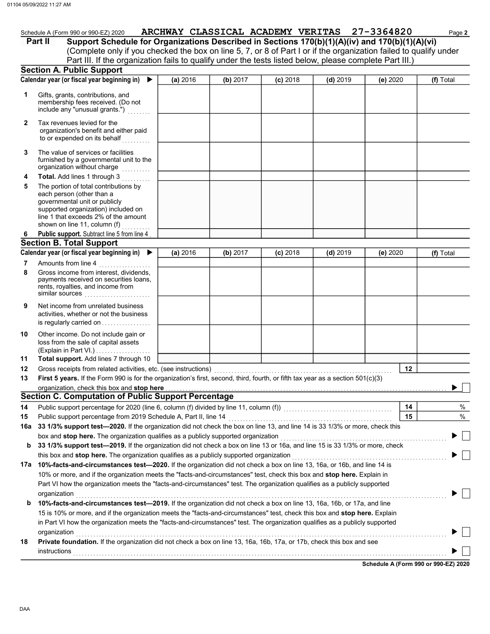| Schedule A (Form 990 or 990-EZ) 2020 | ARCHWAY CLASSICAL ACADEMY VERITAS | 27-3364820 | Page 2 |
|--------------------------------------|-----------------------------------|------------|--------|
|                                      |                                   |            |        |

(Complete only if you checked the box on line 5, 7, or 8 of Part I or if the organization failed to qualify under Part II Support Schedule for Organizations Described in Sections 170(b)(1)(A)(iv) and 170(b)(1)(A)(vi) Part III. If the organization fails to qualify under the tests listed below, please complete Part III.)

|              | <b>Section A. Public Support</b>                                                                                                                                                                                                                   |          |          |            |            |          |    |           |
|--------------|----------------------------------------------------------------------------------------------------------------------------------------------------------------------------------------------------------------------------------------------------|----------|----------|------------|------------|----------|----|-----------|
|              | Calendar year (or fiscal year beginning in)<br>▶                                                                                                                                                                                                   | (a) 2016 | (b) 2017 | $(c)$ 2018 | $(d)$ 2019 | (e) 2020 |    | (f) Total |
| 1            | Gifts, grants, contributions, and<br>membership fees received. (Do not<br>include any "unusual grants.")                                                                                                                                           |          |          |            |            |          |    |           |
| $\mathbf{2}$ | Tax revenues levied for the<br>organization's benefit and either paid<br>to or expended on its behalf                                                                                                                                              |          |          |            |            |          |    |           |
| 3            | The value of services or facilities<br>furnished by a governmental unit to the<br>organization without charge<br>.                                                                                                                                 |          |          |            |            |          |    |           |
| 4<br>5       | Total. Add lines 1 through 3<br>The portion of total contributions by<br>each person (other than a<br>governmental unit or publicly<br>supported organization) included on<br>line 1 that exceeds 2% of the amount<br>shown on line 11, column (f) |          |          |            |            |          |    |           |
| 6            | Public support. Subtract line 5 from line 4                                                                                                                                                                                                        |          |          |            |            |          |    |           |
|              | <b>Section B. Total Support</b>                                                                                                                                                                                                                    |          |          |            |            |          |    |           |
|              | Calendar year (or fiscal year beginning in) ▶                                                                                                                                                                                                      | (a) 2016 | (b) 2017 | $(c)$ 2018 | $(d)$ 2019 | (e) 2020 |    | (f) Total |
| 7            | Amounts from line 4                                                                                                                                                                                                                                |          |          |            |            |          |    |           |
| 8            | Gross income from interest, dividends,<br>payments received on securities loans,<br>rents, royalties, and income from<br>similar sources                                                                                                           |          |          |            |            |          |    |           |
| 9            | Net income from unrelated business<br>activities, whether or not the business<br>is regularly carried on                                                                                                                                           |          |          |            |            |          |    |           |
| 10           | Other income. Do not include gain or<br>loss from the sale of capital assets<br>(Explain in Part VI.)                                                                                                                                              |          |          |            |            |          |    |           |
| 11           | Total support. Add lines 7 through 10                                                                                                                                                                                                              |          |          |            |            |          |    |           |
| 12           |                                                                                                                                                                                                                                                    |          |          |            |            |          | 12 |           |
| 13           | First 5 years. If the Form 990 is for the organization's first, second, third, fourth, or fifth tax year as a section 501(c)(3)                                                                                                                    |          |          |            |            |          |    |           |
|              | organization, check this box and stop here                                                                                                                                                                                                         |          |          |            |            |          |    |           |
|              | Section C. Computation of Public Support Percentage                                                                                                                                                                                                |          |          |            |            |          |    |           |
| 14           |                                                                                                                                                                                                                                                    |          |          |            |            |          | 14 | %         |
| 15           |                                                                                                                                                                                                                                                    |          |          |            |            |          | 15 | $\%$      |
|              | 16a 33 1/3% support test-2020. If the organization did not check the box on line 13, and line 14 is 33 1/3% or more, check this                                                                                                                    |          |          |            |            |          |    |           |
|              | box and stop here. The organization qualifies as a publicly supported organization                                                                                                                                                                 |          |          |            |            |          |    |           |
| b            | 33 1/3% support test-2019. If the organization did not check a box on line 13 or 16a, and line 15 is 33 1/3% or more, check                                                                                                                        |          |          |            |            |          |    |           |
|              | this box and stop here. The organization qualifies as a publicly supported organization                                                                                                                                                            |          |          |            |            |          |    |           |
|              | 17a 10%-facts-and-circumstances test-2020. If the organization did not check a box on line 13, 16a, or 16b, and line 14 is                                                                                                                         |          |          |            |            |          |    |           |
|              | 10% or more, and if the organization meets the "facts-and-circumstances" test, check this box and stop here. Explain in                                                                                                                            |          |          |            |            |          |    |           |
|              | Part VI how the organization meets the "facts-and-circumstances" test. The organization qualifies as a publicly supported                                                                                                                          |          |          |            |            |          |    |           |
|              | organization                                                                                                                                                                                                                                       |          |          |            |            |          |    |           |
| b            | 10%-facts-and-circumstances test-2019. If the organization did not check a box on line 13, 16a, 16b, or 17a, and line                                                                                                                              |          |          |            |            |          |    |           |
|              | 15 is 10% or more, and if the organization meets the "facts-and-circumstances" test, check this box and stop here. Explain                                                                                                                         |          |          |            |            |          |    |           |
|              | in Part VI how the organization meets the "facts-and-circumstances" test. The organization qualifies as a publicly supported                                                                                                                       |          |          |            |            |          |    |           |
|              | organization                                                                                                                                                                                                                                       |          |          |            |            |          |    |           |
| 18           | Private foundation. If the organization did not check a box on line 13, 16a, 16b, 17a, or 17b, check this box and see                                                                                                                              |          |          |            |            |          |    |           |
|              | instructions                                                                                                                                                                                                                                       |          |          |            |            |          |    |           |
|              |                                                                                                                                                                                                                                                    |          |          |            |            |          |    |           |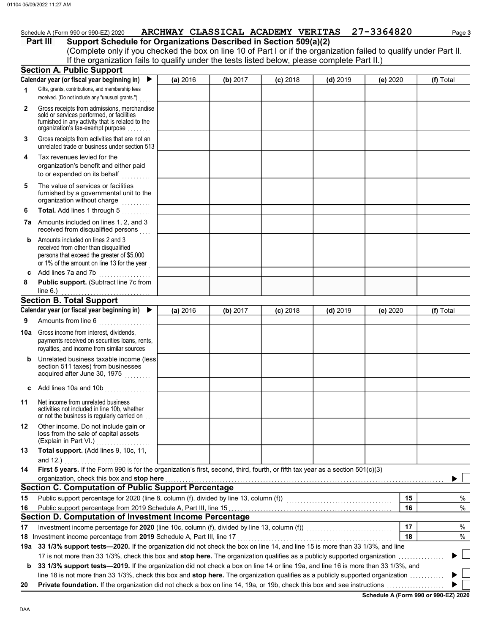### **Part III** Support Schedule for Organizations Described in Section 509(a)(2)

(Complete only if you checked the box on line 10 of Part I or if the organization failed to qualify under Part II. If the organization fails to qualify under the tests listed below, please complete Part II.)

|              | <b>Section A. Public Support</b>                                                                                                                                                  |          |          |            |            |          |    |               |
|--------------|-----------------------------------------------------------------------------------------------------------------------------------------------------------------------------------|----------|----------|------------|------------|----------|----|---------------|
|              | Calendar year (or fiscal year beginning in)                                                                                                                                       | (a) 2016 | (b) 2017 | $(c)$ 2018 | $(d)$ 2019 | (e) 2020 |    | (f) Total     |
| 1            | Gifts, grants, contributions, and membership fees<br>received. (Do not include any "unusual grants.")                                                                             |          |          |            |            |          |    |               |
| $\mathbf{2}$ | Gross receipts from admissions, merchandise<br>sold or services performed, or facilities<br>furnished in any activity that is related to the<br>organization's tax-exempt purpose |          |          |            |            |          |    |               |
| 3            | Gross receipts from activities that are not an<br>unrelated trade or business under section 513                                                                                   |          |          |            |            |          |    |               |
| 4            | Tax revenues levied for the<br>organization's benefit and either paid<br>to or expended on its behalf                                                                             |          |          |            |            |          |    |               |
| 5            | The value of services or facilities<br>furnished by a governmental unit to the<br>organization without charge<br>.                                                                |          |          |            |            |          |    |               |
| 6            | Total. Add lines 1 through 5<br>.                                                                                                                                                 |          |          |            |            |          |    |               |
|              | 7a Amounts included on lines 1, 2, and 3<br>received from disqualified persons                                                                                                    |          |          |            |            |          |    |               |
| b            | Amounts included on lines 2 and 3<br>received from other than disqualified<br>persons that exceed the greater of \$5,000<br>or 1% of the amount on line 13 for the year           |          |          |            |            |          |    |               |
| c            | Add lines 7a and 7b<br>.                                                                                                                                                          |          |          |            |            |          |    |               |
| 8            | Public support. (Subtract line 7c from                                                                                                                                            |          |          |            |            |          |    |               |
|              | line $6.$ )                                                                                                                                                                       |          |          |            |            |          |    |               |
|              | <b>Section B. Total Support</b><br>Calendar year (or fiscal year beginning in) $\blacktriangleright$                                                                              |          |          |            |            |          |    |               |
|              |                                                                                                                                                                                   | (a) 2016 | (b) 2017 | $(c)$ 2018 | $(d)$ 2019 | (e) 2020 |    | (f) Total     |
| 9            | Amounts from line 6<br>. <b>.</b> .                                                                                                                                               |          |          |            |            |          |    |               |
| 10a          | Gross income from interest, dividends,<br>payments received on securities loans, rents,<br>royalties, and income from similar sources                                             |          |          |            |            |          |    |               |
| b            | Unrelated business taxable income (less)<br>section 511 taxes) from businesses<br>acquired after June 30, 1975                                                                    |          |          |            |            |          |    |               |
| c            | Add lines 10a and 10b $\ldots$                                                                                                                                                    |          |          |            |            |          |    |               |
| 11           | Net income from unrelated business<br>activities not included in line 10b, whether<br>or not the business is regularly carried on                                                 |          |          |            |            |          |    |               |
| 12           | Other income. Do not include gain or<br>loss from the sale of capital assets<br>(Explain in Part VI.)                                                                             |          |          |            |            |          |    |               |
| 13           | Total support. (Add lines 9, 10c, 11,                                                                                                                                             |          |          |            |            |          |    |               |
|              | and 12.)                                                                                                                                                                          |          |          |            |            |          |    |               |
| 14           | First 5 years. If the Form 990 is for the organization's first, second, third, fourth, or fifth tax year as a section 501(c)(3)<br>organization, check this box and stop here     |          |          |            |            |          |    |               |
|              | <b>Section C. Computation of Public Support Percentage</b>                                                                                                                        |          |          |            |            |          |    |               |
| 15           | Public support percentage for 2020 (line 8, column (f), divided by line 13, column (f)) [[[[[[[[[[[[[[[[[[[[[                                                                     |          |          |            |            |          | 15 | %             |
| 16           |                                                                                                                                                                                   |          |          |            |            |          | 16 | $\%$          |
|              | Section D. Computation of Investment Income Percentage                                                                                                                            |          |          |            |            |          |    |               |
| 17           | Investment income percentage for 2020 (line 10c, column (f), divided by line 13, column (f)) [[[[[[[[[[[[[[[[                                                                     |          |          |            |            |          | 17 | %             |
|              | 18 Investment income percentage from 2019 Schedule A, Part III, line 17                                                                                                           |          |          |            |            |          | 18 | $\%$          |
|              | 19a 33 1/3% support tests—2020. If the organization did not check the box on line 14, and line 15 is more than 33 1/3%, and line                                                  |          |          |            |            |          |    |               |
|              | 17 is not more than 33 1/3%, check this box and stop here. The organization qualifies as a publicly supported organization                                                        |          |          |            |            |          |    | $\mathcal{A}$ |
| b            | 33 1/3% support tests-2019. If the organization did not check a box on line 14 or line 19a, and line 16 is more than 33 1/3%, and                                                 |          |          |            |            |          |    |               |
|              | line 18 is not more than 33 1/3%, check this box and stop here. The organization qualifies as a publicly supported organization                                                   |          |          |            |            |          |    |               |
| 20           |                                                                                                                                                                                   |          |          |            |            |          |    |               |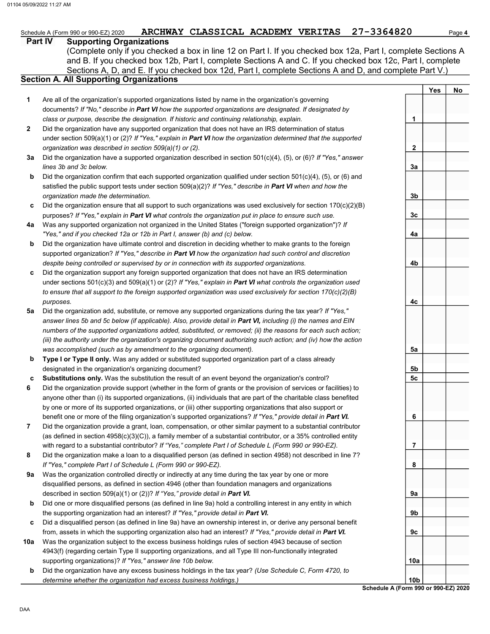#### Part IV Supporting Organizations

Sections A, D, and E. If you checked box 12d, Part I, complete Sections A and D, and complete Part V.) (Complete only if you checked a box in line 12 on Part I. If you checked box 12a, Part I, complete Sections A and B. If you checked box 12b, Part I, complete Sections A and C. If you checked box 12c, Part I, complete

## Section A. All Supporting Organizations

- Are all of the organization's supported organizations listed by name in the organization's governing documents? If "No," describe in Part VI how the supported organizations are designated. If designated by class or purpose, describe the designation. If historic and continuing relationship, explain. 1
- Did the organization have any supported organization that does not have an IRS determination of status under section 509(a)(1) or (2)? If "Yes," explain in Part VI how the organization determined that the supported organization was described in section 509(a)(1) or (2). 2
- **3a** Did the organization have a supported organization described in section 501(c)(4), (5), or (6)? If "Yes," answer lines 3b and 3c below.
- b Did the organization confirm that each supported organization qualified under section 501(c)(4), (5), or (6) and satisfied the public support tests under section  $509(a)(2)$ ? If "Yes," describe in Part VI when and how the organization made the determination.
- c Did the organization ensure that all support to such organizations was used exclusively for section 170(c)(2)(B) purposes? If "Yes," explain in Part VI what controls the organization put in place to ensure such use.
- 4a Was any supported organization not organized in the United States ("foreign supported organization")? If "Yes," and if you checked 12a or 12b in Part I, answer (b) and (c) below.
- b Did the organization have ultimate control and discretion in deciding whether to make grants to the foreign supported organization? If "Yes," describe in Part VI how the organization had such control and discretion despite being controlled or supervised by or in connection with its supported organizations.
- c Did the organization support any foreign supported organization that does not have an IRS determination under sections  $501(c)(3)$  and  $509(a)(1)$  or (2)? If "Yes," explain in Part VI what controls the organization used to ensure that all support to the foreign supported organization was used exclusively for section 170(c)(2)(B) purposes.
- 5a Did the organization add, substitute, or remove any supported organizations during the tax year? If "Yes," answer lines 5b and 5c below (if applicable). Also, provide detail in Part VI, including (i) the names and EIN numbers of the supported organizations added, substituted, or removed; (ii) the reasons for each such action; (iii) the authority under the organization's organizing document authorizing such action; and (iv) how the action was accomplished (such as by amendment to the organizing document).
- b Type I or Type II only. Was any added or substituted supported organization part of a class already designated in the organization's organizing document?
- c Substitutions only. Was the substitution the result of an event beyond the organization's control?
- 6 Did the organization provide support (whether in the form of grants or the provision of services or facilities) to anyone other than (i) its supported organizations, (ii) individuals that are part of the charitable class benefited by one or more of its supported organizations, or (iii) other supporting organizations that also support or benefit one or more of the filing organization's supported organizations? If "Yes," provide detail in Part VI.
- 7 Did the organization provide a grant, loan, compensation, or other similar payment to a substantial contributor (as defined in section  $4958(c)(3)(C)$ ), a family member of a substantial contributor, or a 35% controlled entity with regard to a substantial contributor? If "Yes," complete Part I of Schedule L (Form 990 or 990-EZ).
- 8 Did the organization make a loan to a disqualified person (as defined in section 4958) not described in line 7? If "Yes," complete Part I of Schedule L (Form 990 or 990-EZ).
- 9a Was the organization controlled directly or indirectly at any time during the tax year by one or more disqualified persons, as defined in section 4946 (other than foundation managers and organizations described in section 509(a)(1) or (2))? If "Yes," provide detail in Part VI.
- b Did one or more disqualified persons (as defined in line 9a) hold a controlling interest in any entity in which the supporting organization had an interest? If "Yes," provide detail in Part VI.
- c Did a disqualified person (as defined in line 9a) have an ownership interest in, or derive any personal benefit from, assets in which the supporting organization also had an interest? If "Yes," provide detail in Part VI.
- 10a Was the organization subject to the excess business holdings rules of section 4943 because of section 4943(f) (regarding certain Type II supporting organizations, and all Type III non-functionally integrated supporting organizations)? If "Yes," answer line 10b below.
- b Did the organization have any excess business holdings in the tax year? (Use Schedule C, Form 4720, to determine whether the organization had excess business holdings.)

Yes | No 1 2 3a 3b 3c 4a 4b 4c 5a 5b 5c 6 7 8 9a 9b 9c 10a 10b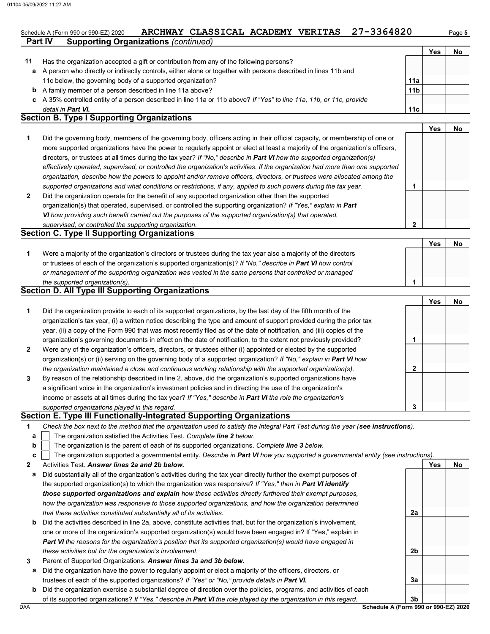$V_{\text{ext}}$  No

|    |                                                                                                                      |                 | Yes | No |
|----|----------------------------------------------------------------------------------------------------------------------|-----------------|-----|----|
| 11 | Has the organization accepted a gift or contribution from any of the following persons?                              |                 |     |    |
|    | a A person who directly or indirectly controls, either alone or together with persons described in lines 11b and     |                 |     |    |
|    | 11c below, the governing body of a supported organization?                                                           | 11a             |     |    |
|    | <b>b</b> A family member of a person described in line 11a above?                                                    | 11 <sub>b</sub> |     |    |
|    | c A 35% controlled entity of a person described in line 11a or 11b above? If "Yes" to line 11a, 11b, or 11c, provide |                 |     |    |
|    | detail in <b>Part VI.</b>                                                                                            | 11c             |     |    |

#### Section B. Type I Supporting Organizations

**Part IV Supporting Organizations (continued)** 

|                                                                                                                                |   | T es | NO. |
|--------------------------------------------------------------------------------------------------------------------------------|---|------|-----|
| Did the governing body, members of the governing body, officers acting in their official capacity, or membership of one or     |   |      |     |
| more supported organizations have the power to regularly appoint or elect at least a majority of the organization's officers,  |   |      |     |
| directors, or trustees at all times during the tax year? If "No," describe in <b>Part VI</b> how the supported organization(s) |   |      |     |
| effectively operated, supervised, or controlled the organization's activities. If the organization had more than one supported |   |      |     |
| organization, describe how the powers to appoint and/or remove officers, directors, or trustees were allocated among the       |   |      |     |
| supported organizations and what conditions or restrictions, if any, applied to such powers during the tax year.               |   |      |     |
| Did the organization operate for the benefit of any supported organization other than the supported                            |   |      |     |
| organization(s) that operated, supervised, or controlled the supporting organization? If "Yes," explain in Part                |   |      |     |
| VI how providing such benefit carried out the purposes of the supported organization(s) that operated,                         |   |      |     |
| supervised, or controlled the supporting organization.                                                                         | ົ |      |     |
| <b>Section C. Type II Supporting Organizations</b>                                                                             |   |      |     |

#### Were a majority of the organization's directors or trustees during the tax year also a majority of the directors or trustees of each of the organization's supported organization(s)? If "No," describe in Part VI how control 1 or management of the supporting organization was vested in the same persons that controlled or managed the supported organization(s). Yes | No 1

### Section D. All Type III Supporting Organizations

|                |                                                                                                                        |   | Yes | No |
|----------------|------------------------------------------------------------------------------------------------------------------------|---|-----|----|
| 1              | Did the organization provide to each of its supported organizations, by the last day of the fifth month of the         |   |     |    |
|                | organization's tax year, (i) a written notice describing the type and amount of support provided during the prior tax  |   |     |    |
|                | year, (ii) a copy of the Form 990 that was most recently filed as of the date of notification, and (iii) copies of the |   |     |    |
|                | organization's governing documents in effect on the date of notification, to the extent not previously provided?       |   |     |    |
| $\overline{2}$ | Were any of the organization's officers, directors, or trustees either (i) appointed or elected by the supported       |   |     |    |
|                | organization(s) or (ii) serving on the governing body of a supported organization? If "No," explain in Part VI how     |   |     |    |
|                | the organization maintained a close and continuous working relationship with the supported organization(s).            | າ |     |    |
| 3              | By reason of the relationship described in line 2, above, did the organization's supported organizations have          |   |     |    |
|                | a significant voice in the organization's investment policies and in directing the use of the organization's           |   |     |    |
|                | income or assets at all times during the tax year? If "Yes," describe in Part VI the role the organization's           |   |     |    |
|                | supported organizations played in this regard.                                                                         | 3 |     |    |

#### Section E. Type III Functionally-Integrated Supporting Organizations

|  |  |  |  | Check the box next to the method that the organization used to satisfy the Integral Part Test during the year (see instructions). |
|--|--|--|--|-----------------------------------------------------------------------------------------------------------------------------------|
|--|--|--|--|-----------------------------------------------------------------------------------------------------------------------------------|

- The organization satisfied the Activities Test. Complete line 2 below. a
- The organization is the parent of each of its supported organizations. Complete line 3 below. b

|  |  |  |  |  | $\texttt{c}$ $\parallel$ The organization supported a governmental entity. Describe in Part VI how you supported a governmental entity (see instructions). |  |
|--|--|--|--|--|------------------------------------------------------------------------------------------------------------------------------------------------------------|--|
|--|--|--|--|--|------------------------------------------------------------------------------------------------------------------------------------------------------------|--|

- 2 Activities Test. Answer lines 2a and 2b below.
- a Did substantially all of the organization's activities during the tax year directly further the exempt purposes of the supported organization(s) to which the organization was responsive? If "Yes," then in Part VI identify those supported organizations and explain how these activities directly furthered their exempt purposes, how the organization was responsive to those supported organizations, and how the organization determined that these activities constituted substantially all of its activities.
- b Did the activities described in line 2a, above, constitute activities that, but for the organization's involvement, one or more of the organization's supported organization(s) would have been engaged in? If "Yes," explain in Part VI the reasons for the organization's position that its supported organization(s) would have engaged in these activities but for the organization's involvement.
- 3 Parent of Supported Organizations. Answer lines 3a and 3b below.
	- a Did the organization have the power to regularly appoint or elect a majority of the officers, directors, or trustees of each of the supported organizations? If "Yes" or "No," provide details in Part VI.
	- b Did the organization exercise a substantial degree of direction over the policies, programs, and activities of each of its supported organizations? If "Yes," describe in Part VI the role played by the organization in this regard.

DAA Schedule A (Form 990 or 990-EZ) 2020 3b

2a

2b

3a

Yes No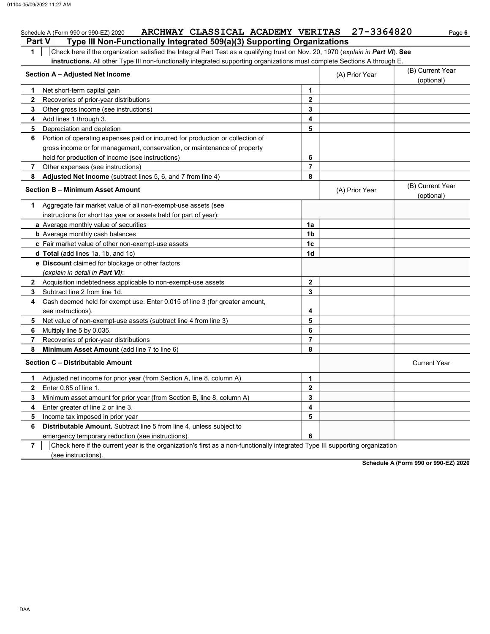| Page 6 |  |
|--------|--|

|               | ARCHWAY CLASSICAL ACADEMY VERITAS 27-3364820<br>Schedule A (Form 990 or 990-EZ) 2020                                             |                |                | Page 6                         |
|---------------|----------------------------------------------------------------------------------------------------------------------------------|----------------|----------------|--------------------------------|
| <b>Part V</b> | Type III Non-Functionally Integrated 509(a)(3) Supporting Organizations                                                          |                |                |                                |
| 1             | Check here if the organization satisfied the Integral Part Test as a qualifying trust on Nov. 20, 1970 (explain in Part VI). See |                |                |                                |
|               | instructions. All other Type III non-functionally integrated supporting organizations must complete Sections A through E.        |                |                |                                |
|               | Section A - Adjusted Net Income                                                                                                  |                | (A) Prior Year | (B) Current Year               |
|               |                                                                                                                                  |                |                | (optional)                     |
| 1             | Net short-term capital gain                                                                                                      | 1              |                |                                |
| $\mathbf{2}$  | Recoveries of prior-year distributions                                                                                           | $\mathbf{2}$   |                |                                |
| 3             | Other gross income (see instructions)                                                                                            | 3              |                |                                |
| 4             | Add lines 1 through 3.                                                                                                           | 4              |                |                                |
| 5             | Depreciation and depletion                                                                                                       | 5              |                |                                |
| 6             | Portion of operating expenses paid or incurred for production or collection of                                                   |                |                |                                |
|               | gross income or for management, conservation, or maintenance of property                                                         |                |                |                                |
|               | held for production of income (see instructions)                                                                                 | 6              |                |                                |
| 7             | Other expenses (see instructions)                                                                                                | 7              |                |                                |
| 8             | Adjusted Net Income (subtract lines 5, 6, and 7 from line 4)                                                                     | 8              |                |                                |
|               | Section B - Minimum Asset Amount                                                                                                 |                | (A) Prior Year | (B) Current Year<br>(optional) |
| 1.            | Aggregate fair market value of all non-exempt-use assets (see                                                                    |                |                |                                |
|               | instructions for short tax year or assets held for part of year):                                                                |                |                |                                |
|               | a Average monthly value of securities                                                                                            | 1a             |                |                                |
|               | <b>b</b> Average monthly cash balances                                                                                           | 1 <sub>b</sub> |                |                                |
|               | c Fair market value of other non-exempt-use assets                                                                               | 1c             |                |                                |
|               | <b>d Total</b> (add lines 1a, 1b, and 1c)                                                                                        | 1d             |                |                                |
|               | <b>e</b> Discount claimed for blockage or other factors                                                                          |                |                |                                |
|               | (explain in detail in <b>Part VI</b> ):                                                                                          |                |                |                                |
|               | 2 Acquisition indebtedness applicable to non-exempt-use assets                                                                   | $\mathbf{2}$   |                |                                |
| 3             | Subtract line 2 from line 1d.                                                                                                    | 3              |                |                                |
| 4             | Cash deemed held for exempt use. Enter 0.015 of line 3 (for greater amount,                                                      |                |                |                                |
|               | see instructions).                                                                                                               | 4              |                |                                |
| 5             | Net value of non-exempt-use assets (subtract line 4 from line 3)                                                                 | 5              |                |                                |
| 6             | Multiply line 5 by 0.035.                                                                                                        | 6              |                |                                |
| 7             | Recoveries of prior-year distributions                                                                                           | 7              |                |                                |
| 8             | Minimum Asset Amount (add line 7 to line 6)                                                                                      | 8              |                |                                |
|               | <b>Section C - Distributable Amount</b>                                                                                          |                |                | <b>Current Year</b>            |
| 1             | Adjusted net income for prior year (from Section A, line 8, column A)                                                            | 1              |                |                                |
| $\mathbf{2}$  | Enter 0.85 of line 1.                                                                                                            | $\mathbf{2}$   |                |                                |
| 3             | Minimum asset amount for prior year (from Section B, line 8, column A)                                                           | 3              |                |                                |
| 4             | Enter greater of line 2 or line 3.                                                                                               | 4              |                |                                |
| 5             | Income tax imposed in prior year                                                                                                 | 5              |                |                                |
| 6             | <b>Distributable Amount.</b> Subtract line 5 from line 4, unless subject to                                                      |                |                |                                |
|               | emergency temporary reduction (see instructions).                                                                                | 6              |                |                                |
| ۰.            | $\overline{O}$ and the set of the component consistent and consideration of fixed and consistent the state method. The           |                |                |                                |

7 Check here if the current year is the organization's first as a non-functionally integrated Type III supporting organization (see instructions).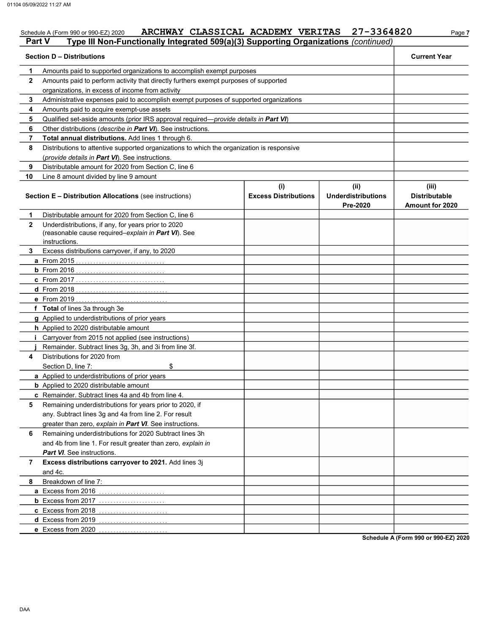|              | <b>Part V</b><br>Type III Non-Functionally Integrated 509(a)(3) Supporting Organizations (continued)<br><b>Section D - Distributions</b> |                             |                                       | <b>Current Year</b>                            |
|--------------|------------------------------------------------------------------------------------------------------------------------------------------|-----------------------------|---------------------------------------|------------------------------------------------|
| 1            | Amounts paid to supported organizations to accomplish exempt purposes                                                                    |                             |                                       |                                                |
| $\mathbf{2}$ | Amounts paid to perform activity that directly furthers exempt purposes of supported                                                     |                             |                                       |                                                |
|              | organizations, in excess of income from activity                                                                                         |                             |                                       |                                                |
| 3            | Administrative expenses paid to accomplish exempt purposes of supported organizations                                                    |                             |                                       |                                                |
| 4            | Amounts paid to acquire exempt-use assets                                                                                                |                             |                                       |                                                |
| 5            | Qualified set-aside amounts (prior IRS approval required— <i>provide details in Part VI</i> )                                            |                             |                                       |                                                |
| 6            | Other distributions (describe in Part VI). See instructions.                                                                             |                             |                                       |                                                |
| 7            | Total annual distributions. Add lines 1 through 6.                                                                                       |                             |                                       |                                                |
| 8            | Distributions to attentive supported organizations to which the organization is responsive                                               |                             |                                       |                                                |
|              | (provide details in Part VI). See instructions.                                                                                          |                             |                                       |                                                |
| 9            | Distributable amount for 2020 from Section C, line 6                                                                                     |                             |                                       |                                                |
| 10           | Line 8 amount divided by line 9 amount                                                                                                   |                             |                                       |                                                |
|              |                                                                                                                                          | (i)                         | (ii)                                  | (iii)                                          |
|              | <b>Section E - Distribution Allocations (see instructions)</b>                                                                           | <b>Excess Distributions</b> | <b>Underdistributions</b><br>Pre-2020 | <b>Distributable</b><br><b>Amount for 2020</b> |
| 1            | Distributable amount for 2020 from Section C, line 6                                                                                     |                             |                                       |                                                |
| $\mathbf{2}$ | Underdistributions, if any, for years prior to 2020                                                                                      |                             |                                       |                                                |
|              | (reasonable cause required-explain in Part VI). See                                                                                      |                             |                                       |                                                |
|              | instructions.                                                                                                                            |                             |                                       |                                                |
| 3            | Excess distributions carryover, if any, to 2020                                                                                          |                             |                                       |                                                |
|              | <b>a</b> From 2015                                                                                                                       |                             |                                       |                                                |
|              |                                                                                                                                          |                             |                                       |                                                |
|              |                                                                                                                                          |                             |                                       |                                                |
|              | $d$ From 2018                                                                                                                            |                             |                                       |                                                |
|              | <b>e</b> From 2019                                                                                                                       |                             |                                       |                                                |
|              | f Total of lines 3a through 3e                                                                                                           |                             |                                       |                                                |
|              | g Applied to underdistributions of prior years                                                                                           |                             |                                       |                                                |
|              | <b>h</b> Applied to 2020 distributable amount                                                                                            |                             |                                       |                                                |
|              | Carryover from 2015 not applied (see instructions)                                                                                       |                             |                                       |                                                |
|              | Remainder. Subtract lines 3g, 3h, and 3i from line 3f.                                                                                   |                             |                                       |                                                |
| 4            | Distributions for 2020 from                                                                                                              |                             |                                       |                                                |
|              | \$<br>Section D, line 7:                                                                                                                 |                             |                                       |                                                |
|              | a Applied to underdistributions of prior years                                                                                           |                             |                                       |                                                |
|              | <b>b</b> Applied to 2020 distributable amount                                                                                            |                             |                                       |                                                |
|              | c Remainder. Subtract lines 4a and 4b from line 4.                                                                                       |                             |                                       |                                                |
| 5            | Remaining underdistributions for years prior to 2020, if                                                                                 |                             |                                       |                                                |
|              | any. Subtract lines 3g and 4a from line 2. For result                                                                                    |                             |                                       |                                                |
|              | greater than zero, explain in Part VI. See instructions.                                                                                 |                             |                                       |                                                |
| 6            | Remaining underdistributions for 2020 Subtract lines 3h                                                                                  |                             |                                       |                                                |
|              | and 4b from line 1. For result greater than zero, explain in                                                                             |                             |                                       |                                                |
|              | Part VI. See instructions.                                                                                                               |                             |                                       |                                                |
| 7            | Excess distributions carryover to 2021. Add lines 3j                                                                                     |                             |                                       |                                                |
|              | and 4c.                                                                                                                                  |                             |                                       |                                                |
| 8            | Breakdown of line 7:                                                                                                                     |                             |                                       |                                                |
|              | a Excess from 2016                                                                                                                       |                             |                                       |                                                |
|              |                                                                                                                                          |                             |                                       |                                                |
|              | c Excess from 2018                                                                                                                       |                             |                                       |                                                |
|              | d Excess from 2019                                                                                                                       |                             |                                       |                                                |
|              | e Excess from 2020                                                                                                                       |                             |                                       |                                                |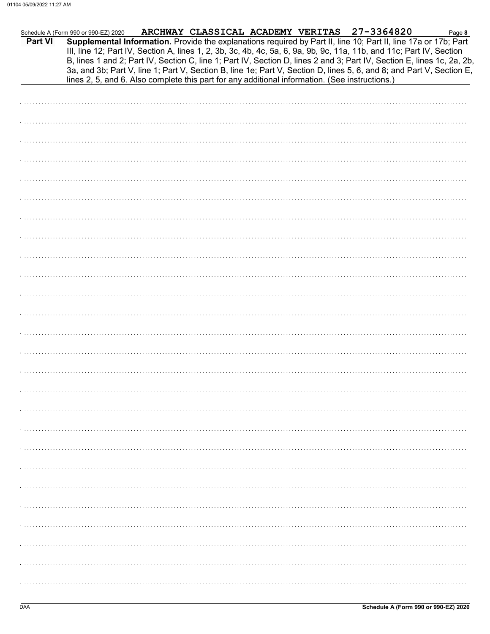|         | Schedule A (Form 990 or 990-EZ) 2020                                                           |  |  | ARCHWAY CLASSICAL ACADEMY VERITAS 27-3364820                                                                                                                                                                                                                                                                                                                                                                                                                                              | Page 8 |
|---------|------------------------------------------------------------------------------------------------|--|--|-------------------------------------------------------------------------------------------------------------------------------------------------------------------------------------------------------------------------------------------------------------------------------------------------------------------------------------------------------------------------------------------------------------------------------------------------------------------------------------------|--------|
| Part VI | lines 2, 5, and 6. Also complete this part for any additional information. (See instructions.) |  |  | Supplemental Information. Provide the explanations required by Part II, line 10; Part II, line 17a or 17b; Part<br>III, line 12; Part IV, Section A, lines 1, 2, 3b, 3c, 4b, 4c, 5a, 6, 9a, 9b, 9c, 11a, 11b, and 11c; Part IV, Section<br>B, lines 1 and 2; Part IV, Section C, line 1; Part IV, Section D, lines 2 and 3; Part IV, Section E, lines 1c, 2a, 2b,<br>3a, and 3b; Part V, line 1; Part V, Section B, line 1e; Part V, Section D, lines 5, 6, and 8; and Part V, Section E, |        |
|         |                                                                                                |  |  |                                                                                                                                                                                                                                                                                                                                                                                                                                                                                           |        |
|         |                                                                                                |  |  |                                                                                                                                                                                                                                                                                                                                                                                                                                                                                           |        |
|         |                                                                                                |  |  |                                                                                                                                                                                                                                                                                                                                                                                                                                                                                           |        |
|         |                                                                                                |  |  |                                                                                                                                                                                                                                                                                                                                                                                                                                                                                           |        |
|         |                                                                                                |  |  |                                                                                                                                                                                                                                                                                                                                                                                                                                                                                           |        |
|         |                                                                                                |  |  |                                                                                                                                                                                                                                                                                                                                                                                                                                                                                           |        |
|         |                                                                                                |  |  |                                                                                                                                                                                                                                                                                                                                                                                                                                                                                           |        |
|         |                                                                                                |  |  |                                                                                                                                                                                                                                                                                                                                                                                                                                                                                           |        |
|         |                                                                                                |  |  |                                                                                                                                                                                                                                                                                                                                                                                                                                                                                           |        |
|         |                                                                                                |  |  |                                                                                                                                                                                                                                                                                                                                                                                                                                                                                           |        |
|         |                                                                                                |  |  |                                                                                                                                                                                                                                                                                                                                                                                                                                                                                           |        |
|         |                                                                                                |  |  |                                                                                                                                                                                                                                                                                                                                                                                                                                                                                           |        |
|         |                                                                                                |  |  |                                                                                                                                                                                                                                                                                                                                                                                                                                                                                           |        |
|         |                                                                                                |  |  |                                                                                                                                                                                                                                                                                                                                                                                                                                                                                           |        |
|         |                                                                                                |  |  |                                                                                                                                                                                                                                                                                                                                                                                                                                                                                           |        |
|         |                                                                                                |  |  |                                                                                                                                                                                                                                                                                                                                                                                                                                                                                           |        |
|         |                                                                                                |  |  |                                                                                                                                                                                                                                                                                                                                                                                                                                                                                           |        |
|         |                                                                                                |  |  |                                                                                                                                                                                                                                                                                                                                                                                                                                                                                           |        |
|         |                                                                                                |  |  |                                                                                                                                                                                                                                                                                                                                                                                                                                                                                           |        |
|         |                                                                                                |  |  |                                                                                                                                                                                                                                                                                                                                                                                                                                                                                           |        |
|         |                                                                                                |  |  |                                                                                                                                                                                                                                                                                                                                                                                                                                                                                           |        |
|         |                                                                                                |  |  |                                                                                                                                                                                                                                                                                                                                                                                                                                                                                           |        |
|         |                                                                                                |  |  |                                                                                                                                                                                                                                                                                                                                                                                                                                                                                           |        |
|         |                                                                                                |  |  |                                                                                                                                                                                                                                                                                                                                                                                                                                                                                           |        |
|         |                                                                                                |  |  |                                                                                                                                                                                                                                                                                                                                                                                                                                                                                           |        |
|         |                                                                                                |  |  |                                                                                                                                                                                                                                                                                                                                                                                                                                                                                           |        |
|         |                                                                                                |  |  |                                                                                                                                                                                                                                                                                                                                                                                                                                                                                           |        |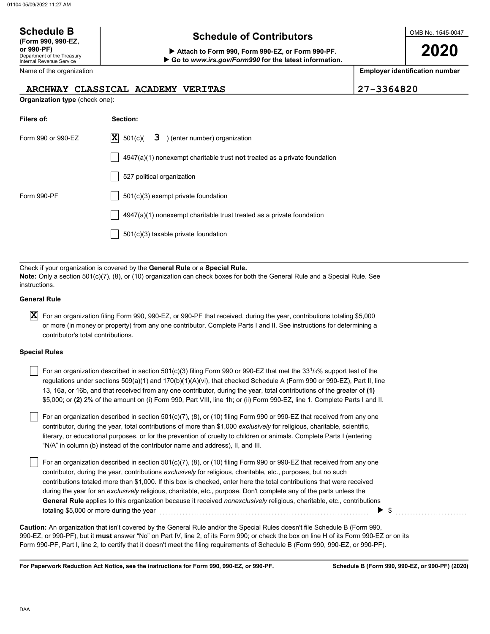### OMB No. 1545-0047 Department of the Treasury Internal Revenue Service Name of the organization 2020 Schedule B  $\overline{S}$  Schedule of Contributors (Form 990, 990-EZ, or 990-PF) Attach to Form 990, Form 990-EZ, or Form 990-PF. Employer identification number Organization type (check one): Filers of: Section: Form 990 or 990-EZ  $|\mathbf{X}|$  501(c)( **3** ) (enter number) organization  $4947(a)(1)$  nonexempt charitable trust not treated as a private foundation Go to www.irs.gov/Form990 for the latest information. ARCHWAY CLASSICAL ACADEMY VERITAS 27-3364820  $\overline{\mathbf{X}}$  501(c)(

Check if your organization is covered by the General Rule or a Special Rule. Note: Only a section 501(c)(7), (8), or (10) organization can check boxes for both the General Rule and a Special Rule. See instructions.

4947(a)(1) nonexempt charitable trust treated as a private foundation

527 political organization

501(c)(3) taxable private foundation

Form 990-PF 1501(c)(3) exempt private foundation

#### General Rule

 $\bm{X}$  For an organization filing Form 990, 990-EZ, or 990-PF that received, during the year, contributions totaling \$5,000 or more (in money or property) from any one contributor. Complete Parts I and II. See instructions for determining a contributor's total contributions.

#### Special Rules

| For an organization described in section 501(c)(3) filing Form 990 or 990-EZ that met the 33 <sup>1</sup> /3% support test of the |
|-----------------------------------------------------------------------------------------------------------------------------------|
| regulations under sections $509(a)(1)$ and $170(b)(1)(A)(vi)$ , that checked Schedule A (Form 990 or 990-EZ), Part II, line       |
| 13, 16a, or 16b, and that received from any one contributor, during the year, total contributions of the greater of (1)           |
| \$5,000; or (2) 2% of the amount on (i) Form 990, Part VIII, line 1h; or (ii) Form 990-EZ, line 1. Complete Parts I and II.       |

literary, or educational purposes, or for the prevention of cruelty to children or animals. Complete Parts I (entering For an organization described in section 501(c)(7), (8), or (10) filing Form 990 or 990-EZ that received from any one contributor, during the year, total contributions of more than \$1,000 exclusively for religious, charitable, scientific, "N/A" in column (b) instead of the contributor name and address), II, and III.

For an organization described in section 501(c)(7), (8), or (10) filing Form 990 or 990-EZ that received from any one contributor, during the year, contributions exclusively for religious, charitable, etc., purposes, but no such contributions totaled more than \$1,000. If this box is checked, enter here the total contributions that were received during the year for an exclusively religious, charitable, etc., purpose. Don't complete any of the parts unless the General Rule applies to this organization because it received nonexclusively religious, charitable, etc., contributions  $\text{totaling }$  \$5,000 or more during the year  $\ldots$   $\ldots$   $\ldots$   $\ldots$   $\ldots$   $\ldots$   $\ldots$   $\ldots$   $\ldots$   $\ldots$   $\blacksquare$ 

990-EZ, or 990-PF), but it must answer "No" on Part IV, line 2, of its Form 990; or check the box on line H of its Form 990-EZ or on its Form 990-PF, Part I, line 2, to certify that it doesn't meet the filing requirements of Schedule B (Form 990, 990-EZ, or 990-PF). Caution: An organization that isn't covered by the General Rule and/or the Special Rules doesn't file Schedule B (Form 990,

For Paperwork Reduction Act Notice, see the instructions for Form 990, 990-EZ, or 990-PF.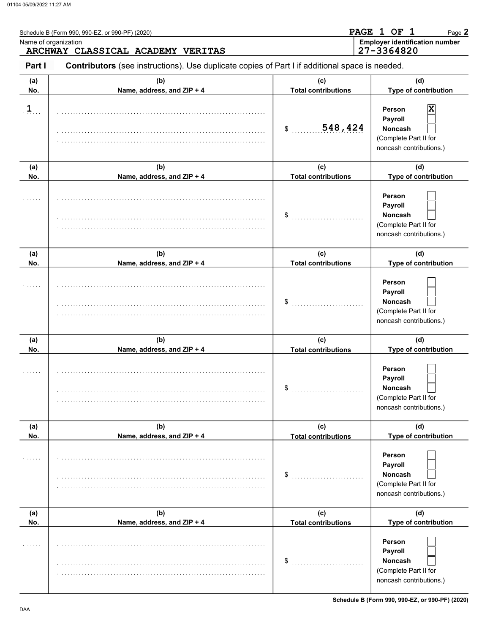|                | Schedule B (Form 990, 990-EZ, or 990-PF) (2020)                                                | PAGE 1 OF 1<br>Page 2                               |                                                                                         |  |  |
|----------------|------------------------------------------------------------------------------------------------|-----------------------------------------------------|-----------------------------------------------------------------------------------------|--|--|
|                | Name of organization<br>ARCHWAY CLASSICAL ACADEMY VERITAS                                      | <b>Employer identification number</b><br>27-3364820 |                                                                                         |  |  |
| Part I         | Contributors (see instructions). Use duplicate copies of Part I if additional space is needed. |                                                     |                                                                                         |  |  |
| (a)<br>No.     | (b)<br>Name, address, and ZIP + 4                                                              | (C)<br><b>Total contributions</b>                   | (d)<br>Type of contribution                                                             |  |  |
| $\overline{1}$ |                                                                                                | 548,424<br>\$                                       | X<br>Person<br>Payroll<br>Noncash<br>(Complete Part II for<br>noncash contributions.)   |  |  |
| (a)            | (b)                                                                                            | (c)                                                 | (d)                                                                                     |  |  |
| No.            | Name, address, and ZIP + 4                                                                     | <b>Total contributions</b>                          | Type of contribution                                                                    |  |  |
|                |                                                                                                | \$                                                  | Person<br>Payroll<br>Noncash<br>(Complete Part II for<br>noncash contributions.)        |  |  |
| (a)            | (b)                                                                                            | (c)                                                 | (d)                                                                                     |  |  |
| No.            | Name, address, and ZIP + 4                                                                     | <b>Total contributions</b>                          | Type of contribution                                                                    |  |  |
|                |                                                                                                | \$                                                  | Person<br>Payroll<br>Noncash<br>(Complete Part II for<br>noncash contributions.)        |  |  |
| (a)            | (b)                                                                                            | (c)                                                 | (d)                                                                                     |  |  |
| No.            | Name, address, and ZIP + 4                                                                     | <b>Total contributions</b>                          | Type of contribution                                                                    |  |  |
|                |                                                                                                | \$                                                  | Person<br>Payroll<br><b>Noncash</b><br>(Complete Part II for<br>noncash contributions.) |  |  |
| (a)            | (b)                                                                                            | (c)                                                 | (d)                                                                                     |  |  |
| No.            | Name, address, and ZIP + 4                                                                     | <b>Total contributions</b>                          | Type of contribution                                                                    |  |  |
| 1.1.1.1        |                                                                                                | \$                                                  | Person<br>Payroll<br><b>Noncash</b><br>(Complete Part II for<br>noncash contributions.) |  |  |
| (a)            | (b)                                                                                            | (c)                                                 | (d)                                                                                     |  |  |
| No.            | Name, address, and ZIP + 4                                                                     | <b>Total contributions</b>                          | Type of contribution                                                                    |  |  |
| 1.1.1.1        |                                                                                                | \$                                                  | Person<br>Payroll<br><b>Noncash</b><br>(Complete Part II for<br>noncash contributions.) |  |  |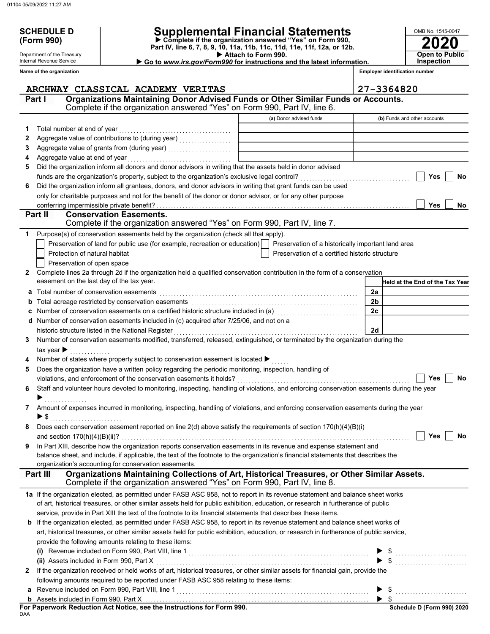(Form 990)

Department of the Treasury Internal Revenue Service Name of the organization

## SCHEDULE D | Supplemental Financial Statements

 Attach to Form 990. Part IV, line 6, 7, 8, 9, 10, 11a, 11b, 11c, 11d, 11e, 11f, 12a, or 12b. Complete if the organization answered "Yes" on Form 990, Go to www.irs.gov/Form990 for instructions and the latest information.

tification number **Inspection** 

2020

**Open to Public** 

OMB No. 1545-0047

| me of the organization |                                   |  |                                                                                   | <b>Employer identification r</b> |
|------------------------|-----------------------------------|--|-----------------------------------------------------------------------------------|----------------------------------|
|                        | ARCHWAY CLASSICAL ACADEMY VERITAS |  |                                                                                   | $ 27 - 3364820$                  |
| Part I                 |                                   |  | Organizations Maintaining Donor Advised Funds or Other Similar Funds or Accounts. |                                  |

|   | ARCOWAI<br>CLASSICAL ACADEMI VERIIAS<br>Organizations Maintaining Donor Advised Funds or Other Similar Funds or Accounts.<br>Part I                                                   |                                                    | 21-33040ZU                      |
|---|---------------------------------------------------------------------------------------------------------------------------------------------------------------------------------------|----------------------------------------------------|---------------------------------|
|   | Complete if the organization answered "Yes" on Form 990, Part IV, line 6.                                                                                                             |                                                    |                                 |
|   |                                                                                                                                                                                       | (a) Donor advised funds                            | (b) Funds and other accounts    |
| 1 | Total number at end of year                                                                                                                                                           |                                                    |                                 |
| 2 | Aggregate value of contributions to (during year) [11] [11] Aggregate value of contributions to (during year)                                                                         |                                                    |                                 |
| 3 |                                                                                                                                                                                       |                                                    |                                 |
| 4 | Aggregate value at end of year                                                                                                                                                        |                                                    |                                 |
| 5 | Did the organization inform all donors and donor advisors in writing that the assets held in donor advised                                                                            |                                                    |                                 |
|   | funds are the organization's property, subject to the organization's exclusive legal control?                                                                                         |                                                    | Yes<br>No                       |
| 6 | Did the organization inform all grantees, donors, and donor advisors in writing that grant funds can be used                                                                          |                                                    |                                 |
|   | only for charitable purposes and not for the benefit of the donor or donor advisor, or for any other purpose                                                                          |                                                    |                                 |
|   | conferring impermissible private benefit?                                                                                                                                             |                                                    | <b>Yes</b><br>No                |
|   | <b>Conservation Easements.</b><br>Part II<br>Complete if the organization answered "Yes" on Form 990, Part IV, line 7.                                                                |                                                    |                                 |
| 1 | Purpose(s) of conservation easements held by the organization (check all that apply).                                                                                                 |                                                    |                                 |
|   | Preservation of land for public use (for example, recreation or education)                                                                                                            | Preservation of a historically important land area |                                 |
|   | Protection of natural habitat                                                                                                                                                         | Preservation of a certified historic structure     |                                 |
|   | Preservation of open space                                                                                                                                                            |                                                    |                                 |
| 2 | Complete lines 2a through 2d if the organization held a qualified conservation contribution in the form of a conservation                                                             |                                                    |                                 |
|   | easement on the last day of the tax year.                                                                                                                                             |                                                    | Held at the End of the Tax Year |
| а | Total number of conservation easements                                                                                                                                                |                                                    | 2a                              |
| b | Total acreage restricted by conservation easements                                                                                                                                    |                                                    | 2 <sub>b</sub>                  |
|   | Number of conservation easements on a certified historic structure included in (a)                                                                                                    |                                                    | 2c                              |
|   | d Number of conservation easements included in (c) acquired after 7/25/06, and not on a                                                                                               |                                                    |                                 |
|   | historic structure listed in the National Register                                                                                                                                    |                                                    | 2d                              |
| 3 | Number of conservation easements modified, transferred, released, extinguished, or terminated by the organization during the                                                          |                                                    |                                 |
|   | tax year $\blacktriangleright$                                                                                                                                                        |                                                    |                                 |
| 4 | Number of states where property subject to conservation easement is located ▶                                                                                                         |                                                    |                                 |
| 5 | Does the organization have a written policy regarding the periodic monitoring, inspection, handling of                                                                                |                                                    |                                 |
|   | violations, and enforcement of the conservation easements it holds?                                                                                                                   |                                                    | <b>No</b><br>Yes                |
| 6 | Staff and volunteer hours devoted to monitoring, inspecting, handling of violations, and enforcing conservation easements during the year                                             |                                                    |                                 |
|   |                                                                                                                                                                                       |                                                    |                                 |
| 7 | Amount of expenses incurred in monitoring, inspecting, handling of violations, and enforcing conservation easements during the year                                                   |                                                    |                                 |
|   | $\blacktriangleright$ \$                                                                                                                                                              |                                                    |                                 |
|   | Does each conservation easement reported on line $2(d)$ above satisfy the requirements of section $170(h)(4)(B)(i)$                                                                   |                                                    |                                 |
|   | and section $170(h)(4)(B)(ii)?$                                                                                                                                                       |                                                    | Yes<br>No                       |
|   | In Part XIII, describe how the organization reports conservation easements in its revenue and expense statement and                                                                   |                                                    |                                 |
|   | balance sheet, and include, if applicable, the text of the footnote to the organization's financial statements that describes the                                                     |                                                    |                                 |
|   | organization's accounting for conservation easements.                                                                                                                                 |                                                    |                                 |
|   | Organizations Maintaining Collections of Art, Historical Treasures, or Other Similar Assets.<br>Part III<br>Complete if the organization answered "Yes" on Form 990, Part IV, line 8. |                                                    |                                 |
|   | 1a If the organization elected, as permitted under FASB ASC 958, not to report in its revenue statement and balance sheet works                                                       |                                                    |                                 |
|   | of art, historical treasures, or other similar assets held for public exhibition, education, or research in furtherance of public                                                     |                                                    |                                 |
|   | service, provide in Part XIII the text of the footnote to its financial statements that describes these items.                                                                        |                                                    |                                 |
|   | b If the organization elected, as permitted under FASB ASC 958, to report in its revenue statement and balance sheet works of                                                         |                                                    |                                 |
|   | art, historical treasures, or other similar assets held for public exhibition, education, or research in furtherance of public service,                                               |                                                    |                                 |
|   | provide the following amounts relating to these items:                                                                                                                                |                                                    |                                 |
|   |                                                                                                                                                                                       |                                                    |                                 |
|   | (ii) Assets included in Form 990, Part X                                                                                                                                              |                                                    |                                 |
| 2 | If the organization received or held works of art, historical treasures, or other similar assets for financial gain, provide the                                                      |                                                    |                                 |
|   | following amounts required to be reported under FASB ASC 958 relating to these items:                                                                                                 |                                                    |                                 |
| a |                                                                                                                                                                                       |                                                    |                                 |
|   |                                                                                                                                                                                       |                                                    | $\blacktriangleright$ s         |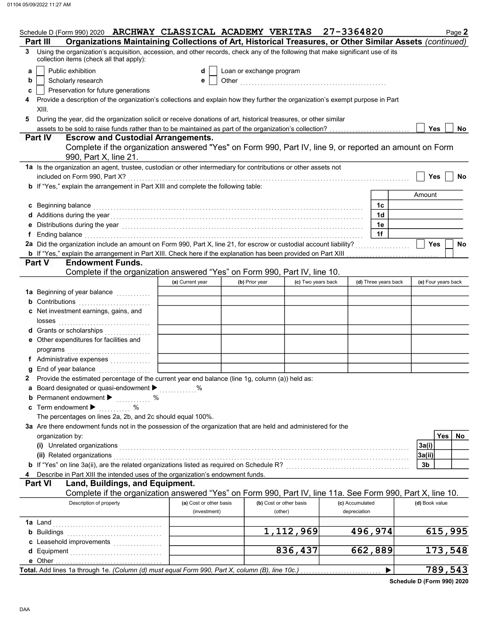| Schedule D (Form 990) 2020 ARCHWAY CLASSICAL ACADEMY VERITAS 27-3364820                                                                                                                                                        |                                                                                                                                |                          |                                    |                                 |                      | Page 2                  |  |  |  |  |  |
|--------------------------------------------------------------------------------------------------------------------------------------------------------------------------------------------------------------------------------|--------------------------------------------------------------------------------------------------------------------------------|--------------------------|------------------------------------|---------------------------------|----------------------|-------------------------|--|--|--|--|--|
| Organizations Maintaining Collections of Art, Historical Treasures, or Other Similar Assets (continued)<br>Part III                                                                                                            |                                                                                                                                |                          |                                    |                                 |                      |                         |  |  |  |  |  |
| Using the organization's acquisition, accession, and other records, check any of the following that make significant use of its<br>3<br>collection items (check all that apply):                                               |                                                                                                                                |                          |                                    |                                 |                      |                         |  |  |  |  |  |
| Public exhibition<br>a                                                                                                                                                                                                         | d                                                                                                                              | Loan or exchange program |                                    |                                 |                      |                         |  |  |  |  |  |
| Scholarly research<br>b                                                                                                                                                                                                        | е                                                                                                                              |                          |                                    |                                 |                      |                         |  |  |  |  |  |
| Preservation for future generations<br>c                                                                                                                                                                                       |                                                                                                                                |                          |                                    |                                 |                      |                         |  |  |  |  |  |
| XIII.                                                                                                                                                                                                                          | Provide a description of the organization's collections and explain how they further the organization's exempt purpose in Part |                          |                                    |                                 |                      |                         |  |  |  |  |  |
| During the year, did the organization solicit or receive donations of art, historical treasures, or other similar<br>5                                                                                                         |                                                                                                                                |                          |                                    |                                 |                      |                         |  |  |  |  |  |
|                                                                                                                                                                                                                                |                                                                                                                                |                          |                                    |                                 |                      | <b>Yes</b><br><b>No</b> |  |  |  |  |  |
| <b>Part IV</b><br><b>Escrow and Custodial Arrangements.</b>                                                                                                                                                                    |                                                                                                                                |                          |                                    |                                 |                      |                         |  |  |  |  |  |
| Complete if the organization answered "Yes" on Form 990, Part IV, line 9, or reported an amount on Form<br>990, Part X, line 21.                                                                                               |                                                                                                                                |                          |                                    |                                 |                      |                         |  |  |  |  |  |
| 1a Is the organization an agent, trustee, custodian or other intermediary for contributions or other assets not<br>included on Form 990, Part X?                                                                               |                                                                                                                                |                          |                                    |                                 |                      | Yes<br><b>No</b>        |  |  |  |  |  |
| b If "Yes," explain the arrangement in Part XIII and complete the following table:                                                                                                                                             |                                                                                                                                |                          |                                    |                                 |                      |                         |  |  |  |  |  |
|                                                                                                                                                                                                                                |                                                                                                                                |                          |                                    |                                 |                      | Amount                  |  |  |  |  |  |
| c Beginning balance expressions and the contract of the contract of the contract of the contract of the contract of the contract of the contract of the contract of the contract of the contract of the contract of the contra |                                                                                                                                |                          |                                    |                                 | 1c                   |                         |  |  |  |  |  |
| d Additions during the year electron contracts and a set of the set of the set of the set of the set of the set of the set of the set of the set of the set of the set of the set of the set of the set of the set of the set  |                                                                                                                                |                          |                                    |                                 | 1d                   |                         |  |  |  |  |  |
|                                                                                                                                                                                                                                |                                                                                                                                |                          |                                    |                                 | 1e                   |                         |  |  |  |  |  |
| Ending balance with a construction of the construction of the construction of the construction of the construction of the construction of the construction of the construction of the construction of the construction of the  |                                                                                                                                |                          |                                    |                                 | 1f                   |                         |  |  |  |  |  |
| 2a Did the organization include an amount on Form 990, Part X, line 21, for escrow or custodial account liability?                                                                                                             |                                                                                                                                |                          |                                    |                                 |                      | <b>Yes</b><br>No        |  |  |  |  |  |
|                                                                                                                                                                                                                                |                                                                                                                                |                          |                                    |                                 |                      |                         |  |  |  |  |  |
| <b>Endowment Funds.</b><br><b>Part V</b>                                                                                                                                                                                       |                                                                                                                                |                          |                                    |                                 |                      |                         |  |  |  |  |  |
| Complete if the organization answered "Yes" on Form 990, Part IV, line 10.                                                                                                                                                     |                                                                                                                                |                          |                                    |                                 |                      |                         |  |  |  |  |  |
|                                                                                                                                                                                                                                | (a) Current year                                                                                                               | (b) Prior year           | (c) Two years back                 |                                 | (d) Three years back | (e) Four years back     |  |  |  |  |  |
| 1a Beginning of year balance <i>minimizing</i>                                                                                                                                                                                 |                                                                                                                                |                          |                                    |                                 |                      |                         |  |  |  |  |  |
| <b>b</b> Contributions <b>contributions</b>                                                                                                                                                                                    |                                                                                                                                |                          |                                    |                                 |                      |                         |  |  |  |  |  |
| c Net investment earnings, gains, and                                                                                                                                                                                          |                                                                                                                                |                          |                                    |                                 |                      |                         |  |  |  |  |  |
| d Grants or scholarships                                                                                                                                                                                                       |                                                                                                                                |                          |                                    |                                 |                      |                         |  |  |  |  |  |
| e Other expenditures for facilities and                                                                                                                                                                                        |                                                                                                                                |                          |                                    |                                 |                      |                         |  |  |  |  |  |
| programs                                                                                                                                                                                                                       |                                                                                                                                |                          |                                    |                                 |                      |                         |  |  |  |  |  |
| f Administrative expenses                                                                                                                                                                                                      |                                                                                                                                |                          |                                    |                                 |                      |                         |  |  |  |  |  |
| End of year balance<br>g                                                                                                                                                                                                       |                                                                                                                                |                          |                                    |                                 |                      |                         |  |  |  |  |  |
| 2 Provide the estimated percentage of the current year end balance (line 1g, column (a)) held as:                                                                                                                              |                                                                                                                                |                          |                                    |                                 |                      |                         |  |  |  |  |  |
| a Board designated or quasi-endowment >                                                                                                                                                                                        |                                                                                                                                |                          |                                    |                                 |                      |                         |  |  |  |  |  |
| <b>b</b> Permanent endowment <b>D</b> 2000 minutes of 2011                                                                                                                                                                     |                                                                                                                                |                          |                                    |                                 |                      |                         |  |  |  |  |  |
| c Term endowment $\blacktriangleright$<br>$\frac{0}{0}$                                                                                                                                                                        |                                                                                                                                |                          |                                    |                                 |                      |                         |  |  |  |  |  |
| The percentages on lines 2a, 2b, and 2c should equal 100%.                                                                                                                                                                     |                                                                                                                                |                          |                                    |                                 |                      |                         |  |  |  |  |  |
| 3a Are there endowment funds not in the possession of the organization that are held and administered for the                                                                                                                  |                                                                                                                                |                          |                                    |                                 |                      |                         |  |  |  |  |  |
| organization by:                                                                                                                                                                                                               |                                                                                                                                |                          |                                    |                                 |                      | Yes  <br>No             |  |  |  |  |  |
| (i) Unrelated organizations expansion of the contract of the contract of the contract of the contract of the contract of the contract of the contract of the contract of the contract of the contract of the contract of the c |                                                                                                                                |                          |                                    |                                 |                      | 3a(i)                   |  |  |  |  |  |
|                                                                                                                                                                                                                                |                                                                                                                                |                          |                                    |                                 |                      | 3a(ii)                  |  |  |  |  |  |
| b If "Yes" on line 3a(ii), are the related organizations listed as required on Schedule R? [[[[[[[[[[[[[[[[[[[                                                                                                                 |                                                                                                                                |                          |                                    |                                 |                      | 3b                      |  |  |  |  |  |
| Describe in Part XIII the intended uses of the organization's endowment funds.                                                                                                                                                 |                                                                                                                                |                          |                                    |                                 |                      |                         |  |  |  |  |  |
| Land, Buildings, and Equipment.<br><b>Part VI</b>                                                                                                                                                                              |                                                                                                                                |                          |                                    |                                 |                      |                         |  |  |  |  |  |
| Complete if the organization answered "Yes" on Form 990, Part IV, line 11a. See Form 990, Part X, line 10.                                                                                                                     |                                                                                                                                |                          |                                    |                                 |                      |                         |  |  |  |  |  |
| Description of property                                                                                                                                                                                                        | (a) Cost or other basis<br>(investment)                                                                                        |                          | (b) Cost or other basis<br>(other) | (c) Accumulated<br>depreciation |                      | (d) Book value          |  |  |  |  |  |
|                                                                                                                                                                                                                                |                                                                                                                                |                          |                                    |                                 |                      |                         |  |  |  |  |  |
|                                                                                                                                                                                                                                |                                                                                                                                |                          | 1,112,969                          | 496,974                         |                      | 615,995                 |  |  |  |  |  |
|                                                                                                                                                                                                                                |                                                                                                                                |                          |                                    |                                 |                      |                         |  |  |  |  |  |
| c Leasehold improvements                                                                                                                                                                                                       |                                                                                                                                |                          | 836,437                            | 662,889                         |                      | 173,548                 |  |  |  |  |  |
|                                                                                                                                                                                                                                |                                                                                                                                |                          |                                    |                                 |                      |                         |  |  |  |  |  |
|                                                                                                                                                                                                                                |                                                                                                                                |                          |                                    |                                 | ▶                    | 789,543                 |  |  |  |  |  |
|                                                                                                                                                                                                                                |                                                                                                                                |                          |                                    |                                 |                      |                         |  |  |  |  |  |

Schedule D (Form 990) 2020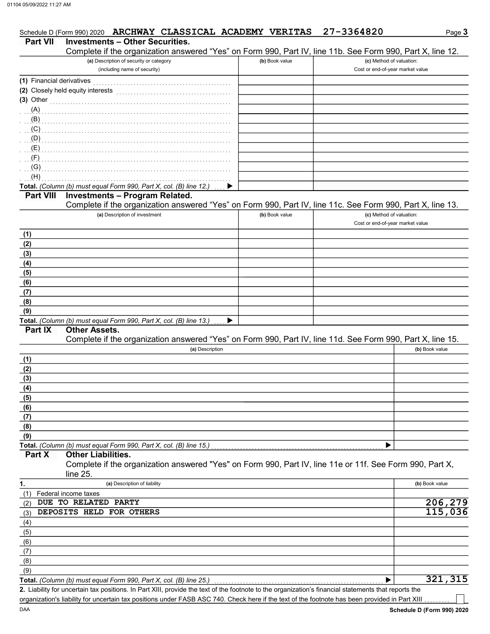|                           | Schedule D (Form 990) 2020 ARCHWAY CLASSICAL ACADEMY VERITAS                                                                                                                                                                        |                | 27-3364820                       | Page 3         |
|---------------------------|-------------------------------------------------------------------------------------------------------------------------------------------------------------------------------------------------------------------------------------|----------------|----------------------------------|----------------|
| <b>Part VII</b>           | <b>Investments - Other Securities.</b><br>Complete if the organization answered "Yes" on Form 990, Part IV, line 11b. See Form 990, Part X, line 12.                                                                                |                |                                  |                |
|                           | (a) Description of security or category                                                                                                                                                                                             | (b) Book value | (c) Method of valuation:         |                |
|                           | (including name of security)                                                                                                                                                                                                        |                | Cost or end-of-year market value |                |
| (1) Financial derivatives |                                                                                                                                                                                                                                     |                |                                  |                |
|                           | (2) Closely held equity interests                                                                                                                                                                                                   |                |                                  |                |
|                           | (3) Other <b>Manual</b> Chairman Communication of the Communication of the Communication of the Communication of the Communication of the Communication of the Communication of the Communication of the Communication of the Commu |                |                                  |                |
| (A)                       |                                                                                                                                                                                                                                     |                |                                  |                |
| (B)                       |                                                                                                                                                                                                                                     |                |                                  |                |
| (C)                       |                                                                                                                                                                                                                                     |                |                                  |                |
| (D)                       |                                                                                                                                                                                                                                     |                |                                  |                |
| (E)                       |                                                                                                                                                                                                                                     |                |                                  |                |
| (F)                       |                                                                                                                                                                                                                                     |                |                                  |                |
| (G)                       |                                                                                                                                                                                                                                     |                |                                  |                |
| (H)                       |                                                                                                                                                                                                                                     |                |                                  |                |
|                           | Total. (Column (b) must equal Form 990, Part X, col. (B) line 12.)                                                                                                                                                                  |                |                                  |                |
| <b>Part VIII</b>          | <b>Investments - Program Related.</b>                                                                                                                                                                                               |                |                                  |                |
|                           | Complete if the organization answered "Yes" on Form 990, Part IV, line 11c. See Form 990, Part X, line 13.                                                                                                                          |                |                                  |                |
|                           | (a) Description of investment                                                                                                                                                                                                       | (b) Book value | (c) Method of valuation:         |                |
|                           |                                                                                                                                                                                                                                     |                | Cost or end-of-year market value |                |
| (1)                       |                                                                                                                                                                                                                                     |                |                                  |                |
| (2)                       |                                                                                                                                                                                                                                     |                |                                  |                |
| (3)                       |                                                                                                                                                                                                                                     |                |                                  |                |
| (4)                       |                                                                                                                                                                                                                                     |                |                                  |                |
| (5)                       |                                                                                                                                                                                                                                     |                |                                  |                |
| (6)                       |                                                                                                                                                                                                                                     |                |                                  |                |
| (7)<br>(8)                |                                                                                                                                                                                                                                     |                |                                  |                |
| (9)                       |                                                                                                                                                                                                                                     |                |                                  |                |
|                           | Total. (Column (b) must equal Form 990, Part X, col. (B) line 13.)                                                                                                                                                                  |                |                                  |                |
| <b>Part IX</b>            | <b>Other Assets.</b>                                                                                                                                                                                                                |                |                                  |                |
|                           | Complete if the organization answered "Yes" on Form 990, Part IV, line 11d. See Form 990, Part X, line 15.                                                                                                                          |                |                                  |                |
|                           | (a) Description                                                                                                                                                                                                                     |                |                                  | (b) Book value |
| (1)                       |                                                                                                                                                                                                                                     |                |                                  |                |
| (2)                       |                                                                                                                                                                                                                                     |                |                                  |                |
| (3)                       |                                                                                                                                                                                                                                     |                |                                  |                |
| (4)                       |                                                                                                                                                                                                                                     |                |                                  |                |
| (5)                       |                                                                                                                                                                                                                                     |                |                                  |                |
| (6)                       |                                                                                                                                                                                                                                     |                |                                  |                |
| (7)                       |                                                                                                                                                                                                                                     |                |                                  |                |
| (8)                       |                                                                                                                                                                                                                                     |                |                                  |                |
| (9)                       |                                                                                                                                                                                                                                     |                |                                  |                |
|                           | Total. (Column (b) must equal Form 990, Part X, col. (B) line 15.)                                                                                                                                                                  |                |                                  |                |
| Part X                    | <b>Other Liabilities.</b>                                                                                                                                                                                                           |                |                                  |                |
|                           | Complete if the organization answered "Yes" on Form 990, Part IV, line 11e or 11f. See Form 990, Part X,                                                                                                                            |                |                                  |                |
|                           | line 25.                                                                                                                                                                                                                            |                |                                  |                |
| 1.                        | (a) Description of liability                                                                                                                                                                                                        |                |                                  | (b) Book value |
| (1)                       | Federal income taxes<br>DUE TO RELATED PARTY                                                                                                                                                                                        |                |                                  | 206,279        |
| (2)                       | DEPOSITS HELD FOR OTHERS                                                                                                                                                                                                            |                |                                  | 115,036        |
| (3)                       |                                                                                                                                                                                                                                     |                |                                  |                |
| (4)<br>(5)                |                                                                                                                                                                                                                                     |                |                                  |                |
| (6)                       |                                                                                                                                                                                                                                     |                |                                  |                |
| (7)                       |                                                                                                                                                                                                                                     |                |                                  |                |
| (8)                       |                                                                                                                                                                                                                                     |                |                                  |                |
| (9)                       |                                                                                                                                                                                                                                     |                |                                  |                |
|                           | Total. (Column (b) must equal Form 990, Part X, col. (B) line 25.)                                                                                                                                                                  |                |                                  | 321,315        |

Liability for uncertain tax positions. In Part XIII, provide the text of the footnote to the organization's financial statements that reports the 2. organization's liability for uncertain tax positions under FASB ASC 740. Check here if the text of the footnote has been provided in Part XIII.

- 1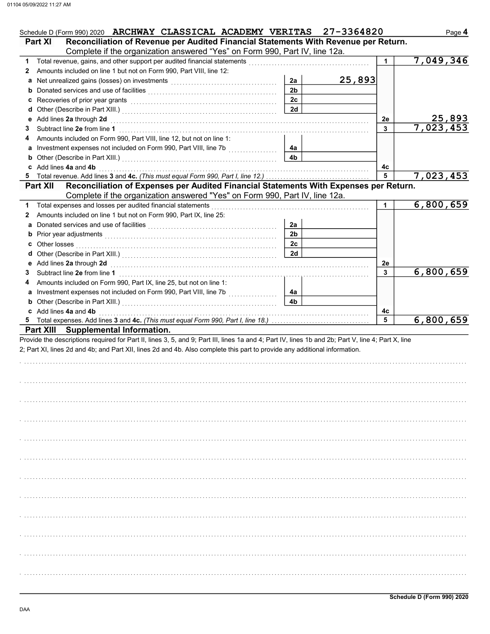| Schedule D (Form 990) 2020 ARCHWAY CLASSICAL ACADEMY VERITAS<br>Reconciliation of Revenue per Audited Financial Statements With Revenue per Return.<br><b>Part XI</b>                                                                                         |                | 27-3364820 |    | Page 4    |
|---------------------------------------------------------------------------------------------------------------------------------------------------------------------------------------------------------------------------------------------------------------|----------------|------------|----|-----------|
| Complete if the organization answered "Yes" on Form 990, Part IV, line 12a.                                                                                                                                                                                   |                |            |    |           |
| 1.                                                                                                                                                                                                                                                            |                |            | 1. | 7,049,346 |
| Amounts included on line 1 but not on Form 990, Part VIII, line 12:<br>2                                                                                                                                                                                      |                |            |    |           |
|                                                                                                                                                                                                                                                               | 2a             | 25,893     |    |           |
| b Donated services and use of facilities [11] production contracts and service in the service of facilities (1                                                                                                                                                | 2 <sub>b</sub> |            |    |           |
|                                                                                                                                                                                                                                                               | 2c             |            |    |           |
|                                                                                                                                                                                                                                                               | 2d             |            |    |           |
| e Add lines 2a through 2d                                                                                                                                                                                                                                     |                |            | 2e | 25,893    |
| 3                                                                                                                                                                                                                                                             |                |            | 3  | 7,023,453 |
| Amounts included on Form 990, Part VIII, line 12, but not on line 1:<br>4                                                                                                                                                                                     |                |            |    |           |
|                                                                                                                                                                                                                                                               | 4a             |            |    |           |
| <b>b</b> Other (Describe in Part XIII.) <b>CONSERVING (2014)</b>                                                                                                                                                                                              | 4 <sub>b</sub> |            |    |           |
| c Add lines 4a and 4b                                                                                                                                                                                                                                         |                |            | 4с |           |
| 5.                                                                                                                                                                                                                                                            |                |            | 5  | 7,023,453 |
| Reconciliation of Expenses per Audited Financial Statements With Expenses per Return.<br><b>Part XII</b>                                                                                                                                                      |                |            |    |           |
| Complete if the organization answered "Yes" on Form 990, Part IV, line 12a.                                                                                                                                                                                   |                |            |    |           |
| Total expenses and losses per audited financial statements<br>1.                                                                                                                                                                                              |                |            | 1  | 6,800,659 |
| Amounts included on line 1 but not on Form 990, Part IX, line 25:<br>2                                                                                                                                                                                        |                |            |    |           |
|                                                                                                                                                                                                                                                               | 2a             |            |    |           |
| <b>b</b> Prior year adjustments <b>contained contained contained and prior</b> vertical <b>contained by Prior</b> vertical <b>contained by Prior</b> vertical <b>contained by Prior</b> vertical <b>contained by Prior</b> vertical <b>contained by Prior</b> | 2 <sub>b</sub> |            |    |           |
|                                                                                                                                                                                                                                                               | 2c             |            |    |           |
|                                                                                                                                                                                                                                                               | 2d             |            |    |           |
| e Add lines 2a through 2d (a) and the contract of the Add lines 2a through 2d (a) and the contract of the Add lines 2a through 2d (a) and the contract of the Add in the Adding of Adding 20 and 20 and 20 and 20 and 20 and 2                                |                |            | 2e |           |
| 3                                                                                                                                                                                                                                                             |                |            | 3  | 6,800,659 |
| Amounts included on Form 990, Part IX, line 25, but not on line 1:<br>4                                                                                                                                                                                       |                |            |    |           |
| a Investment expenses not included on Form 990, Part VIII, line 7b                                                                                                                                                                                            | 4a             |            |    |           |
| <b>b</b> Other (Describe in Part XIII.) <b>CONSERVING (2014)</b>                                                                                                                                                                                              | 4 <sub>b</sub> |            |    |           |
| c Add lines 4a and 4b                                                                                                                                                                                                                                         |                |            | 4c |           |
| 5                                                                                                                                                                                                                                                             |                |            | 5  | 6,800,659 |
| Part XIII Supplemental Information.                                                                                                                                                                                                                           |                |            |    |           |
| Provide the descriptions required for Part II, lines 3, 5, and 9; Part III, lines 1a and 4; Part IV, lines 1b and 2b; Part V, line 4; Part X, line                                                                                                            |                |            |    |           |
| 2; Part XI, lines 2d and 4b; and Part XII, lines 2d and 4b. Also complete this part to provide any additional information.                                                                                                                                    |                |            |    |           |
|                                                                                                                                                                                                                                                               |                |            |    |           |
|                                                                                                                                                                                                                                                               |                |            |    |           |
|                                                                                                                                                                                                                                                               |                |            |    |           |
|                                                                                                                                                                                                                                                               |                |            |    |           |
|                                                                                                                                                                                                                                                               |                |            |    |           |
|                                                                                                                                                                                                                                                               |                |            |    |           |
|                                                                                                                                                                                                                                                               |                |            |    |           |
|                                                                                                                                                                                                                                                               |                |            |    |           |
|                                                                                                                                                                                                                                                               |                |            |    |           |
|                                                                                                                                                                                                                                                               |                |            |    |           |
|                                                                                                                                                                                                                                                               |                |            |    |           |
|                                                                                                                                                                                                                                                               |                |            |    |           |
|                                                                                                                                                                                                                                                               |                |            |    |           |
|                                                                                                                                                                                                                                                               |                |            |    |           |
|                                                                                                                                                                                                                                                               |                |            |    |           |
|                                                                                                                                                                                                                                                               |                |            |    |           |
|                                                                                                                                                                                                                                                               |                |            |    |           |
|                                                                                                                                                                                                                                                               |                |            |    |           |
|                                                                                                                                                                                                                                                               |                |            |    |           |
|                                                                                                                                                                                                                                                               |                |            |    |           |
|                                                                                                                                                                                                                                                               |                |            |    |           |
|                                                                                                                                                                                                                                                               |                |            |    |           |
|                                                                                                                                                                                                                                                               |                |            |    |           |
|                                                                                                                                                                                                                                                               |                |            |    |           |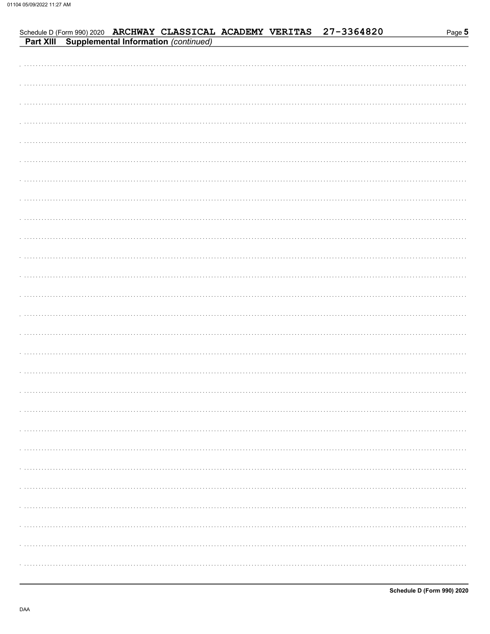| າe <b>ວ</b><br>Par |
|--------------------|
|                    |

|  |  |  | Schedule D (Form 990) 2020 ARCHWAY CLASSICAL ACADEMY VERITAS 27-3364820<br>Part XIII Supplemental Information (continued) | Page 5 |
|--|--|--|---------------------------------------------------------------------------------------------------------------------------|--------|
|  |  |  |                                                                                                                           |        |
|  |  |  |                                                                                                                           |        |
|  |  |  |                                                                                                                           |        |
|  |  |  |                                                                                                                           |        |
|  |  |  |                                                                                                                           |        |
|  |  |  |                                                                                                                           |        |
|  |  |  |                                                                                                                           |        |
|  |  |  |                                                                                                                           |        |
|  |  |  |                                                                                                                           |        |
|  |  |  |                                                                                                                           |        |
|  |  |  |                                                                                                                           |        |
|  |  |  |                                                                                                                           |        |
|  |  |  |                                                                                                                           |        |
|  |  |  |                                                                                                                           |        |
|  |  |  |                                                                                                                           |        |
|  |  |  |                                                                                                                           |        |
|  |  |  |                                                                                                                           |        |
|  |  |  |                                                                                                                           |        |
|  |  |  |                                                                                                                           |        |
|  |  |  |                                                                                                                           |        |
|  |  |  |                                                                                                                           |        |
|  |  |  |                                                                                                                           |        |
|  |  |  |                                                                                                                           |        |
|  |  |  |                                                                                                                           |        |
|  |  |  |                                                                                                                           |        |
|  |  |  |                                                                                                                           |        |
|  |  |  |                                                                                                                           |        |
|  |  |  |                                                                                                                           |        |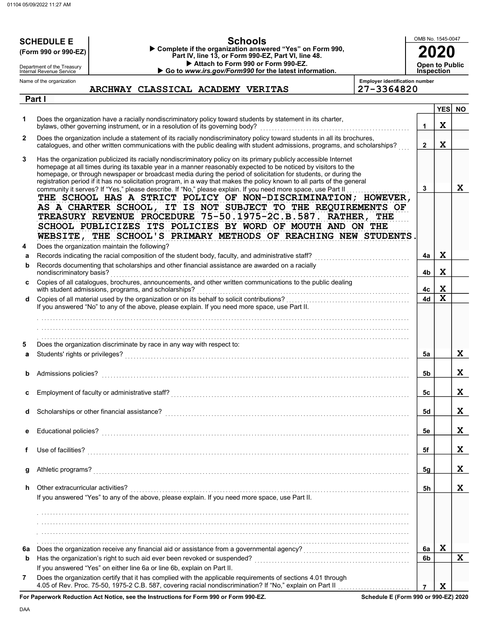|              | <b>SCHEDULE E</b><br>(Form 990 or 990-EZ)                                                                                                                          |  |                                                                               |  | <b>Schools</b><br>Complete if the organization answered "Yes" on Form 990,                                                                                                                                                                                                                                                                                                                                                                                                                                                                                                                        |                                                                                                                                                                                                                                                                                                                                | OMB No. 1545-0047 |                       |             |
|--------------|--------------------------------------------------------------------------------------------------------------------------------------------------------------------|--|-------------------------------------------------------------------------------|--|---------------------------------------------------------------------------------------------------------------------------------------------------------------------------------------------------------------------------------------------------------------------------------------------------------------------------------------------------------------------------------------------------------------------------------------------------------------------------------------------------------------------------------------------------------------------------------------------------|--------------------------------------------------------------------------------------------------------------------------------------------------------------------------------------------------------------------------------------------------------------------------------------------------------------------------------|-------------------|-----------------------|-------------|
|              | Department of the Treasury                                                                                                                                         |  |                                                                               |  | Part IV, line 13, or Form 990-EZ, Part VI, line 48.<br>Attach to Form 990 or Form 990-EZ.                                                                                                                                                                                                                                                                                                                                                                                                                                                                                                         |                                                                                                                                                                                                                                                                                                                                |                   | <b>Open to Public</b> |             |
|              | Internal Revenue Service<br>Name of the organization                                                                                                               |  |                                                                               |  | Go to www.irs.gov/Form990 for the latest information.                                                                                                                                                                                                                                                                                                                                                                                                                                                                                                                                             | <b>Employer identification number</b>                                                                                                                                                                                                                                                                                          |                   | <b>Inspection</b>     |             |
|              |                                                                                                                                                                    |  | ARCHWAY CLASSICAL ACADEMY VERITAS                                             |  |                                                                                                                                                                                                                                                                                                                                                                                                                                                                                                                                                                                                   | 27-3364820                                                                                                                                                                                                                                                                                                                     |                   |                       |             |
|              | Part I                                                                                                                                                             |  |                                                                               |  |                                                                                                                                                                                                                                                                                                                                                                                                                                                                                                                                                                                                   |                                                                                                                                                                                                                                                                                                                                |                   | <b>YES</b>            | <b>NO</b>   |
| 1.           |                                                                                                                                                                    |  | bylaws, other governing instrument, or in a resolution of its governing body? |  | Does the organization have a racially nondiscriminatory policy toward students by statement in its charter,                                                                                                                                                                                                                                                                                                                                                                                                                                                                                       |                                                                                                                                                                                                                                                                                                                                | 1                 | $\mathbf x$           |             |
| $\mathbf{2}$ |                                                                                                                                                                    |  |                                                                               |  | Does the organization include a statement of its racially nondiscriminatory policy toward students in all its brochures,                                                                                                                                                                                                                                                                                                                                                                                                                                                                          | catalogues, and other written communications with the public dealing with student admissions, programs, and scholarships?                                                                                                                                                                                                      | $\mathbf{2}$      | $\mathbf x$           |             |
| 3            |                                                                                                                                                                    |  |                                                                               |  | Has the organization publicized its racially nondiscriminatory policy on its primary publicly accessible Internet<br>homepage at all times during its taxable year in a manner reasonably expected to be noticed by visitors to the<br>homepage, or through newspaper or broadcast media during the period of solicitation for students, or during the<br>registration period if it has no solicitation program, in a way that makes the policy known to all parts of the general<br>community it serves? If "Yes," please describe. If "No," please explain. If you need more space, use Part II |                                                                                                                                                                                                                                                                                                                                | 3                 |                       | $\mathbf x$ |
|              |                                                                                                                                                                    |  |                                                                               |  |                                                                                                                                                                                                                                                                                                                                                                                                                                                                                                                                                                                                   | THE SCHOOL HAS A STRICT POLICY OF NON-DISCRIMINATION; HOWEVER,<br>AS A CHARTER SCHOOL, IT IS NOT SUBJECT TO THE REQUIREMENTS OF<br>TREASURY REVENUE PROCEDURE 75-50.1975-2C.B.587. RATHER, THE<br>SCHOOL PUBLICIZES ITS POLICIES BY WORD OF MOUTH AND ON THE<br>WEBSITE, THE SCHOOL'S PRIMARY METHODS OF REACHING NEW STUDENTS |                   |                       |             |
| 4            | Does the organization maintain the following?                                                                                                                      |  |                                                                               |  |                                                                                                                                                                                                                                                                                                                                                                                                                                                                                                                                                                                                   |                                                                                                                                                                                                                                                                                                                                |                   | $\mathbf x$           |             |
| a<br>b       | nondiscriminatory basis?                                                                                                                                           |  |                                                                               |  | Records indicating the racial composition of the student body, faculty, and administrative staff?<br>Records documenting that scholarships and other financial assistance are awarded on a racially                                                                                                                                                                                                                                                                                                                                                                                               |                                                                                                                                                                                                                                                                                                                                | 4a<br>4b          | $\mathbf x$           |             |
| c            | Copies of all catalogues, brochures, announcements, and other written communications to the public dealing<br>with student admissions, programs, and scholarships? |  |                                                                               |  |                                                                                                                                                                                                                                                                                                                                                                                                                                                                                                                                                                                                   |                                                                                                                                                                                                                                                                                                                                | 4с                | X                     |             |
| d            |                                                                                                                                                                    |  |                                                                               |  | If you answered "No" to any of the above, please explain. If you need more space, use Part II.                                                                                                                                                                                                                                                                                                                                                                                                                                                                                                    |                                                                                                                                                                                                                                                                                                                                | 4d                | $\mathbf x$           |             |
|              |                                                                                                                                                                    |  |                                                                               |  |                                                                                                                                                                                                                                                                                                                                                                                                                                                                                                                                                                                                   |                                                                                                                                                                                                                                                                                                                                |                   |                       |             |
| 5<br>a       | Students' rights or privileges?                                                                                                                                    |  | Does the organization discriminate by race in any way with respect to:        |  |                                                                                                                                                                                                                                                                                                                                                                                                                                                                                                                                                                                                   |                                                                                                                                                                                                                                                                                                                                | 5a                |                       | $\mathbf X$ |
|              | Admissions policies?                                                                                                                                               |  |                                                                               |  |                                                                                                                                                                                                                                                                                                                                                                                                                                                                                                                                                                                                   |                                                                                                                                                                                                                                                                                                                                | 5b                |                       | X           |
| c            | Employment of faculty or administrative staff?                                                                                                                     |  |                                                                               |  |                                                                                                                                                                                                                                                                                                                                                                                                                                                                                                                                                                                                   |                                                                                                                                                                                                                                                                                                                                | 5с                |                       | X           |
| d            | Scholarships or other financial assistance?                                                                                                                        |  |                                                                               |  |                                                                                                                                                                                                                                                                                                                                                                                                                                                                                                                                                                                                   |                                                                                                                                                                                                                                                                                                                                | 5d                |                       | X           |
| е            |                                                                                                                                                                    |  |                                                                               |  |                                                                                                                                                                                                                                                                                                                                                                                                                                                                                                                                                                                                   |                                                                                                                                                                                                                                                                                                                                | 5e                |                       | X           |
| f            |                                                                                                                                                                    |  |                                                                               |  |                                                                                                                                                                                                                                                                                                                                                                                                                                                                                                                                                                                                   |                                                                                                                                                                                                                                                                                                                                | 5f                |                       | X           |
| g            |                                                                                                                                                                    |  |                                                                               |  |                                                                                                                                                                                                                                                                                                                                                                                                                                                                                                                                                                                                   |                                                                                                                                                                                                                                                                                                                                | 5g                |                       | X           |
| h.           | Other extracurricular activities?                                                                                                                                  |  |                                                                               |  | If you answered "Yes" to any of the above, please explain. If you need more space, use Part II.                                                                                                                                                                                                                                                                                                                                                                                                                                                                                                   |                                                                                                                                                                                                                                                                                                                                | 5h                |                       | X           |
|              |                                                                                                                                                                    |  |                                                                               |  |                                                                                                                                                                                                                                                                                                                                                                                                                                                                                                                                                                                                   |                                                                                                                                                                                                                                                                                                                                |                   |                       |             |
|              |                                                                                                                                                                    |  |                                                                               |  |                                                                                                                                                                                                                                                                                                                                                                                                                                                                                                                                                                                                   |                                                                                                                                                                                                                                                                                                                                |                   |                       |             |
|              |                                                                                                                                                                    |  |                                                                               |  |                                                                                                                                                                                                                                                                                                                                                                                                                                                                                                                                                                                                   |                                                                                                                                                                                                                                                                                                                                |                   |                       |             |
|              |                                                                                                                                                                    |  |                                                                               |  |                                                                                                                                                                                                                                                                                                                                                                                                                                                                                                                                                                                                   |                                                                                                                                                                                                                                                                                                                                |                   | X                     |             |
| 6a           |                                                                                                                                                                    |  |                                                                               |  |                                                                                                                                                                                                                                                                                                                                                                                                                                                                                                                                                                                                   |                                                                                                                                                                                                                                                                                                                                | 6a<br>6b          |                       | $\mathbf x$ |
| b            |                                                                                                                                                                    |  | If you answered "Yes" on either line 6a or line 6b, explain on Part II.       |  |                                                                                                                                                                                                                                                                                                                                                                                                                                                                                                                                                                                                   |                                                                                                                                                                                                                                                                                                                                |                   |                       |             |
| 7            |                                                                                                                                                                    |  |                                                                               |  | Does the organization certify that it has complied with the applicable requirements of sections 4.01 through                                                                                                                                                                                                                                                                                                                                                                                                                                                                                      |                                                                                                                                                                                                                                                                                                                                | $\overline{7}$    | $\mathbf x$           |             |
|              |                                                                                                                                                                    |  | respective that National and the Instructions for Form 800 or Form 800 F7     |  |                                                                                                                                                                                                                                                                                                                                                                                                                                                                                                                                                                                                   |                                                                                                                                                                                                                                                                                                                                |                   |                       |             |

For Paperwork Reduction Act Notice, see the Instructions for Form 990 or Form 990-EZ.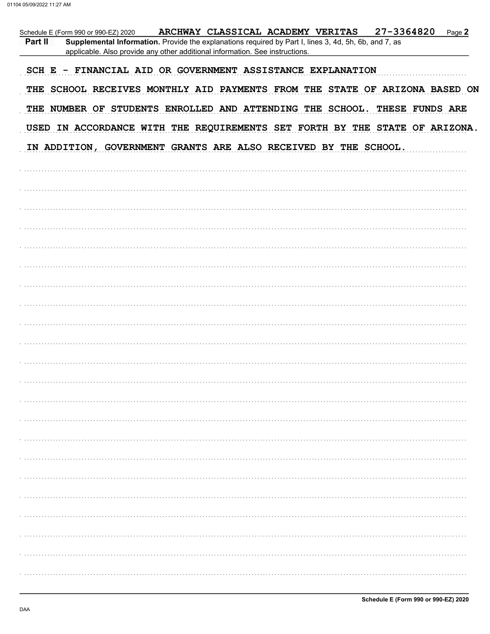| 27-3364820<br>ARCHWAY CLASSICAL ACADEMY VERITAS<br>Page 2<br>Schedule E (Form 990 or 990-EZ) 2020<br>Part II<br>Supplemental Information. Provide the explanations required by Part I, lines 3, 4d, 5h, 6b, and 7, as<br>applicable. Also provide any other additional information. See instructions. |
|-------------------------------------------------------------------------------------------------------------------------------------------------------------------------------------------------------------------------------------------------------------------------------------------------------|
| SCH E - FINANCIAL AID OR GOVERNMENT ASSISTANCE EXPLANATION                                                                                                                                                                                                                                            |
| THE SCHOOL RECEIVES MONTHLY AID PAYMENTS FROM THE STATE OF ARIZONA BASED ON                                                                                                                                                                                                                           |
| THE NUMBER OF STUDENTS ENROLLED AND ATTENDING THE SCHOOL. THESE FUNDS ARE                                                                                                                                                                                                                             |
| USED IN ACCORDANCE WITH THE REQUIREMENTS SET FORTH BY THE STATE OF ARIZONA.                                                                                                                                                                                                                           |
| IN ADDITION, GOVERNMENT GRANTS ARE ALSO RECEIVED BY THE SCHOOL.                                                                                                                                                                                                                                       |
|                                                                                                                                                                                                                                                                                                       |
|                                                                                                                                                                                                                                                                                                       |
|                                                                                                                                                                                                                                                                                                       |
|                                                                                                                                                                                                                                                                                                       |
|                                                                                                                                                                                                                                                                                                       |
|                                                                                                                                                                                                                                                                                                       |
|                                                                                                                                                                                                                                                                                                       |
|                                                                                                                                                                                                                                                                                                       |
|                                                                                                                                                                                                                                                                                                       |
|                                                                                                                                                                                                                                                                                                       |
|                                                                                                                                                                                                                                                                                                       |
|                                                                                                                                                                                                                                                                                                       |
|                                                                                                                                                                                                                                                                                                       |
|                                                                                                                                                                                                                                                                                                       |
|                                                                                                                                                                                                                                                                                                       |
|                                                                                                                                                                                                                                                                                                       |
|                                                                                                                                                                                                                                                                                                       |
|                                                                                                                                                                                                                                                                                                       |
|                                                                                                                                                                                                                                                                                                       |
|                                                                                                                                                                                                                                                                                                       |
|                                                                                                                                                                                                                                                                                                       |
|                                                                                                                                                                                                                                                                                                       |
|                                                                                                                                                                                                                                                                                                       |
|                                                                                                                                                                                                                                                                                                       |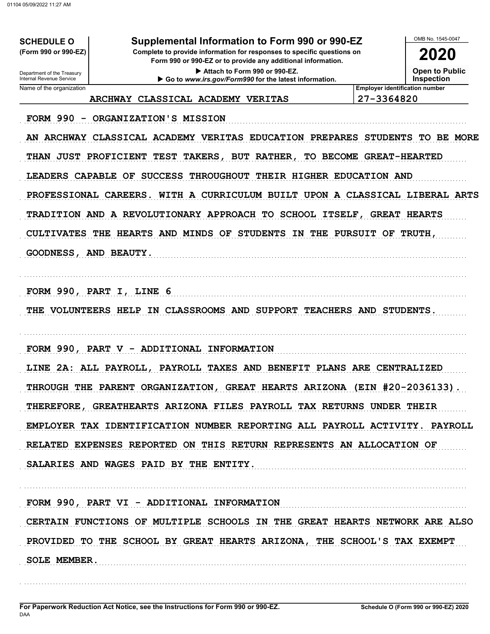**SCHEDULE O** (Form 990 or 990-EZ)

### Supplemental Information to Form 990 or 990-EZ

Complete to provide information for responses to specific questions on Form 990 or 990-EZ or to provide any additional information.

> Attach to Form 990 or 990-EZ. Go to www.irs.gov/Form990 for the latest information.

OMB No 1545-0047 2020

**Open to Public** 

**Inspection** 

Department of the Treasury<br>Internal Revenue Service Name of the organization

**Employer identification number** 27-3364820

FORM 990 - ORGANIZATION'S MISSION

AN ARCHWAY CLASSICAL ACADEMY VERITAS EDUCATION PREPARES STUDENTS TO BE MORE THAN JUST PROFICIENT TEST TAKERS, BUT RATHER, TO BECOME GREAT-HEARTED LEADERS CAPABLE OF SUCCESS THROUGHOUT THEIR HIGHER EDUCATION AND PROFESSIONAL CAREERS. WITH A CURRICULUM BUILT UPON A CLASSICAL LIBERAL ARTS TRADITION AND A REVOLUTIONARY APPROACH TO SCHOOL ITSELF, GREAT HEARTS CULTIVATES THE HEARTS AND MINDS OF STUDENTS IN THE PURSUIT OF TRUTH, GOODNESS, AND BEAUTY.

FORM 990, PART I, LINE 6

THE VOLUNTEERS HELP IN CLASSROOMS AND SUPPORT TEACHERS AND STUDENTS.

FORM 990, PART V - ADDITIONAL INFORMATION

ARCHWAY CLASSICAL ACADEMY VERITAS

LINE 2A: ALL PAYROLL, PAYROLL TAXES AND BENEFIT PLANS ARE CENTRALIZED THROUGH THE PARENT ORGANIZATION, GREAT HEARTS ARIZONA (EIN #20-2036133). THEREFORE, GREATHEARTS ARIZONA FILES PAYROLL TAX RETURNS UNDER THEIR EMPLOYER TAX IDENTIFICATION NUMBER REPORTING ALL PAYROLL ACTIVITY. PAYROLL RELATED EXPENSES REPORTED ON THIS RETURN REPRESENTS AN ALLOCATION OF SALARIES AND WAGES PAID BY THE ENTITY.

FORM 990, PART VI - ADDITIONAL INFORMATION CERTAIN FUNCTIONS OF MULTIPLE SCHOOLS IN THE GREAT HEARTS NETWORK ARE ALSO PROVIDED TO THE SCHOOL BY GREAT HEARTS ARIZONA, THE SCHOOL'S TAX EXEMPT **SOLE MEMBER.**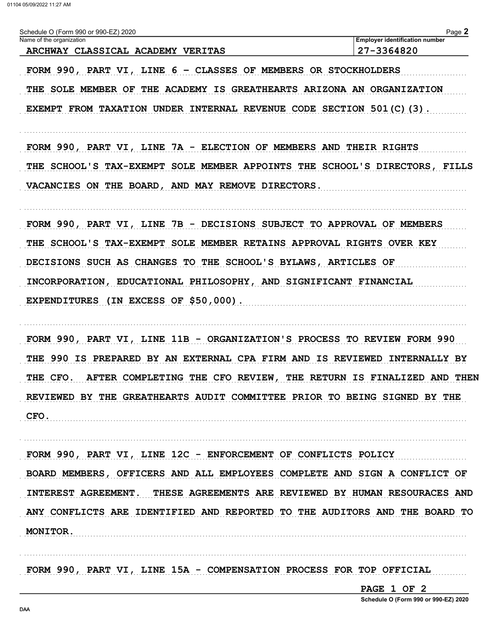$D$ <sub>232</sub> $\Omega$ 

| Schedule O (Form 990 or 990-EZ) 2020 | Page <sub>▲</sub>                     |
|--------------------------------------|---------------------------------------|
| Name of the organization             | <b>Employer identification number</b> |
| ARCHWAY CLASSICAL ACADEMY VERITAS    | 27-3364820                            |

FORM 990, PART VI, LINE 6 - CLASSES OF MEMBERS OR STOCKHOLDERS THE SOLE MEMBER OF THE ACADEMY IS GREATHEARTS ARIZONA AN ORGANIZATION EXEMPT FROM TAXATION UNDER INTERNAL REVENUE CODE SECTION 501(C)(3).

FORM 990, PART VI, LINE 7A - ELECTION OF MEMBERS AND THEIR RIGHTS THE SCHOOL'S TAX-EXEMPT SOLE MEMBER APPOINTS THE SCHOOL'S DIRECTORS, FILLS VACANCIES ON THE BOARD, AND MAY REMOVE DIRECTORS.

FORM 990, PART VI, LINE 7B - DECISIONS SUBJECT TO APPROVAL OF MEMBERS THE SCHOOL'S TAX-EXEMPT SOLE MEMBER RETAINS APPROVAL RIGHTS OVER KEY DECISIONS SUCH AS CHANGES TO THE SCHOOL'S BYLAWS, ARTICLES OF INCORPORATION, EDUCATIONAL PHILOSOPHY, AND SIGNIFICANT FINANCIAL EXPENDITURES (IN EXCESS OF \$50,000).

FORM 990, PART VI, LINE 11B - ORGANIZATION'S PROCESS TO REVIEW FORM 990 THE 990 IS PREPARED BY AN EXTERNAL CPA FIRM AND IS REVIEWED INTERNALLY BY THE CFO. AFTER COMPLETING THE CFO REVIEW, THE RETURN IS FINALIZED AND THEN REVIEWED BY THE GREATHEARTS AUDIT COMMITTEE PRIOR TO BEING SIGNED BY THE CFO.

FORM 990, PART VI, LINE 12C - ENFORCEMENT OF CONFLICTS POLICY BOARD MEMBERS, OFFICERS AND ALL EMPLOYEES COMPLETE AND SIGN A CONFLICT OF INTEREST AGREEMENT. THESE AGREEMENTS ARE REVIEWED BY HUMAN RESOURACES AND ANY CONFLICTS ARE IDENTIFIED AND REPORTED TO THE AUDITORS AND THE BOARD TO MONITOR.

FORM 990, PART VI, LINE 15A - COMPENSATION PROCESS FOR TOP OFFICIAL

PAGE 1 OF 2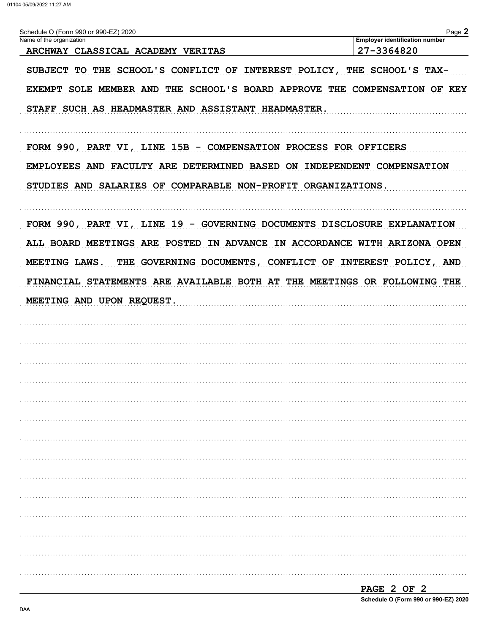| Schedule O (Form 990 or 990-EZ) 2020                                      | Page 2                                              |
|---------------------------------------------------------------------------|-----------------------------------------------------|
| Name of the organization<br>ARCHWAY CLASSICAL ACADEMY VERITAS             | <b>Employer identification number</b><br>27-3364820 |
| SUBJECT TO THE SCHOOL'S CONFLICT OF INTEREST POLICY, THE SCHOOL'S TAX-    |                                                     |
| EXEMPT SOLE MEMBER AND THE SCHOOL'S BOARD APPROVE THE COMPENSATION OF KEY |                                                     |
| STAFF SUCH AS HEADMASTER AND ASSISTANT HEADMASTER.                        |                                                     |
| FORM 990, PART VI, LINE 15B - COMPENSATION PROCESS FOR OFFICERS           |                                                     |
| EMPLOYEES AND FACULTY ARE DETERMINED BASED ON INDEPENDENT COMPENSATION    |                                                     |
| STUDIES AND SALARIES OF COMPARABLE NON-PROFIT ORGANIZATIONS.              |                                                     |
| FORM 990, PART VI, LINE 19 - GOVERNING DOCUMENTS DISCLOSURE EXPLANATION   |                                                     |
| ALL BOARD MEETINGS ARE POSTED IN ADVANCE IN ACCORDANCE WITH ARIZONA OPEN  |                                                     |
| MEETING LAWS. THE GOVERNING DOCUMENTS, CONFLICT OF INTEREST POLICY, AND   |                                                     |
| FINANCIAL STATEMENTS ARE AVAILABLE BOTH AT THE MEETINGS OR FOLLOWING THE  |                                                     |
| MEETING AND UPON REQUEST.                                                 |                                                     |
|                                                                           |                                                     |
|                                                                           |                                                     |
|                                                                           |                                                     |
|                                                                           |                                                     |
|                                                                           |                                                     |
|                                                                           |                                                     |
|                                                                           |                                                     |
|                                                                           |                                                     |
|                                                                           |                                                     |
|                                                                           |                                                     |
|                                                                           |                                                     |
|                                                                           |                                                     |
|                                                                           |                                                     |
|                                                                           |                                                     |
|                                                                           | PAGE 2 OF 2                                         |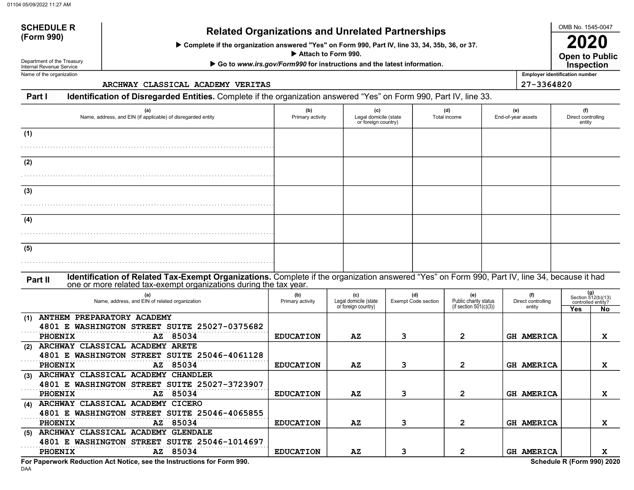# SCHEDULE Related Organizations and Unrelated Partnerships (Form 990)

Complete if the organization answered "Yes" on Form 990, Part IV, line 33, 34, 35b, 36, or 37.

Attach to Form 990.

▶ Go to www.irs.gov/Form990 for instructions and the latest information.

Department of the Treasury Internal Revenue Service Name of the organization

SCHEDULE R

ARCHWAY CLASSICAL ACADEMY VERITAS 27-3364820

| Part I | Identification of Disregarded Entities. Complete if the organization answered "Yes" on Form 990, Part IV, line 33. |  |                                                                                                                 |  |
|--------|--------------------------------------------------------------------------------------------------------------------|--|-----------------------------------------------------------------------------------------------------------------|--|
|        |                                                                                                                    |  | the contract of the contract of the contract of the contract of the contract of the contract of the contract of |  |

| (a)<br>Name, address, and EIN (if applicable) of disregarded entity                                                                                                                                                           | (b)<br>Primary activity | (c)<br>Legal domicile (state<br>or foreign country) |                                   | (d)<br>Total income                                       | (e)<br>End-of-year assets           | (f)<br>Direct controlling<br>entity                    |    |
|-------------------------------------------------------------------------------------------------------------------------------------------------------------------------------------------------------------------------------|-------------------------|-----------------------------------------------------|-----------------------------------|-----------------------------------------------------------|-------------------------------------|--------------------------------------------------------|----|
| (1)                                                                                                                                                                                                                           |                         |                                                     |                                   |                                                           |                                     |                                                        |    |
| (2)                                                                                                                                                                                                                           |                         |                                                     |                                   |                                                           |                                     |                                                        |    |
| (3)                                                                                                                                                                                                                           |                         |                                                     |                                   |                                                           |                                     |                                                        |    |
| (4)                                                                                                                                                                                                                           |                         |                                                     |                                   |                                                           |                                     |                                                        |    |
| (5)                                                                                                                                                                                                                           |                         |                                                     |                                   |                                                           |                                     |                                                        |    |
| Identification of Related Tax-Exempt Organizations. Complete if the organization answered "Yes" on Form 990, Part IV, line 34, because it had<br>Part II<br>one or more related tax-exempt organizations during the tax year. |                         |                                                     |                                   |                                                           |                                     |                                                        |    |
| (a)<br>Name, address, and EIN of related organization                                                                                                                                                                         | (b)<br>Primary activity | (c)<br>Legal domicile (state<br>or foreign country) | (d)<br><b>Exempt Code section</b> | (e)<br>Public charity status<br>(if section $501(c)(3)$ ) | (f)<br>Direct controlling<br>entity | (g)<br>Section 512(b)(13)<br>controlled entity?<br>Yes | No |
| ANTHEM PREPARATORY ACADEMY<br>(1)<br>4801 E WASHINGTON STREET SUITE 25027-0375682<br>AZ 85034<br>PHOENIX                                                                                                                      | <b>EDUCATION</b>        | AZ                                                  | 3                                 | $\overline{2}$                                            | <b>GH AMERICA</b>                   |                                                        | x  |
| ARCHWAY CLASSICAL ACADEMY ARETE<br>(2)<br>4801 E WASHINGTON STREET SUITE 25046-4061128<br>85034<br>PHOENIX<br>AZ                                                                                                              | <b>EDUCATION</b>        | $\mathbf{A} \mathbf{Z}$                             | 3                                 | $\mathbf{2}$                                              | <b>GH AMERICA</b>                   |                                                        | X  |
| (3) ARCHWAY CLASSICAL ACADEMY CHANDLER<br>4801 E WASHINGTON STREET SUITE 25027-3723907<br>PHOENIX<br>AZ 85034                                                                                                                 | <b>EDUCATION</b>        | AZ                                                  | 3                                 | $\mathbf{2}$                                              | <b>GH AMERICA</b>                   |                                                        | X  |
| (4) ARCHWAY CLASSICAL ACADEMY CICERO<br>4801 E WASHINGTON STREET SUITE 25046-4065855                                                                                                                                          |                         |                                                     |                                   |                                                           |                                     |                                                        |    |
| AZ 85034<br>PHOENIX<br>(5) ARCHWAY CLASSICAL ACADEMY GLENDALE<br>4801 E WASHINGTON STREET SUITE 25046-1014697                                                                                                                 | <b>EDUCATION</b>        | AZ                                                  | 3                                 | $\overline{2}$                                            | <b>GH AMERICA</b>                   |                                                        | X  |
| AZ 85034<br><b>PHOENIX</b>                                                                                                                                                                                                    | <b>EDUCATION</b>        | $\mathbf{A} \mathbf{Z}$                             | 3                                 | $\mathbf{2}$                                              | <b>GH AMERICA</b>                   |                                                        | x  |

DAA For Paperwork Reduction Act Notice, see the Instructions for Form 990. Schedule R (Form 990) 2020

OMB No. 1545-0047

Open to Public 2020

Employer identification number

**Inspection**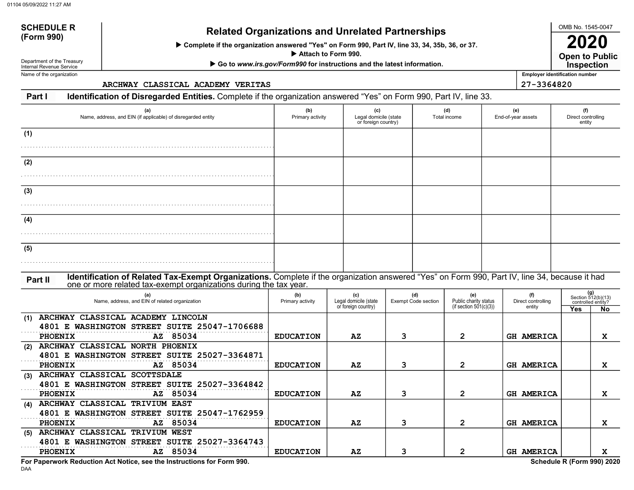# SCHEDULE R Related Organizations and Unrelated Partnerships<br>(Form 990)

Complete if the organization answered "Yes" on Form 990, Part IV, line 33, 34, 35b, 36, or 37.

Attach to Form 990.

▶ Go to www.irs.gov/Form990 for instructions and the latest information.

Department of the Treasury Internal Revenue Service Name of the organization

SCHEDULE R

ARCHWAY CLASSICAL ACADEMY VERITAS 27-3364820

**Part I** Identification of Disregarded Entities. Complete if the organization answered "Yes" on Form 990, Part IV, line 33. End-of-year assets (d) (e) Total income or foreign country) Legal domicile (state  $(b)$  (c) Name, address, and EIN (if applicable) of disregarded entity **Primary activity** Primary activity (a)

Part II Identification of Related Tax-Exempt Organizations. Complete if the organization answered "Yes" on Form 990, Part IV, line 34, because it had . . . . . . . . . . . . . . . . . . . . . . . . . . . . . . . . . . . . . . . . . . . . . . . . . . . . . . . . . . . . . . . . . . . . . . . . . . . . . . . . . . . . . . . . . . . . . . . . . . . . . . . . . . . . . . . . . . . . . . . . . . . . . . . . . . . . . . . . . . . . . . . . . . . . . . . . . . . . . . . . . . . . . . . . . . . . . . . . . . . . . . . . . . . . . . . . . . . . . . . . . . . . . . . . . . . . . . . . . . . . . . . . . . . . . . . . . . . . . . . . . . . . . . . . . . . . . . . . . . . . . . . . . . . . . . . . . . . . . . . . . . . . . . . . . . . . . . . . . . . . . . . . . . . . . . . . . . . . . . . . . . . . . . . . . . . . . . . . . . . . . . . . . . . . . . . . . . . . . . . . . . . . . . . . . . . . . . . . . . . . . . . . . . . . . . . . . . . . . . . . . . . . . . . . . . . . . . . . . . . . . . . . . . . . . . . . . . . . . . . . 4801 E WASHINGTON STREET SUITE 25047-1706688 4801 E WASHINGTON STREET SUITE 25027-3364871 4801 E WASHINGTON STREET SUITE 25027-3364842 4801 E WASHINGTON STREET SUITE 25047-1762959 4801 E WASHINGTON STREET SUITE 25027-3364743 entity (a) Name, address, and EIN of related organization Primary activity (b) (c) Legal domicile (state or foreign country) Exempt Code section (d) (e) Public charity status entity Direct controlling (f) (if section  $501(c)(3)$ ) one or more related tax-exempt organizations during the tax year. (1) (2) (3) (4) (5) (5) ARCHWAY CLASSICAL TRIVIUM WEST (4) (3) (2) (1) (g) Section 512(b)(13) controlled entity? Yes No ARCHWAY CLASSICAL ACADEMY LINCOLN PHOENIX AZ 85034 EDUCATION AZ 3 2 GH AMERICA X ARCHWAY CLASSICAL NORTH PHOENIX PHOENIX AZ 85034 EDUCATION AZ 3 2 GH AMERICA X ARCHWAY CLASSICAL SCOTTSDALE PHOENIX AZ 85034 EDUCATION AZ 3 2 GH AMERICA X ARCHWAY CLASSICAL TRIVIUM EAST PHOENIX AZ 85034 EDUCATION AZ 3 2 GH AMERICA X PHOENIX AZ 85034 EDUCATION AZ 3 2 GH AMERICA X

**DAA** For Paperwork Reduction Act Notice, see the Instructions for Form 990. Schedule R (Form 990) 2020

OMB No. 1545-0047

2020

(f) Direct controlling

Open to Public Inspection

Employer identification number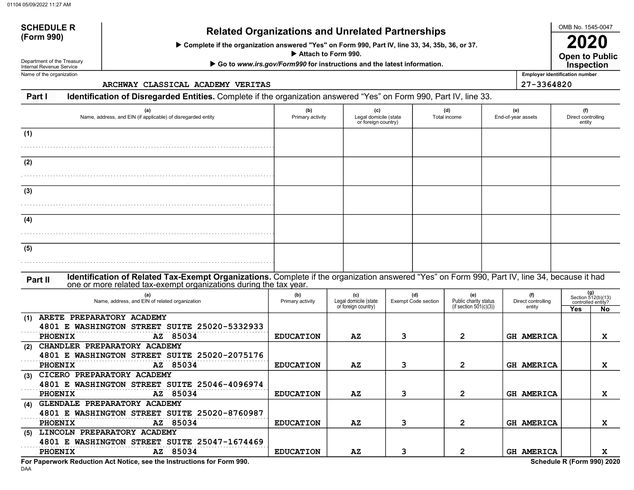# SCHEDULE R<br>(Form 990) Related Organizations and Unrelated Partnerships

Complete if the organization answered "Yes" on Form 990, Part IV, line 33, 34, 35b, 36, or 37.

Attach to Form 990.

▶ Go to www.irs.gov/Form990 for instructions and the latest information.

Department of the Treasury Internal Revenue Service Name of the organization

SCHEDULE R

ARCHWAY CLASSICAL ACADEMY VERITAS 27-3364820

Part I Identification of Disregarded Entities. Complete if the organization answered "Yes" on Form 990, Part IV, line 33. (d) (e)  $(b)$  (c) (a)

| (a)<br>Name, address, and EIN (if applicable) of disregarded entity                                                                                                                                                           | (b)<br>Primary activity | (c)<br>Legal domicile (state<br>or foreign country) |                            | (d)<br>Total income |                                                           | (e)<br>End-of-year assets           | (f)<br>Direct controlling<br>entity |                                                        |
|-------------------------------------------------------------------------------------------------------------------------------------------------------------------------------------------------------------------------------|-------------------------|-----------------------------------------------------|----------------------------|---------------------|-----------------------------------------------------------|-------------------------------------|-------------------------------------|--------------------------------------------------------|
| (1)                                                                                                                                                                                                                           |                         |                                                     |                            |                     |                                                           |                                     |                                     |                                                        |
| (2)                                                                                                                                                                                                                           |                         |                                                     |                            |                     |                                                           |                                     |                                     |                                                        |
| (3)                                                                                                                                                                                                                           |                         |                                                     |                            |                     |                                                           |                                     |                                     |                                                        |
|                                                                                                                                                                                                                               |                         |                                                     |                            |                     |                                                           |                                     |                                     |                                                        |
| (4)                                                                                                                                                                                                                           |                         |                                                     |                            |                     |                                                           |                                     |                                     |                                                        |
| (5)                                                                                                                                                                                                                           |                         |                                                     |                            |                     |                                                           |                                     |                                     |                                                        |
| Identification of Related Tax-Exempt Organizations. Complete if the organization answered "Yes" on Form 990, Part IV, line 34, because it had<br>Part II<br>one or more related tax-exempt organizations during the tax year. |                         |                                                     |                            |                     |                                                           |                                     |                                     |                                                        |
| (a)<br>Name, address, and EIN of related organization                                                                                                                                                                         | (b)<br>Primary activity | Legal domicile (state<br>or foreign country)        | (d)<br>Exempt Code section |                     | (e)<br>Public charity status<br>(if section $501(c)(3)$ ) | (f)<br>Direct controlling<br>entity | Yes                                 | (g)<br>Section 512(b)(13)<br>controlled entity?<br>No. |
| ARETE PREPARATORY ACADEMY<br>(1)<br>4801 E WASHINGTON STREET SUITE 25020-5332933                                                                                                                                              |                         |                                                     |                            |                     |                                                           |                                     |                                     |                                                        |
| AZ 85034<br><b>PHOENIX</b><br>CHANDLER PREPARATORY ACADEMY<br>(2)<br>4801 E WASHINGTON STREET SUITE 25020-2075176                                                                                                             | <b>EDUCATION</b>        | AZ                                                  | 3                          | $\overline{2}$      |                                                           | <b>GH AMERICA</b>                   |                                     | X                                                      |
| AZ 85034<br><b>PHOENIX</b><br>CICERO PREPARATORY ACADEMY<br>(3)                                                                                                                                                               | <b>EDUCATION</b>        | $\mathbf{A} \mathbf{Z}$                             | 3                          | $\overline{2}$      |                                                           | <b>GH AMERICA</b>                   |                                     | X                                                      |
| 4801 E WASHINGTON STREET SUITE 25046-4096974<br>PHOENIX<br>AZ 85034                                                                                                                                                           | <b>EDUCATION</b>        | AZ                                                  | 3                          | $\mathbf{2}$        |                                                           | <b>GH AMERICA</b>                   |                                     | X                                                      |
| GLENDALE PREPARATORY ACADEMY<br>(4)<br>4801 E WASHINGTON STREET SUITE 25020-8760987                                                                                                                                           |                         |                                                     |                            |                     |                                                           |                                     |                                     |                                                        |
| AZ 85034<br><b>PHOENIX</b><br>(5) LINCOLN PREPARATORY ACADEMY                                                                                                                                                                 | <b>EDUCATION</b>        | AZ                                                  | з                          | 2                   |                                                           | <b>GH AMERICA</b>                   |                                     | X                                                      |
| 4801 E WASHINGTON STREET SUITE 25047-1674469<br>AZ 85034<br>PHOENIX                                                                                                                                                           | <b>EDUCATION</b>        | $\mathbf{A} \mathbf{Z}$                             | 3                          | $\mathbf{2}$        |                                                           | <b>GH AMERICA</b>                   |                                     | X                                                      |

DAA For Paperwork Reduction Act Notice, see the Instructions for Form 990. Schedule R (Form 990) 2020

OMB No. 1545-0047

Open to Public

Employer identification number

2020 **Inspection**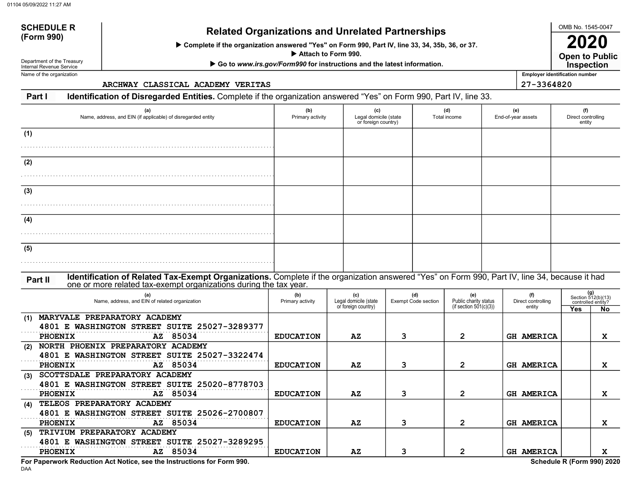# SCHEDULE R<br>(Form 990) Related Organizations and Unrelated Partnerships

Complete if the organization answered "Yes" on Form 990, Part IV, line 33, 34, 35b, 36, or 37.

Attach to Form 990.

▶ Go to www.irs.gov/Form990 for instructions and the latest information.

Department of the Treasury Internal Revenue Service Name of the organization

SCHEDULE R

ARCHWAY CLASSICAL ACADEMY VERITAS 27-3364820

Part I Identification of Disregarded Entities. Complete if the organization answered "Yes" on Form 990, Part IV, line 33. End-of-year assets (d) (e) Total income or foreign country) Legal domicile (state  $(b)$  (c) Name, address, and EIN (if applicable) of disregarded entity **Primary activity** Primary activity (a) (1)

| (2) |  |  |  |
|-----|--|--|--|
|     |  |  |  |
| (3) |  |  |  |
|     |  |  |  |
| (4) |  |  |  |
|     |  |  |  |
| (5) |  |  |  |
|     |  |  |  |

#### Part II Identification of Related Tax-Exempt Organizations. Complete if the organization answered "Yes" on Form 990, Part IV, line 34, because it had one or more related tax-exempt organizations during the tax year.

|     | (a)<br>Name, address, and EIN of related organization | (b)<br>Primary activity | (c)<br>Legal domicile (state<br>or foreign country) | (d)<br>Exempt Code section | (e)<br>Public charity status<br>(if section $501(c)(3)$ ) | (f)<br>Direct controlling |            | (g)<br>Section 512(b)(13)<br>controlled entity? |
|-----|-------------------------------------------------------|-------------------------|-----------------------------------------------------|----------------------------|-----------------------------------------------------------|---------------------------|------------|-------------------------------------------------|
|     |                                                       |                         |                                                     |                            |                                                           | entity                    | <b>Yes</b> | <b>No</b>                                       |
| (1) | PREPARATORY ACADEMY<br><b>MARYVALE</b>                |                         |                                                     |                            |                                                           |                           |            |                                                 |
|     | <b>4801 E WASHINGTON STREET SUITE 25027-3289377</b>   |                         |                                                     |                            |                                                           |                           |            |                                                 |
|     | AZ 85034<br><b>PHOENIX</b>                            | <b>EDUCATION</b>        | $\mathbf{A} \mathbf{Z}$                             | 3                          | $\mathbf{2}$                                              | <b>GH AMERICA</b>         |            | x                                               |
| (2) | NORTH PHOENIX PREPARATORY ACADEMY                     |                         |                                                     |                            |                                                           |                           |            |                                                 |
|     | 4801 E WASHINGTON STREET SUITE 25027-3322474          |                         |                                                     |                            |                                                           |                           |            |                                                 |
|     | AZ 85034<br><b>PHOENIX</b>                            | <b>EDUCATION</b>        | AZ                                                  | 3                          | 2                                                         | <b>GH AMERICA</b>         |            | x                                               |
| (3) | SCOTTSDALE PREPARATORY ACADEMY                        |                         |                                                     |                            |                                                           |                           |            |                                                 |
|     | 4801 E WASHINGTON STREET SUITE 25020-8778703          |                         |                                                     |                            |                                                           |                           |            |                                                 |
|     | AZ 85034<br><b>PHOENIX</b>                            | <b>EDUCATION</b>        | AZ                                                  |                            |                                                           | <b>GH AMERICA</b>         |            | x                                               |
| (4) | TELEOS PREPARATORY ACADEMY                            |                         |                                                     |                            |                                                           |                           |            |                                                 |
|     | 4801 E WASHINGTON STREET SUITE 25026-2700807          |                         |                                                     |                            |                                                           |                           |            |                                                 |
|     | AZ 85034<br><b>PHOENIX</b>                            | <b>EDUCATION</b>        | $\mathbf{A} \mathbf{Z}$                             | 3                          |                                                           | <b>GH AMERICA</b>         |            | x                                               |
| (5) | TRIVIUM PREPARATORY ACADEMY                           |                         |                                                     |                            |                                                           |                           |            |                                                 |
|     | 4801 E WASHINGTON STREET SUITE 25027-3289295          |                         |                                                     |                            |                                                           |                           |            |                                                 |
|     | AZ 85034<br><b>PHOENIX</b>                            | <b>EDUCATION</b>        | $\mathbf{A} \mathbf{Z}$                             |                            |                                                           | <b>GH AMERICA</b>         |            | x                                               |

DAA For Paperwork Reduction Act Notice, see the Instructions for Form 990. Schedule R (Form 990) 2020

OMB No. 1545-0047

Employer identification number

(f) Direct controlling entity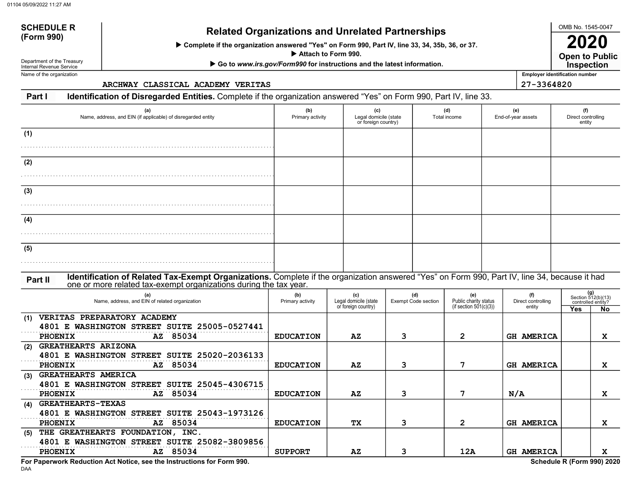# SCHEDULE R<br>(Form 990) Related Organizations and Unrelated Partnerships

Complete if the organization answered "Yes" on Form 990, Part IV, line 33, 34, 35b, 36, or 37.

Attach to Form 990.

▶ Go to www.irs.gov/Form990 for instructions and the latest information.

Department of the Treasury Internal Revenue Service Name of the organization

SCHEDULE R

ARCHWAY CLASSICAL ACADEMY VERITAS 27-3364820

Part I Identification of Disregarded Entities. Complete if the organization answered "Yes" on Form 990, Part IV, line 33. End-of-year assets (d) (e) Total income or foreign country) Legal domicile (state  $(b)$  (c) Name, address, and EIN (if applicable) of disregarded entity **Primary activity** Primary activity (a)  $(1)$ 

| $\cdots$ |  |  |  |
|----------|--|--|--|
|          |  |  |  |
| (2)      |  |  |  |
|          |  |  |  |
| (3)      |  |  |  |
|          |  |  |  |
| (4)      |  |  |  |
|          |  |  |  |
| (5)      |  |  |  |
|          |  |  |  |
|          |  |  |  |

#### Part II Identification of Related Tax-Exempt Organizations. Complete if the organization answered "Yes" on Form 990, Part IV, line 34, because it had one or more related tax-exempt organizations during the tax year.

|     | (a)<br>Name, address, and EIN of related organization | (b)<br>Primary activity | (c)<br>Legal domicile (state | (d)<br>Exempt Code section | (e)<br>Public charity status<br>(if section $501(c)(3)$ ) | (f)<br>Direct controlling | Section 512(b)(13)<br>controlled entity? | (g)       |
|-----|-------------------------------------------------------|-------------------------|------------------------------|----------------------------|-----------------------------------------------------------|---------------------------|------------------------------------------|-----------|
|     |                                                       |                         | or foreign country)          |                            |                                                           | entity                    | Yes                                      | <b>No</b> |
| (1) | <b>VERITAS PREPARATORY ACADEMY</b>                    |                         |                              |                            |                                                           |                           |                                          |           |
|     | 4801 E WASHINGTON STREET SUITE 25005-0527441          |                         |                              |                            |                                                           |                           |                                          |           |
|     | AZ 85034<br><b>PHOENIX</b>                            | <b>EDUCATION</b>        | AZ                           | з                          | 2                                                         | <b>GH AMERICA</b>         |                                          | x         |
| (2) | <b>GREATHEARTS ARIZONA</b>                            |                         |                              |                            |                                                           |                           |                                          |           |
|     | 4801 E WASHINGTON STREET SUITE 25020-2036133          |                         |                              |                            |                                                           |                           |                                          |           |
|     | AZ 85034<br><b>PHOENIX</b>                            | <b>EDUCATION</b>        | $\mathbf{A} \mathbf{Z}$      |                            |                                                           | <b>GH AMERICA</b>         |                                          | x         |
| (3) | GREATHEARTS AMERICA                                   |                         |                              |                            |                                                           |                           |                                          |           |
|     | 4801 E WASHINGTON STREET SUITE 25045-4306715          |                         |                              |                            |                                                           |                           |                                          |           |
|     | AZ 85034<br><b>PHOENIX</b>                            | <b>EDUCATION</b>        | $\mathbf{A} \mathbf{Z}$      |                            |                                                           | N/A                       |                                          | x         |
| (4) | <b>GREATHEARTS-TEXAS</b>                              |                         |                              |                            |                                                           |                           |                                          |           |
|     | 4801 E WASHINGTON STREET SUITE 25043-1973126          |                         |                              |                            |                                                           |                           |                                          |           |
|     | AZ 85034<br><b>PHOENIX</b>                            | <b>EDUCATION</b>        | <b>TX</b>                    | 3                          |                                                           | <b>GH AMERICA</b>         |                                          | x         |
| (5) | THE GREATHEARTS FOUNDATION, INC.                      |                         |                              |                            |                                                           |                           |                                          |           |
|     | 4801 E WASHINGTON STREET SUITE 25082-3809856          |                         |                              |                            |                                                           |                           |                                          |           |
|     | AZ 85034<br><b>PHOENIX</b>                            | <b>SUPPORT</b>          | AZ                           |                            | 12A                                                       | <b>GH AMERICA</b>         |                                          | x         |

DAA For Paperwork Reduction Act Notice, see the Instructions for Form 990. Schedule R (Form 990) 2020

OMB No. 1545-0047

(f) Direct controlling entity

Employer identification number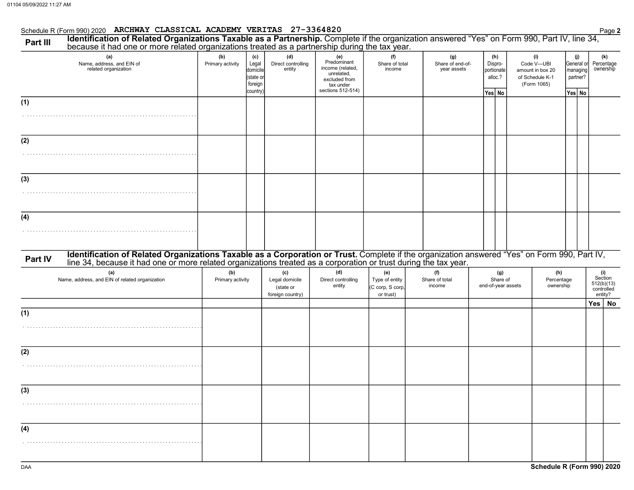|          | Schedule R (Form 990) 2020 ARCHWAY CLASSICAL ACADEMY VERITAS 27-3364820                                                                                                                                                        |                         |                                                              |                                                        |                                                                                                         |                                                        |                                        |                                                   |                    |                                                                         |                                  |                 | Page 2                                                |  |
|----------|--------------------------------------------------------------------------------------------------------------------------------------------------------------------------------------------------------------------------------|-------------------------|--------------------------------------------------------------|--------------------------------------------------------|---------------------------------------------------------------------------------------------------------|--------------------------------------------------------|----------------------------------------|---------------------------------------------------|--------------------|-------------------------------------------------------------------------|----------------------------------|-----------------|-------------------------------------------------------|--|
| Part III | Identification of Related Organizations Taxable as a Partnership. Complete if the organization answered "Yes" on Form 990, Part IV, line 34, because it had one or more related organizations treated as a partnership during  |                         |                                                              |                                                        |                                                                                                         |                                                        |                                        |                                                   |                    |                                                                         |                                  |                 |                                                       |  |
|          | (a)<br>Name, address, and EIN of<br>related organization                                                                                                                                                                       | (b)<br>Primary activity | (c)<br>Legal<br>domicile<br>(state or<br>foreign<br>country) | (d)<br>Direct controlling<br>entity                    | (e)<br>Predominant<br>income (related,<br>unrelated,<br>excluded from<br>tax under<br>sections 512-514) | (f)<br>Share of total<br>income                        | (g)<br>Share of end-of-<br>year assets | (h)<br>Dispro-<br>portionate<br>alloc.?<br>Yes No |                    | (i)<br>Code V-UBI<br>amount in box 20<br>of Schedule K-1<br>(Form 1065) | General or<br>partner?<br>Yes No | (j)<br>managing | (k)<br>Percentage<br>ownership                        |  |
| (1)      |                                                                                                                                                                                                                                |                         |                                                              |                                                        |                                                                                                         |                                                        |                                        |                                                   |                    |                                                                         |                                  |                 |                                                       |  |
| (2)      |                                                                                                                                                                                                                                |                         |                                                              |                                                        |                                                                                                         |                                                        |                                        |                                                   |                    |                                                                         |                                  |                 |                                                       |  |
| (3)      |                                                                                                                                                                                                                                |                         |                                                              |                                                        |                                                                                                         |                                                        |                                        |                                                   |                    |                                                                         |                                  |                 |                                                       |  |
| (4)      |                                                                                                                                                                                                                                |                         |                                                              |                                                        |                                                                                                         |                                                        |                                        |                                                   |                    |                                                                         |                                  |                 |                                                       |  |
| Part IV  | Identification of Related Organizations Taxable as a Corporation or Trust. Complete if the organization answered "Yes" on Form 990, Part IV, line 34, because it had one or more related organizations treated as a corporatio |                         |                                                              |                                                        |                                                                                                         |                                                        |                                        |                                                   |                    |                                                                         |                                  |                 |                                                       |  |
|          | (a)<br>Name, address, and EIN of related organization                                                                                                                                                                          | (b)<br>Primary activity |                                                              | (c)<br>Legal domicile<br>(state or<br>foreign country) | (d)<br>Direct controlling<br>entity                                                                     | (e)<br>Type of entity<br>(C corp, S corp,<br>or trust) | (f)<br>Share of total<br>income        | (g)<br>Share of                                   | end-of-year assets | (h)<br>Percentage<br>ownership                                          |                                  |                 | (i)<br>Section<br>512(b)(13)<br>controlled<br>entity? |  |
| (1)      |                                                                                                                                                                                                                                |                         |                                                              |                                                        |                                                                                                         |                                                        |                                        |                                                   |                    |                                                                         |                                  |                 | Yes  <br>No                                           |  |
|          |                                                                                                                                                                                                                                |                         |                                                              |                                                        |                                                                                                         |                                                        |                                        |                                                   |                    |                                                                         |                                  |                 |                                                       |  |
| (2)      |                                                                                                                                                                                                                                |                         |                                                              |                                                        |                                                                                                         |                                                        |                                        |                                                   |                    |                                                                         |                                  |                 |                                                       |  |
| (3)      |                                                                                                                                                                                                                                |                         |                                                              |                                                        |                                                                                                         |                                                        |                                        |                                                   |                    |                                                                         |                                  |                 |                                                       |  |
| (4)      |                                                                                                                                                                                                                                |                         |                                                              |                                                        |                                                                                                         |                                                        |                                        |                                                   |                    |                                                                         |                                  |                 |                                                       |  |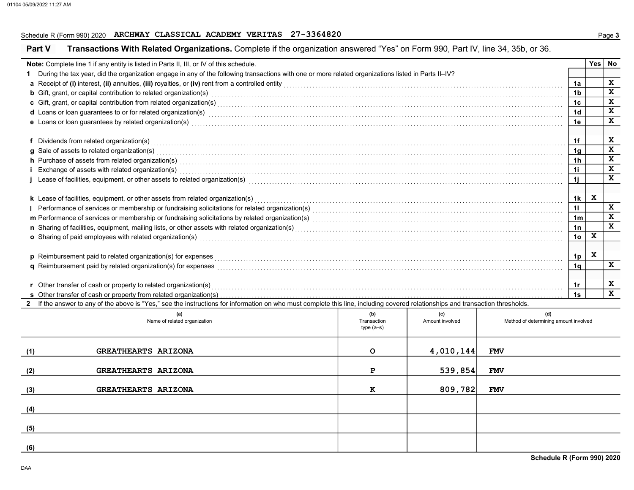## Schedule R (Form 990) 2020 ARCHWAY CLASSICAL ACADEMY VERITAS 27-3364820

|     | Transactions With Related Organizations. Complete if the organization answered "Yes" on Form 990, Part IV, line 34, 35b, or 36.<br><b>Part V</b>                                                                                    |                    |                        |                                              |                |              |              |
|-----|-------------------------------------------------------------------------------------------------------------------------------------------------------------------------------------------------------------------------------------|--------------------|------------------------|----------------------------------------------|----------------|--------------|--------------|
|     | Note: Complete line 1 if any entity is listed in Parts II, III, or IV of this schedule.                                                                                                                                             |                    |                        |                                              |                | <b>Yes</b>   | No           |
|     | 1 During the tax year, did the organization engage in any of the following transactions with one or more related organizations listed in Parts II-IV?                                                                               |                    |                        |                                              |                |              |              |
|     |                                                                                                                                                                                                                                     |                    |                        |                                              | 1a             |              | X            |
|     | <b>b</b> Gift, grant, or capital contribution to related organization(s) encourse conserved in the conserved contribution to related organization(s)                                                                                |                    |                        |                                              | 1 <sub>b</sub> |              | X            |
|     | c Gift, grant, or capital contribution from related organization(s) encourance contains and contained a substantial contribution from related organization(s) encourance contains and contained a substantial contribution fro      |                    |                        |                                              | 1c             |              | X            |
|     | d Loans or loan guarantees to or for related organization(s)<br>interaction contract to contract the contract to contract the contract to contract the contract of the contract or contract to contract the contract of the cont    |                    |                        |                                              | 1d             |              | $\mathbf x$  |
|     | e Loans or loan guarantees by related organization(s)<br>interactions continues are conserved continues are conserved conserved conserved in the conserved conserved or                                                             |                    |                        |                                              | 1e             |              | $\mathbf x$  |
|     |                                                                                                                                                                                                                                     |                    |                        |                                              |                |              |              |
|     | f Dividends from related organization(s) encourance contains a substantial container and providends from related organization(s) encourance contains a substantial contains a substantial contains a substantial contains a su      |                    |                        |                                              | 1f             |              | x            |
|     | g Sale of assets to related organization(s) with an example and contact the set of a set of assets to related organization(s) with an example and contact the set of assets to related organization(s)                              |                    |                        |                                              | 1 <sub>g</sub> |              | $\mathbf x$  |
|     | h Purchase of assets from related organization(s) with an example and contain a substantial container and a set of assets from related organization(s) with a set of a set of a set of a set of an example and set of a set of      |                    |                        |                                              | 1 <sub>h</sub> |              | $\mathbf x$  |
|     | i Exchange of assets with related organization(s) encourance contains an according to the container and a set of assets with related organization(s) encourance contains a set of a set of $\sim$                                   |                    |                        |                                              | 1i             |              | $\mathbf x$  |
|     | j Lease of facilities, equipment, or other assets to related organization(s) enconverse contained accommodal contained and facilities equipment, or other assets to related organization(s) enconverse contained and contained      |                    |                        |                                              | 1i             |              | $\mathbf{x}$ |
|     |                                                                                                                                                                                                                                     |                    |                        |                                              |                |              |              |
|     | k Lease of facilities, equipment, or other assets from related organization(s)                                                                                                                                                      |                    |                        |                                              | 1 <sub>k</sub> | X            |              |
|     |                                                                                                                                                                                                                                     |                    |                        |                                              | 11             |              | X            |
|     |                                                                                                                                                                                                                                     |                    |                        |                                              | 1m             |              | X            |
|     | n Sharing of facilities, equipment, mailing lists, or other assets with related organization(s)<br>interaction(s) interaction(s) interactions contained and contained contained contained contained and contained in the contact    |                    |                        |                                              | 1n             |              | X            |
|     |                                                                                                                                                                                                                                     |                    |                        |                                              | 1 <sub>o</sub> | $\mathbf{x}$ |              |
|     | o Sharing of paid employees with related organization(s) with the control of the control of the control of the control of the control of the control of the control of the control of the control of the control of the contro      |                    |                        |                                              |                |              |              |
|     |                                                                                                                                                                                                                                     |                    |                        |                                              |                | X            |              |
|     | p Reimbursement paid to related organization(s) for expenses <i>measured.</i> The expenses of the expenses of the expenses of the expenses of the expenses of the expenses of the expenses of the expense of the expense of the exp |                    |                        |                                              | 1 <sub>p</sub> |              | X            |
|     | q Reimbursement paid by related organization(s) for expenses <b>construction construction</b> construction construction construction construction construction construction construction construction construction construction con |                    |                        |                                              | 1α             |              |              |
|     |                                                                                                                                                                                                                                     |                    |                        |                                              |                |              |              |
|     | r Other transfer of cash or property to related organization(s)                                                                                                                                                                     |                    |                        |                                              | 1r             |              | X            |
|     |                                                                                                                                                                                                                                     |                    |                        |                                              | 1s             |              | X            |
|     | 2 If the answer to any of the above is "Yes," see the instructions for information on who must complete this line, including covered relationships and transaction thresholds.                                                      |                    |                        |                                              |                |              |              |
|     | (a)<br>Name of related organization                                                                                                                                                                                                 | (b)<br>Transaction | (c)<br>Amount involved | (d)<br>Method of determining amount involved |                |              |              |
|     |                                                                                                                                                                                                                                     | type $(a-s)$       |                        |                                              |                |              |              |
|     |                                                                                                                                                                                                                                     |                    |                        |                                              |                |              |              |
|     |                                                                                                                                                                                                                                     |                    |                        |                                              |                |              |              |
| (1) | <b>GREATHEARTS ARIZONA</b>                                                                                                                                                                                                          | $\circ$            | 4,010,144              | <b>FMV</b>                                   |                |              |              |
|     |                                                                                                                                                                                                                                     |                    |                        |                                              |                |              |              |
| (2) | GREATHEARTS ARIZONA                                                                                                                                                                                                                 | P                  | 539,854                | <b>FMV</b>                                   |                |              |              |
|     |                                                                                                                                                                                                                                     |                    |                        |                                              |                |              |              |
| (3) | GREATHEARTS ARIZONA                                                                                                                                                                                                                 | к                  | 809,782                | <b>FMV</b>                                   |                |              |              |
|     |                                                                                                                                                                                                                                     |                    |                        |                                              |                |              |              |
| (4) |                                                                                                                                                                                                                                     |                    |                        |                                              |                |              |              |
|     |                                                                                                                                                                                                                                     |                    |                        |                                              |                |              |              |
| (5) |                                                                                                                                                                                                                                     |                    |                        |                                              |                |              |              |
|     |                                                                                                                                                                                                                                     |                    |                        |                                              |                |              |              |
| (6) |                                                                                                                                                                                                                                     |                    |                        |                                              |                |              |              |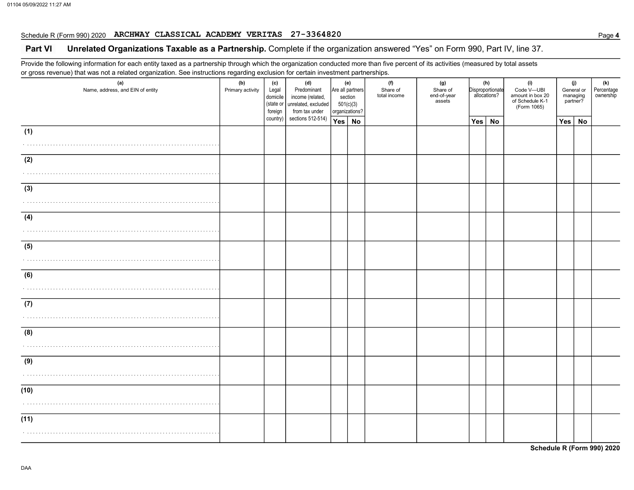## Schedule R (Form 990) 2020 ARCHWAY CLASSICAL ACADEMY VERITAS 27-3364820

### Part VI Unrelated Organizations Taxable as a Partnership. Complete if the organization answered "Yes" on Form 990, Part IV, line 37.

Provide the following information for each entity taxed as a partnership through which the organization conducted more than five percent of its activities (measured by total assets or gross revenue) that was not a related organization. See instructions regarding exclusion for certain investment partnerships.

| ◡<br>ັ<br>(a)<br>Name, address, and EIN of entity | ັ<br>ັ<br>(b)<br>Primary activity | (c)<br>Legal<br>domicile<br>(state or<br>foreign | (d)<br>Predominant<br>income (related,<br>unrelated, excluded<br>from tax under | (e)<br>section<br>501(c)(3)<br>organizations? | Are all partners | (f)<br>Share of<br>total income | (g)<br>Share of<br>end-of-year<br>assets | (h)<br>Disproportionate<br>allocations? |           | (i)<br>Code V-UBI<br>amount in box 20<br>of Schedule K-1<br>(Form 1065) |     | (j)<br>General or<br>managing<br>partner? | (k)<br>Percentage<br>ownership |
|---------------------------------------------------|-----------------------------------|--------------------------------------------------|---------------------------------------------------------------------------------|-----------------------------------------------|------------------|---------------------------------|------------------------------------------|-----------------------------------------|-----------|-------------------------------------------------------------------------|-----|-------------------------------------------|--------------------------------|
|                                                   |                                   | country)                                         | sections 512-514)                                                               | Yes   No                                      |                  |                                 |                                          | Yes                                     | <b>No</b> |                                                                         | Yes | <b>No</b>                                 |                                |
| (1)<br>.                                          |                                   |                                                  |                                                                                 |                                               |                  |                                 |                                          |                                         |           |                                                                         |     |                                           |                                |
| (2)                                               |                                   |                                                  |                                                                                 |                                               |                  |                                 |                                          |                                         |           |                                                                         |     |                                           |                                |
| (3)<br>.                                          |                                   |                                                  |                                                                                 |                                               |                  |                                 |                                          |                                         |           |                                                                         |     |                                           |                                |
| (4)                                               |                                   |                                                  |                                                                                 |                                               |                  |                                 |                                          |                                         |           |                                                                         |     |                                           |                                |
| (5)                                               |                                   |                                                  |                                                                                 |                                               |                  |                                 |                                          |                                         |           |                                                                         |     |                                           |                                |
| (6)                                               |                                   |                                                  |                                                                                 |                                               |                  |                                 |                                          |                                         |           |                                                                         |     |                                           |                                |
| (7)                                               |                                   |                                                  |                                                                                 |                                               |                  |                                 |                                          |                                         |           |                                                                         |     |                                           |                                |
| (8)                                               |                                   |                                                  |                                                                                 |                                               |                  |                                 |                                          |                                         |           |                                                                         |     |                                           |                                |
| (9)                                               |                                   |                                                  |                                                                                 |                                               |                  |                                 |                                          |                                         |           |                                                                         |     |                                           |                                |
| (10)                                              |                                   |                                                  |                                                                                 |                                               |                  |                                 |                                          |                                         |           |                                                                         |     |                                           |                                |
| (11)                                              |                                   |                                                  |                                                                                 |                                               |                  |                                 |                                          |                                         |           |                                                                         |     |                                           |                                |

Schedule R (Form 990) 2020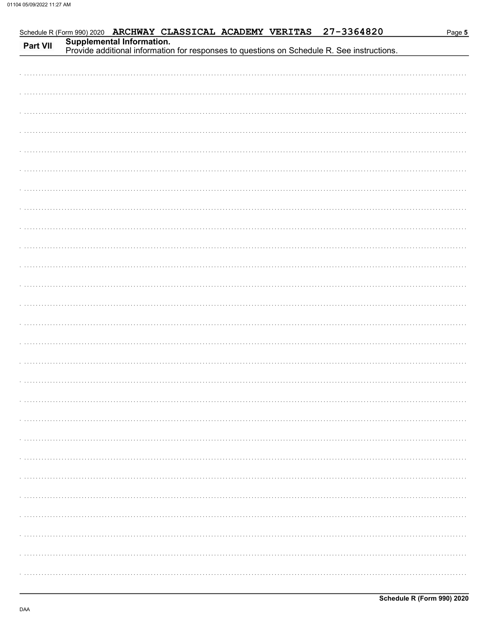|          |  | Schedule R (Form 990) 2020 ARCHWAY CLASSICAL ACADEMY VERITAS |  | 27-3364820                                                                                                              | Page 5 |
|----------|--|--------------------------------------------------------------|--|-------------------------------------------------------------------------------------------------------------------------|--------|
| Part VII |  |                                                              |  | Supplemental Information.<br>Provide additional information for responses to questions on Schedule R. See instructions. |        |
|          |  |                                                              |  |                                                                                                                         |        |
|          |  |                                                              |  |                                                                                                                         |        |
|          |  |                                                              |  |                                                                                                                         |        |
|          |  |                                                              |  |                                                                                                                         |        |
|          |  |                                                              |  |                                                                                                                         |        |
|          |  |                                                              |  |                                                                                                                         |        |
|          |  |                                                              |  |                                                                                                                         |        |
|          |  |                                                              |  |                                                                                                                         |        |
|          |  |                                                              |  |                                                                                                                         |        |
|          |  |                                                              |  |                                                                                                                         |        |
|          |  |                                                              |  |                                                                                                                         |        |
|          |  |                                                              |  |                                                                                                                         |        |
|          |  |                                                              |  |                                                                                                                         |        |
|          |  |                                                              |  |                                                                                                                         |        |
|          |  |                                                              |  |                                                                                                                         |        |
|          |  |                                                              |  |                                                                                                                         |        |
|          |  |                                                              |  |                                                                                                                         |        |
|          |  |                                                              |  |                                                                                                                         |        |
|          |  |                                                              |  |                                                                                                                         |        |
|          |  |                                                              |  |                                                                                                                         |        |
|          |  |                                                              |  |                                                                                                                         |        |
|          |  |                                                              |  |                                                                                                                         |        |
|          |  |                                                              |  |                                                                                                                         |        |
|          |  |                                                              |  |                                                                                                                         |        |
|          |  |                                                              |  |                                                                                                                         |        |
|          |  |                                                              |  |                                                                                                                         |        |
|          |  |                                                              |  |                                                                                                                         |        |
|          |  |                                                              |  |                                                                                                                         |        |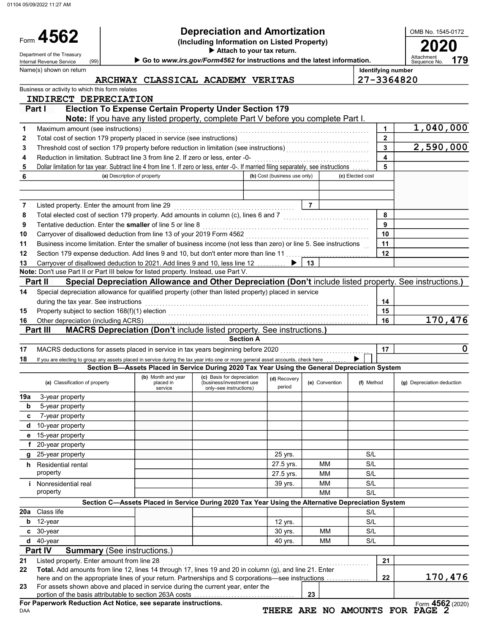01104 05/09/2022 11:27 AM

Name(s) shown on return

(99)

Form 4562

| 4562                | <b>Depreciation and Amortization</b>             | OMB No. 1545-017 |
|---------------------|--------------------------------------------------|------------------|
|                     | (Including Information on Listed Property)       | 2020             |
| ont of the Treasury | $\blacktriangleright$ Attach to your tax return. |                  |

Department of the Treasury (99) **Department of the Treasury Control of the Service Control of the Treasury Department**<br>Internal Revenue Service (99) **Department Department of the Internal Revenue Roughly Control of the Int** 

Identifying number

OMB No. 1545-0172

179

| ARCHWAY CLASSICAL ACADEMY VERITAS |
|-----------------------------------|
|-----------------------------------|

27-3364820

|     | Business or activity to which this form relates                                                                                                                                       |                             |                                                                                                          |                              |                |                  |                         |                                                     |
|-----|---------------------------------------------------------------------------------------------------------------------------------------------------------------------------------------|-----------------------------|----------------------------------------------------------------------------------------------------------|------------------------------|----------------|------------------|-------------------------|-----------------------------------------------------|
|     | INDIRECT DEPRECIATION                                                                                                                                                                 |                             |                                                                                                          |                              |                |                  |                         |                                                     |
|     | Part I                                                                                                                                                                                |                             | <b>Election To Expense Certain Property Under Section 179</b>                                            |                              |                |                  |                         |                                                     |
|     |                                                                                                                                                                                       |                             | Note: If you have any listed property, complete Part V before you complete Part I.                       |                              |                |                  |                         |                                                     |
| 1   | Maximum amount (see instructions)                                                                                                                                                     |                             |                                                                                                          |                              |                |                  | 1                       | 1,040,000                                           |
| 2   |                                                                                                                                                                                       |                             |                                                                                                          |                              |                |                  | $\mathbf{2}$            |                                                     |
| 3   |                                                                                                                                                                                       |                             |                                                                                                          |                              |                |                  | $\overline{\mathbf{3}}$ | 2,590,000                                           |
| 4   | Reduction in limitation. Subtract line 3 from line 2. If zero or less, enter -0-                                                                                                      |                             |                                                                                                          |                              |                |                  | 4                       |                                                     |
| 5   | Dollar limitation for tax year. Subtract line 4 from line 1. If zero or less, enter -0-. If married filing separately, see instructions                                               |                             |                                                                                                          |                              |                |                  | 5                       |                                                     |
| 6   |                                                                                                                                                                                       | (a) Description of property |                                                                                                          | (b) Cost (business use only) |                | (c) Elected cost |                         |                                                     |
|     |                                                                                                                                                                                       |                             |                                                                                                          |                              |                |                  |                         |                                                     |
|     |                                                                                                                                                                                       |                             |                                                                                                          |                              |                |                  |                         |                                                     |
| 7   | Listed property. Enter the amount from line 29                                                                                                                                        |                             |                                                                                                          |                              | $\overline{7}$ |                  |                         |                                                     |
| 8   | Total elected cost of section 179 property. Add amounts in column (c), lines 6 and 7 [1] [1] [1] Total elected cost of section 179 property. Add amounts in column (c), lines 6 and 7 |                             |                                                                                                          |                              |                |                  | 8                       |                                                     |
| 9   | Tentative deduction. Enter the smaller of line 5 or line 8                                                                                                                            |                             |                                                                                                          |                              |                |                  | 9                       |                                                     |
| 10  | Carryover of disallowed deduction from line 13 of your 2019 Form 4562                                                                                                                 |                             |                                                                                                          |                              |                |                  | 10                      |                                                     |
| 11  | Business income limitation. Enter the smaller of business income (not less than zero) or line 5. See instructions                                                                     |                             |                                                                                                          |                              |                |                  | 11<br>12                |                                                     |
| 12  | Section 179 expense deduction. Add lines 9 and 10, but don't enter more than line 11                                                                                                  |                             |                                                                                                          |                              |                |                  |                         |                                                     |
| 13  | Carryover of disallowed deduction to 2021. Add lines 9 and 10, less line 12<br>Note: Don't use Part II or Part III below for listed property. Instead, use Part V.                    |                             |                                                                                                          |                              | 13             |                  |                         |                                                     |
|     | Part II                                                                                                                                                                               |                             | Special Depreciation Allowance and Other Depreciation (Don't include listed property. See instructions.) |                              |                |                  |                         |                                                     |
| 14  | Special depreciation allowance for qualified property (other than listed property) placed in service                                                                                  |                             |                                                                                                          |                              |                |                  |                         |                                                     |
|     | during the tax year. See instructions                                                                                                                                                 |                             |                                                                                                          |                              |                |                  | 14                      |                                                     |
| 15  |                                                                                                                                                                                       |                             |                                                                                                          |                              |                |                  | 15                      |                                                     |
| 16  |                                                                                                                                                                                       |                             |                                                                                                          |                              |                |                  | 16                      | 170,476                                             |
|     | Part III                                                                                                                                                                              |                             | MACRS Depreciation (Don't include listed property. See instructions.)                                    |                              |                |                  |                         |                                                     |
|     |                                                                                                                                                                                       |                             | <b>Section A</b>                                                                                         |                              |                |                  |                         |                                                     |
| 17  | MACRS deductions for assets placed in service in tax years beginning before 2020                                                                                                      |                             |                                                                                                          |                              |                |                  | 17                      | 0                                                   |
| 18  | If you are electing to group any assets placed in service during the tax year into one or more general asset accounts, check here                                                     |                             |                                                                                                          |                              |                |                  |                         |                                                     |
|     |                                                                                                                                                                                       |                             | Section B-Assets Placed in Service During 2020 Tax Year Using the General Depreciation System            |                              |                |                  |                         |                                                     |
|     |                                                                                                                                                                                       | (b) Month and year          | (c) Basis for depreciation                                                                               | (d) Recovery                 |                |                  |                         |                                                     |
|     | (a) Classification of property                                                                                                                                                        | placed in<br>service        | (business/investment use<br>only-see instructions)                                                       | period                       | (e) Convention | (f) Method       |                         | (g) Depreciation deduction                          |
| 19a | 3-year property                                                                                                                                                                       |                             |                                                                                                          |                              |                |                  |                         |                                                     |
| b   | 5-year property                                                                                                                                                                       |                             |                                                                                                          |                              |                |                  |                         |                                                     |
| c   | 7-year property                                                                                                                                                                       |                             |                                                                                                          |                              |                |                  |                         |                                                     |
| d   | 10-year property                                                                                                                                                                      |                             |                                                                                                          |                              |                |                  |                         |                                                     |
|     | e 15-year property                                                                                                                                                                    |                             |                                                                                                          |                              |                |                  |                         |                                                     |
|     | f 20-year property                                                                                                                                                                    |                             |                                                                                                          |                              |                |                  |                         |                                                     |
| q   | 25-year property                                                                                                                                                                      |                             |                                                                                                          | 25 yrs.                      |                | S/L              |                         |                                                     |
|     | h Residential rental                                                                                                                                                                  |                             |                                                                                                          | 27.5 yrs.                    | MМ             | S/L              |                         |                                                     |
|     | property                                                                                                                                                                              |                             |                                                                                                          | 27.5 yrs.                    | <b>MM</b>      | S/L              |                         |                                                     |
|     | <i>i</i> Nonresidential real                                                                                                                                                          |                             |                                                                                                          | 39 yrs.                      | MM             | S/L              |                         |                                                     |
|     | property                                                                                                                                                                              |                             |                                                                                                          |                              | MМ             | S/L              |                         |                                                     |
|     |                                                                                                                                                                                       |                             | Section C-Assets Placed in Service During 2020 Tax Year Using the Alternative Depreciation System        |                              |                |                  |                         |                                                     |
|     | 20a Class life                                                                                                                                                                        |                             |                                                                                                          |                              |                | S/L              |                         |                                                     |
| b   | 12-year                                                                                                                                                                               |                             |                                                                                                          | 12 yrs.                      |                | S/L              |                         |                                                     |
|     | $c30-year$                                                                                                                                                                            |                             |                                                                                                          | 30 yrs.                      | мм             | S/L              |                         |                                                     |
|     | d 40-year                                                                                                                                                                             |                             |                                                                                                          | 40 yrs.                      | <b>MM</b>      | S/L              |                         |                                                     |
|     | Part IV<br><b>Summary (See instructions.)</b>                                                                                                                                         |                             |                                                                                                          |                              |                |                  |                         |                                                     |
| 21  | Listed property. Enter amount from line 28                                                                                                                                            |                             |                                                                                                          |                              |                |                  | 21                      |                                                     |
| 22  | Total. Add amounts from line 12, lines 14 through 17, lines 19 and 20 in column (g), and line 21. Enter                                                                               |                             |                                                                                                          |                              |                |                  |                         | 170,476                                             |
| 23  | here and on the appropriate lines of your return. Partnerships and S corporations—see instructions<br>For assets shown above and placed in service during the current year, enter the |                             |                                                                                                          |                              |                |                  | 22                      |                                                     |
|     |                                                                                                                                                                                       |                             |                                                                                                          |                              |                |                  |                         |                                                     |
|     |                                                                                                                                                                                       |                             |                                                                                                          |                              | 23             |                  |                         |                                                     |
|     | portion of the basis attributable to section 263A costs<br>For Paperwork Reduction Act Notice, see separate instructions.                                                             |                             |                                                                                                          |                              |                |                  |                         | Form 4562 (2020)<br>THERE ARE NO AMOUNTS FOR PAGE 2 |

DAA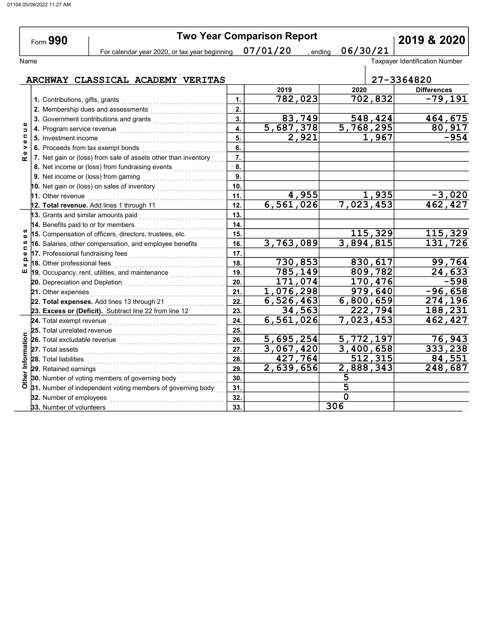÷,

|                             | Form 990                                                                                                                                                                                                                            | <b>Two Year Comparison Report</b><br>06/30/21<br>For calendar year 2020, or tax year beginning 07/01/20<br>, ending |                      |                        |                                       |  |  |
|-----------------------------|-------------------------------------------------------------------------------------------------------------------------------------------------------------------------------------------------------------------------------------|---------------------------------------------------------------------------------------------------------------------|----------------------|------------------------|---------------------------------------|--|--|
|                             |                                                                                                                                                                                                                                     |                                                                                                                     |                      |                        |                                       |  |  |
| Name                        |                                                                                                                                                                                                                                     |                                                                                                                     |                      |                        | <b>Taxpayer Identification Number</b> |  |  |
|                             | ARCHWAY CLASSICAL ACADEMY VERITAS                                                                                                                                                                                                   |                                                                                                                     |                      |                        | 27-3364820                            |  |  |
|                             |                                                                                                                                                                                                                                     |                                                                                                                     | 2019                 | 2020                   | <b>Differences</b>                    |  |  |
|                             | 1. Contributions, gifts, grants                                                                                                                                                                                                     | 1.                                                                                                                  | 782,023              | 702,832                | $-79,191$                             |  |  |
|                             | 2. Membership dues and assessments                                                                                                                                                                                                  | 2.                                                                                                                  |                      |                        |                                       |  |  |
|                             | 3. Government contributions and grants [111] [11] Content and South Manuscon and South Manuscon and South Manuscon and South Manuscon and South Manuscon and South Manuscon and South Manuscon and South Manuscon and South Ma      | 3.                                                                                                                  | 83,749               | 548, 424               | 464,675                               |  |  |
| Φ<br>$\Rightarrow$          |                                                                                                                                                                                                                                     | 4.                                                                                                                  | 5,687,378            | $\overline{5,768,295}$ | 80,917                                |  |  |
| $\blacksquare$<br>$\bullet$ | 5. Investment income                                                                                                                                                                                                                | 5.                                                                                                                  | 2,921                | 1,967                  | $-954$                                |  |  |
| ><br>$\pmb{\omega}$         | 6. Proceeds from tax exempt bonds                                                                                                                                                                                                   | 6.                                                                                                                  |                      |                        |                                       |  |  |
| $\alpha$                    | 7. Net gain or (loss) from sale of assets other than inventory                                                                                                                                                                      | $\overline{7}$ .                                                                                                    |                      |                        |                                       |  |  |
|                             | 8. Net income or (loss) from fundraising events                                                                                                                                                                                     | 8.                                                                                                                  |                      |                        |                                       |  |  |
|                             |                                                                                                                                                                                                                                     | 9.                                                                                                                  |                      |                        |                                       |  |  |
|                             | 10. Net gain or (loss) on sales of inventory $\begin{array}{ c c c }\hline \end{array}$                                                                                                                                             | 10 <sub>1</sub>                                                                                                     |                      |                        |                                       |  |  |
|                             |                                                                                                                                                                                                                                     | 11.                                                                                                                 | 4,955                | 1,935                  | $-3,020$                              |  |  |
|                             | 12. Total revenue. Add lines 1 through 11                                                                                                                                                                                           | 12.                                                                                                                 | 6,561,026            | 7,023,453              | 462,427                               |  |  |
|                             | 13. Grants and similar amounts paid                                                                                                                                                                                                 | 13.                                                                                                                 |                      |                        |                                       |  |  |
|                             | 14. Benefits paid to or for members                                                                                                                                                                                                 | 14.                                                                                                                 |                      |                        |                                       |  |  |
| G)                          | 15. Compensation of officers, directors, trustees, etc.                                                                                                                                                                             | 15.                                                                                                                 |                      | 115,329                | 115,329                               |  |  |
| U)<br>$\blacksquare$        | 16. Salaries, other compensation, and employee benefits                                                                                                                                                                             | 16.                                                                                                                 | 3,763,089            | 3,894,815              | 131,726                               |  |  |
| Φ<br>$\Omega$               |                                                                                                                                                                                                                                     | 17.                                                                                                                 |                      |                        |                                       |  |  |
| ×                           | 18. Other professional fees                                                                                                                                                                                                         | 18.                                                                                                                 | 730,853              | 830,617                | 99,764                                |  |  |
| ш                           | 19. Occupancy, rent, utilities, and maintenance <i>matures</i> and the set of the set of the set of the set of the set of the set of the set of the set of the set of the set of the set of the set of the set of the set of the se | 19.                                                                                                                 | $\overline{785,149}$ | 809,782                | 24,633                                |  |  |
|                             |                                                                                                                                                                                                                                     | 20.                                                                                                                 | 171,074              | 170,476                | $-598$                                |  |  |
|                             | 21. Other expenses                                                                                                                                                                                                                  | 21.                                                                                                                 | 1,076,298            | 979,640                | $-96,658$                             |  |  |
|                             | 22. Total expenses. Add lines 13 through 21                                                                                                                                                                                         | 22.                                                                                                                 | 6,526,463            | 6,800,659              | 274,196                               |  |  |
|                             | 23. Excess or (Deficit). Subtract line 22 from line 12                                                                                                                                                                              | 23.                                                                                                                 | 34,563               | 222,794                | 188,231                               |  |  |
|                             | 24. Total exempt revenue                                                                                                                                                                                                            | 24.                                                                                                                 | 6,561,026            | 7,023,453              | 462,427                               |  |  |
|                             | 25. Total unrelated revenue                                                                                                                                                                                                         | 25.                                                                                                                 |                      |                        |                                       |  |  |
|                             | 26. Total excludable revenue                                                                                                                                                                                                        | 26.                                                                                                                 | 5,695,254            | 5,772,197              | 76,943                                |  |  |
|                             |                                                                                                                                                                                                                                     | 27.                                                                                                                 | 3,067,420            | 3,400,658              | 333,238                               |  |  |
| Other Information           | <b>28.</b> Total liabilities                                                                                                                                                                                                        | 28.                                                                                                                 | 427,764              | 512,315                | 84,551                                |  |  |
|                             |                                                                                                                                                                                                                                     | 29.                                                                                                                 | 2,639,656            | 2,888,343              | 248,687                               |  |  |
|                             | 30. Number of voting members of governing body                                                                                                                                                                                      | 30.                                                                                                                 |                      | 5                      |                                       |  |  |
|                             | 31. Number of independent voting members of governing body                                                                                                                                                                          | 31.                                                                                                                 |                      | 5                      |                                       |  |  |
|                             | 32. Number of employees                                                                                                                                                                                                             | 32.                                                                                                                 |                      | $\Omega$               |                                       |  |  |
|                             | 33. Number of volunteers                                                                                                                                                                                                            | 33.                                                                                                                 |                      | 306                    |                                       |  |  |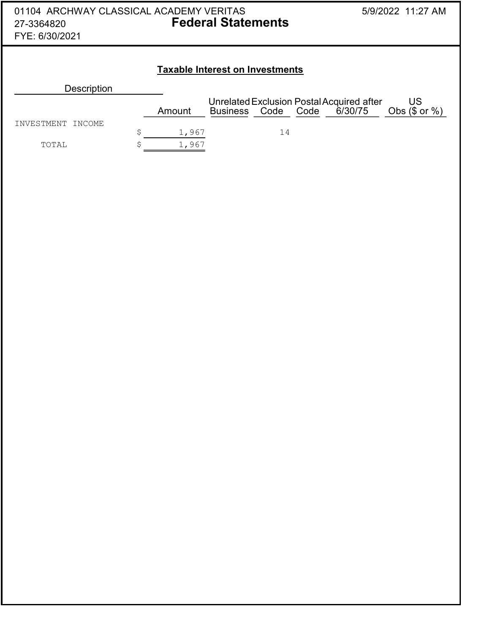| 01104 ARCHWAY CLASSICAL ACADEMY VERITAS<br>27-3364820<br>FYE: 6/30/2021 | <b>Federal Statements</b> |                                        |                                                           | 5/9/2022 11:27 AM |                         |
|-------------------------------------------------------------------------|---------------------------|----------------------------------------|-----------------------------------------------------------|-------------------|-------------------------|
|                                                                         |                           | <b>Taxable Interest on Investments</b> |                                                           |                   |                         |
| <b>Description</b>                                                      |                           |                                        |                                                           |                   |                         |
|                                                                         | Amount                    | <b>Business</b>                        | Unrelated Exclusion Postal Acquired after<br>Code<br>Code | 6/30/75           | US<br>Obs $($$ or $%$ ) |
| <b>TNVESTMENT</b><br><b>TNCOME</b>                                      | \$                        | 1,967                                  | 14                                                        |                   |                         |
| TOTAL                                                                   | \$                        | 1,967                                  |                                                           |                   |                         |